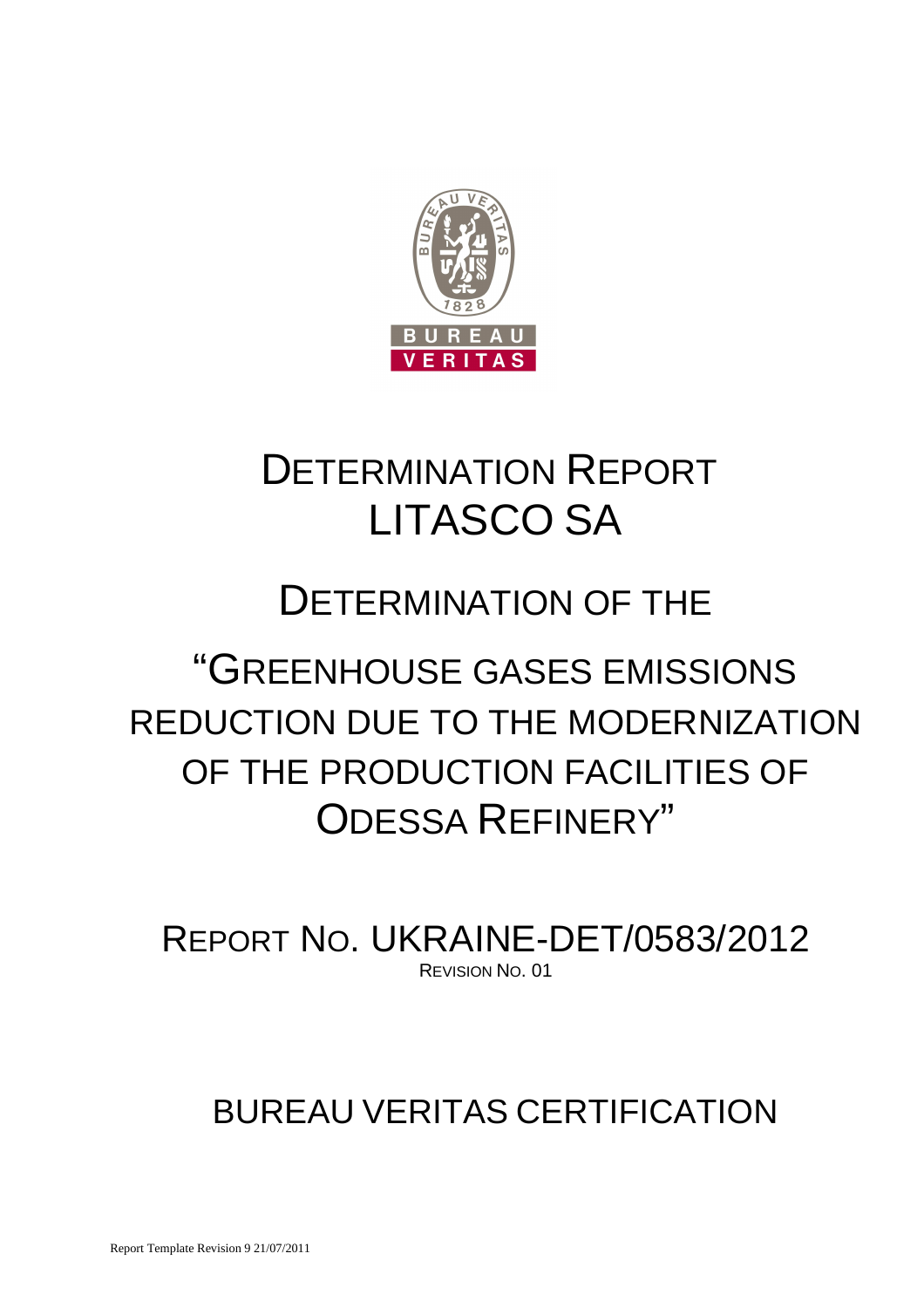

# DETERMINATION REPORT LITASCO SA

# DETERMINATION OF THE

# "GREENHOUSE GASES EMISSIONS REDUCTION DUE TO THE MODERNIZATION OF THE PRODUCTION FACILITIES OF ODESSA REFINERY"

REPORT NO. UKRAINE-DET/0583/2012 REVISION NO. 01

# BUREAU VERITAS CERTIFICATION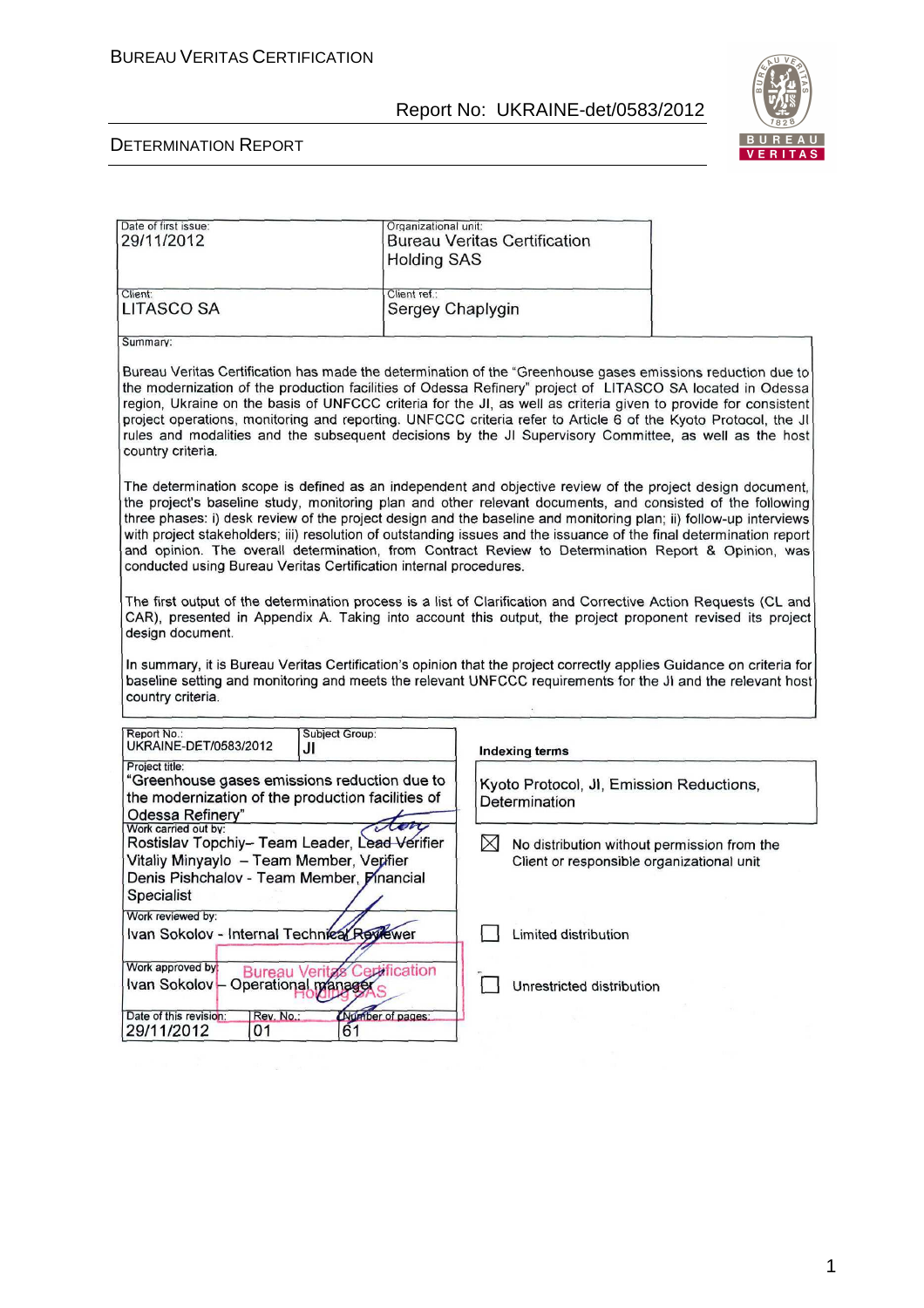

| Date of first issue:                                                                                                                                                                                                                                                                                                                                                                                                                                                                                                                                                                                                                            | Organizational unit:                                       |                                                                                                                                                                                                                                                                                                                                                                                                                                                                                                                                                                          |  |
|-------------------------------------------------------------------------------------------------------------------------------------------------------------------------------------------------------------------------------------------------------------------------------------------------------------------------------------------------------------------------------------------------------------------------------------------------------------------------------------------------------------------------------------------------------------------------------------------------------------------------------------------------|------------------------------------------------------------|--------------------------------------------------------------------------------------------------------------------------------------------------------------------------------------------------------------------------------------------------------------------------------------------------------------------------------------------------------------------------------------------------------------------------------------------------------------------------------------------------------------------------------------------------------------------------|--|
| 29/11/2012                                                                                                                                                                                                                                                                                                                                                                                                                                                                                                                                                                                                                                      |                                                            | <b>Bureau Veritas Certification</b>                                                                                                                                                                                                                                                                                                                                                                                                                                                                                                                                      |  |
|                                                                                                                                                                                                                                                                                                                                                                                                                                                                                                                                                                                                                                                 | <b>Holding SAS</b>                                         |                                                                                                                                                                                                                                                                                                                                                                                                                                                                                                                                                                          |  |
|                                                                                                                                                                                                                                                                                                                                                                                                                                                                                                                                                                                                                                                 |                                                            |                                                                                                                                                                                                                                                                                                                                                                                                                                                                                                                                                                          |  |
| Client:                                                                                                                                                                                                                                                                                                                                                                                                                                                                                                                                                                                                                                         | Client ref.:                                               |                                                                                                                                                                                                                                                                                                                                                                                                                                                                                                                                                                          |  |
| <b>LITASCO SA</b>                                                                                                                                                                                                                                                                                                                                                                                                                                                                                                                                                                                                                               | Sergey Chaplygin                                           |                                                                                                                                                                                                                                                                                                                                                                                                                                                                                                                                                                          |  |
| Summary:                                                                                                                                                                                                                                                                                                                                                                                                                                                                                                                                                                                                                                        |                                                            |                                                                                                                                                                                                                                                                                                                                                                                                                                                                                                                                                                          |  |
|                                                                                                                                                                                                                                                                                                                                                                                                                                                                                                                                                                                                                                                 |                                                            |                                                                                                                                                                                                                                                                                                                                                                                                                                                                                                                                                                          |  |
| country criteria.                                                                                                                                                                                                                                                                                                                                                                                                                                                                                                                                                                                                                               |                                                            | Bureau Veritas Certification has made the determination of the "Greenhouse gases emissions reduction due to<br>the modernization of the production facilities of Odessa Refinery" project of LITASCO SA located in Odessa<br>region, Ukraine on the basis of UNFCCC criteria for the JI, as well as criteria given to provide for consistent<br>project operations, monitoring and reporting. UNFCCC criteria refer to Article 6 of the Kyoto Protocol, the JI<br>rules and modalities and the subsequent decisions by the JI Supervisory Committee, as well as the host |  |
| The determination scope is defined as an independent and objective review of the project design document,<br>the project's baseline study, monitoring plan and other relevant documents, and consisted of the following<br>three phases: i) desk review of the project design and the baseline and monitoring plan; ii) follow-up interviews<br>with project stakeholders; iii) resolution of outstanding issues and the issuance of the final determination report<br>and opinion. The overall determination, from Contract Review to Determination Report & Opinion, was<br>conducted using Bureau Veritas Certification internal procedures. |                                                            |                                                                                                                                                                                                                                                                                                                                                                                                                                                                                                                                                                          |  |
| design document.<br>country criteria.                                                                                                                                                                                                                                                                                                                                                                                                                                                                                                                                                                                                           |                                                            | The first output of the determination process is a list of Clarification and Corrective Action Requests (CL and<br>CAR), presented in Appendix A. Taking into account this output, the project proponent revised its project<br>In summary, it is Bureau Veritas Certification's opinion that the project correctly applies Guidance on criteria for<br>baseline setting and monitoring and meets the relevant UNFCCC requirements for the JI and the relevant host                                                                                                      |  |
| Report No.:<br>UKRAINE-DET/0583/2012                                                                                                                                                                                                                                                                                                                                                                                                                                                                                                                                                                                                            | Subject Group:<br>JI                                       | <b>Indexing terms</b>                                                                                                                                                                                                                                                                                                                                                                                                                                                                                                                                                    |  |
| Project title:                                                                                                                                                                                                                                                                                                                                                                                                                                                                                                                                                                                                                                  |                                                            |                                                                                                                                                                                                                                                                                                                                                                                                                                                                                                                                                                          |  |
| "Greenhouse gases emissions reduction due to                                                                                                                                                                                                                                                                                                                                                                                                                                                                                                                                                                                                    |                                                            | Kyoto Protocol, Jl, Emission Reductions,                                                                                                                                                                                                                                                                                                                                                                                                                                                                                                                                 |  |
| the modernization of the production facilities of                                                                                                                                                                                                                                                                                                                                                                                                                                                                                                                                                                                               |                                                            | Determination                                                                                                                                                                                                                                                                                                                                                                                                                                                                                                                                                            |  |
| Odessa Refinery"                                                                                                                                                                                                                                                                                                                                                                                                                                                                                                                                                                                                                                |                                                            |                                                                                                                                                                                                                                                                                                                                                                                                                                                                                                                                                                          |  |
| Work carried out by:<br>Rostislav Topchiy- Team Leader, Lead Verifier                                                                                                                                                                                                                                                                                                                                                                                                                                                                                                                                                                           |                                                            | $\bowtie$                                                                                                                                                                                                                                                                                                                                                                                                                                                                                                                                                                |  |
| Vitaliy Minyaylo - Team Member, Verifier                                                                                                                                                                                                                                                                                                                                                                                                                                                                                                                                                                                                        |                                                            | No distribution without permission from the<br>Client or responsible organizational unit                                                                                                                                                                                                                                                                                                                                                                                                                                                                                 |  |
| Denis Pishchalov - Team Member, Pinancial                                                                                                                                                                                                                                                                                                                                                                                                                                                                                                                                                                                                       |                                                            |                                                                                                                                                                                                                                                                                                                                                                                                                                                                                                                                                                          |  |
|                                                                                                                                                                                                                                                                                                                                                                                                                                                                                                                                                                                                                                                 |                                                            |                                                                                                                                                                                                                                                                                                                                                                                                                                                                                                                                                                          |  |
| Specialist                                                                                                                                                                                                                                                                                                                                                                                                                                                                                                                                                                                                                                      |                                                            |                                                                                                                                                                                                                                                                                                                                                                                                                                                                                                                                                                          |  |
| Work reviewed by:                                                                                                                                                                                                                                                                                                                                                                                                                                                                                                                                                                                                                               |                                                            |                                                                                                                                                                                                                                                                                                                                                                                                                                                                                                                                                                          |  |
| Ivan Sokolov - Internal Techniea/Reviewer                                                                                                                                                                                                                                                                                                                                                                                                                                                                                                                                                                                                       |                                                            | <b>Limited distribution</b>                                                                                                                                                                                                                                                                                                                                                                                                                                                                                                                                              |  |
|                                                                                                                                                                                                                                                                                                                                                                                                                                                                                                                                                                                                                                                 |                                                            |                                                                                                                                                                                                                                                                                                                                                                                                                                                                                                                                                                          |  |
| Work approved by:                                                                                                                                                                                                                                                                                                                                                                                                                                                                                                                                                                                                                               |                                                            |                                                                                                                                                                                                                                                                                                                                                                                                                                                                                                                                                                          |  |
|                                                                                                                                                                                                                                                                                                                                                                                                                                                                                                                                                                                                                                                 |                                                            |                                                                                                                                                                                                                                                                                                                                                                                                                                                                                                                                                                          |  |
| Ivan Sokolov-                                                                                                                                                                                                                                                                                                                                                                                                                                                                                                                                                                                                                                   | <b>Bureau Veritas Certification</b><br>Operational manager | Unrestricted distribution                                                                                                                                                                                                                                                                                                                                                                                                                                                                                                                                                |  |
|                                                                                                                                                                                                                                                                                                                                                                                                                                                                                                                                                                                                                                                 |                                                            |                                                                                                                                                                                                                                                                                                                                                                                                                                                                                                                                                                          |  |
| Date of this revision:<br>Rev. No.:<br>29/11/2012<br>01                                                                                                                                                                                                                                                                                                                                                                                                                                                                                                                                                                                         | (Number of pages:<br>61                                    |                                                                                                                                                                                                                                                                                                                                                                                                                                                                                                                                                                          |  |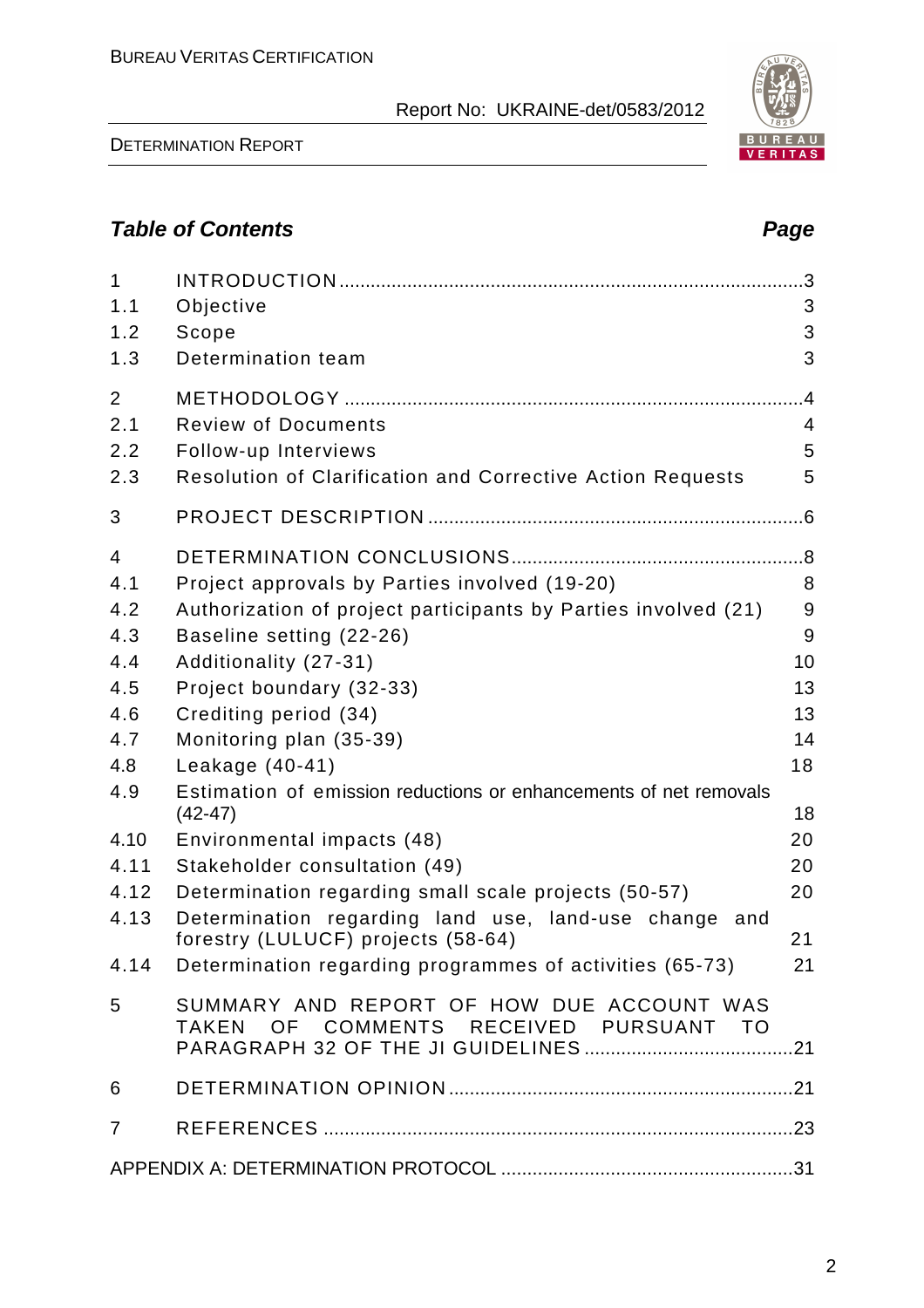DETERMINATION REPORT

# **Table of Contents Page 2018**

| $\mathbf{1}$<br>1.1<br>1.2<br>1.3 | Objective<br>Scope<br>Determination team                                                    | 3<br>3<br>3                      |
|-----------------------------------|---------------------------------------------------------------------------------------------|----------------------------------|
| $\overline{2}$<br>2.1             | <b>Review of Documents</b>                                                                  | $\overline{A}$<br>$\overline{4}$ |
| 2.2                               | Follow-up Interviews                                                                        | 5                                |
| 2.3                               | Resolution of Clarification and Corrective Action Requests                                  | 5                                |
| 3                                 |                                                                                             |                                  |
| $\overline{4}$                    |                                                                                             |                                  |
| 4.1                               | Project approvals by Parties involved (19-20)                                               | 8                                |
| 4.2                               | Authorization of project participants by Parties involved (21)                              | 9                                |
| 4.3                               | Baseline setting (22-26)                                                                    | 9                                |
| 4.4                               | Additionality (27-31)                                                                       | 10                               |
| 4.5                               | Project boundary (32-33)                                                                    | 13                               |
| 4.6                               | Crediting period (34)                                                                       | 13                               |
| 4.7                               | Monitoring plan (35-39)                                                                     | 14                               |
| 4.8                               | Leakage (40-41)                                                                             | 18                               |
| 4.9                               | Estimation of emission reductions or enhancements of net removals<br>$(42-47)$              | 18                               |
| 4.10                              | Environmental impacts (48)                                                                  | 20                               |
| 4.11                              | Stakeholder consultation (49)                                                               | 20                               |
| 4.12                              | Determination regarding small scale projects (50-57)                                        | 20                               |
| 4.13                              | Determination regarding land use, land-use change and<br>forestry (LULUCF) projects (58-64) | 21                               |
|                                   | 4.14 Determination regarding programmes of activities (65-73)<br>21                         |                                  |
| 5                                 | SUMMARY AND REPORT OF HOW DUE ACCOUNT WAS<br>TAKEN OF COMMENTS RECEIVED PURSUANT TO         |                                  |
| 6                                 |                                                                                             |                                  |
| $\overline{7}$                    |                                                                                             |                                  |
|                                   |                                                                                             |                                  |

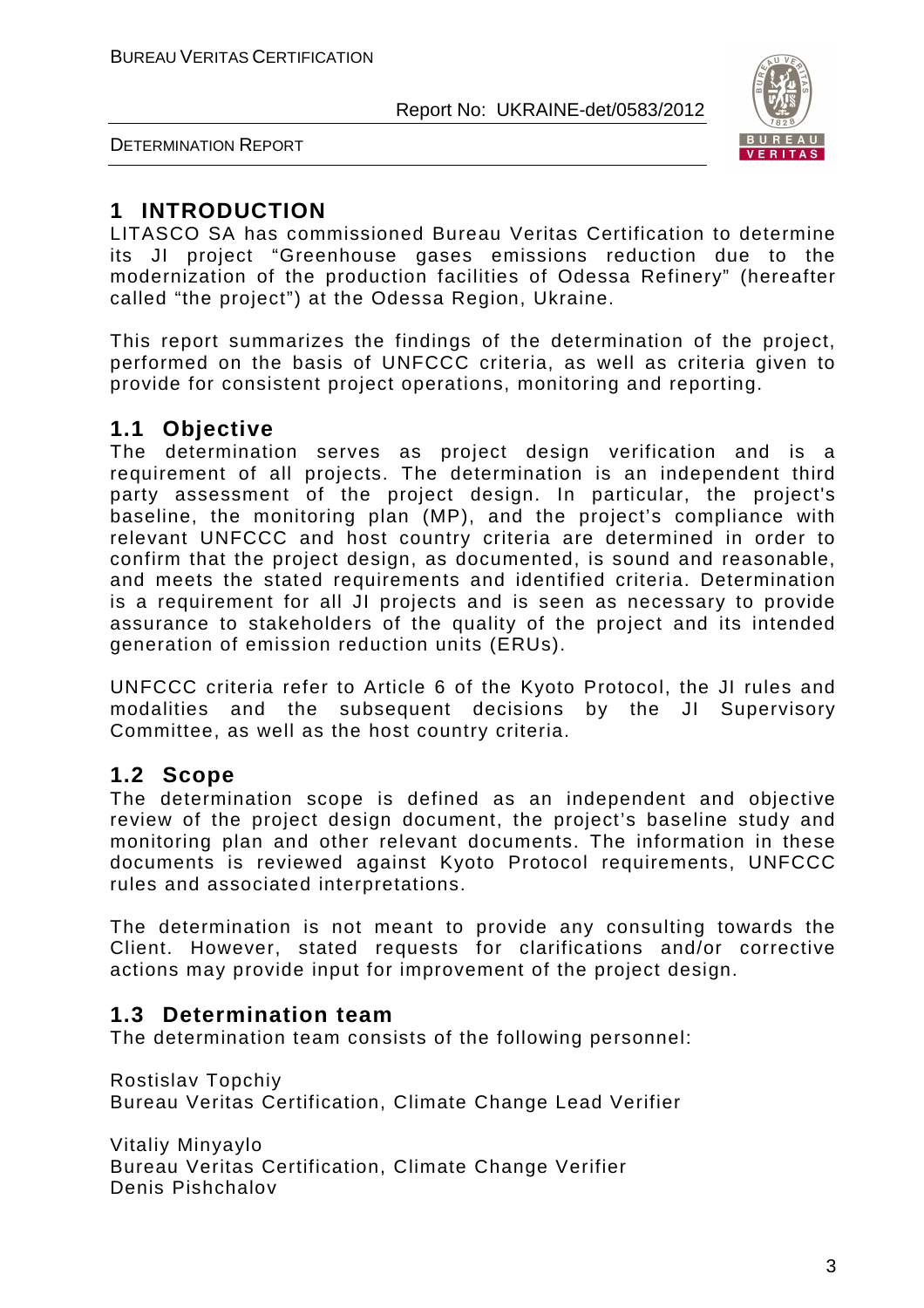



# **1 INTRODUCTION**

LITASCO SA has commissioned Bureau Veritas Certification to determine its JI project "Greenhouse gases emissions reduction due to the modernization of the production facilities of Odessa Refinery" (hereafter called "the project") at the Odessa Region, Ukraine.

This report summarizes the findings of the determination of the project, performed on the basis of UNFCCC criteria, as well as criteria given to provide for consistent project operations, monitoring and reporting.

# **1.1 Objective**

The determination serves as project design verification and is a requirement of all projects. The determination is an independent third party assessment of the project design. In particular, the project's baseline, the monitoring plan (MP), and the project's compliance with relevant UNFCCC and host country criteria are determined in order to confirm that the project design, as documented, is sound and reasonable, and meets the stated requirements and identified criteria. Determination is a requirement for all JI projects and is seen as necessary to provide assurance to stakeholders of the quality of the project and its intended generation of emission reduction units (ERUs).

UNFCCC criteria refer to Article 6 of the Kyoto Protocol, the JI rules and modalities and the subsequent decisions by the JI Supervisory Committee, as well as the host country criteria.

# **1.2 Scope**

The determination scope is defined as an independent and objective review of the project design document, the project's baseline study and monitoring plan and other relevant documents. The information in these documents is reviewed against Kyoto Protocol requirements, UNFCCC rules and associated interpretations.

The determination is not meant to provide any consulting towards the Client. However, stated requests for clarifications and/or corrective actions may provide input for improvement of the project design.

# **1.3 Determination team**

The determination team consists of the following personnel:

Rostislav Topchiy Bureau Veritas Certification, Climate Change Lead Verifier

Vitaliy Minyaylo Bureau Veritas Certification, Climate Change Verifier Denis Pishchalov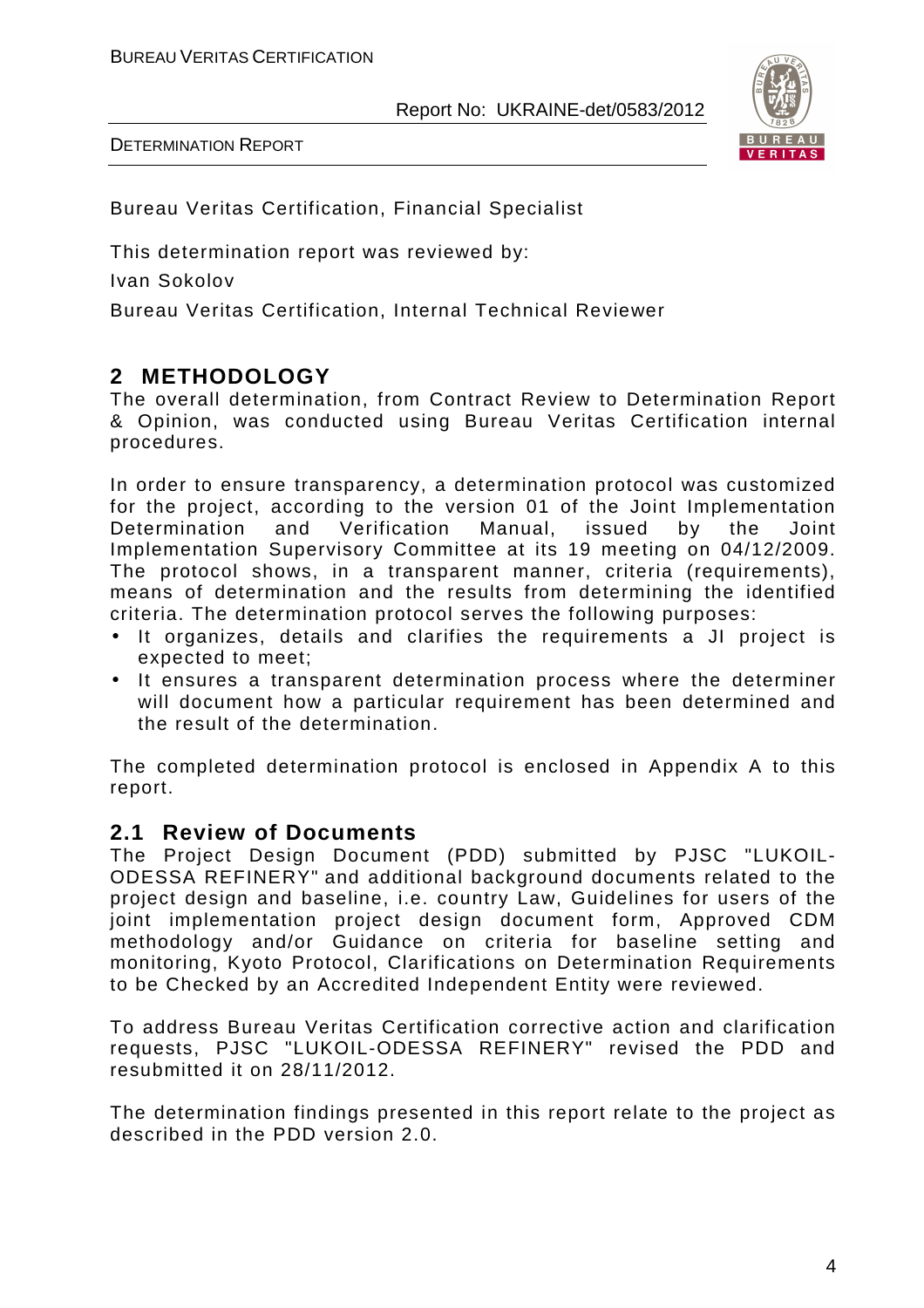

DETERMINATION REPORT

Bureau Veritas Certification, Financial Specialist

This determination report was reviewed by:

Ivan Sokolov

Bureau Veritas Certification, Internal Technical Reviewer

# **2 METHODOLOGY**

The overall determination, from Contract Review to Determination Report & Opinion, was conducted using Bureau Veritas Certification internal procedures.

In order to ensure transparency, a determination protocol was customized for the project, according to the version 01 of the Joint Implementation Determination and Verification Manual, issued by the Joint Implementation Supervisory Committee at its 19 meeting on 04/12/2009. The protocol shows, in a transparent manner, criteria (requirements), means of determination and the results from determining the identified criteria. The determination protocol serves the following purposes:

- It organizes, details and clarifies the requirements a JI project is expected to meet;
- It ensures a transparent determination process where the determiner will document how a particular requirement has been determined and the result of the determination.

The completed determination protocol is enclosed in Appendix A to this report.

# **2.1 Review of Documents**

The Project Design Document (PDD) submitted by PJSC "LUKOIL-ODESSA REFINERY" and additional background documents related to the project design and baseline, i.e. country Law, Guidelines for users of the joint implementation project design document form, Approved CDM methodology and/or Guidance on criteria for baseline setting and monitoring, Kyoto Protocol, Clarifications on Determination Requirements to be Checked by an Accredited Independent Entity were reviewed.

To address Bureau Veritas Certification corrective action and clarification requests, PJSC "LUKOIL-ODESSA REFINERY" revised the PDD and resubmitted it on 28/11/2012.

The determination findings presented in this report relate to the project as described in the PDD version 2.0.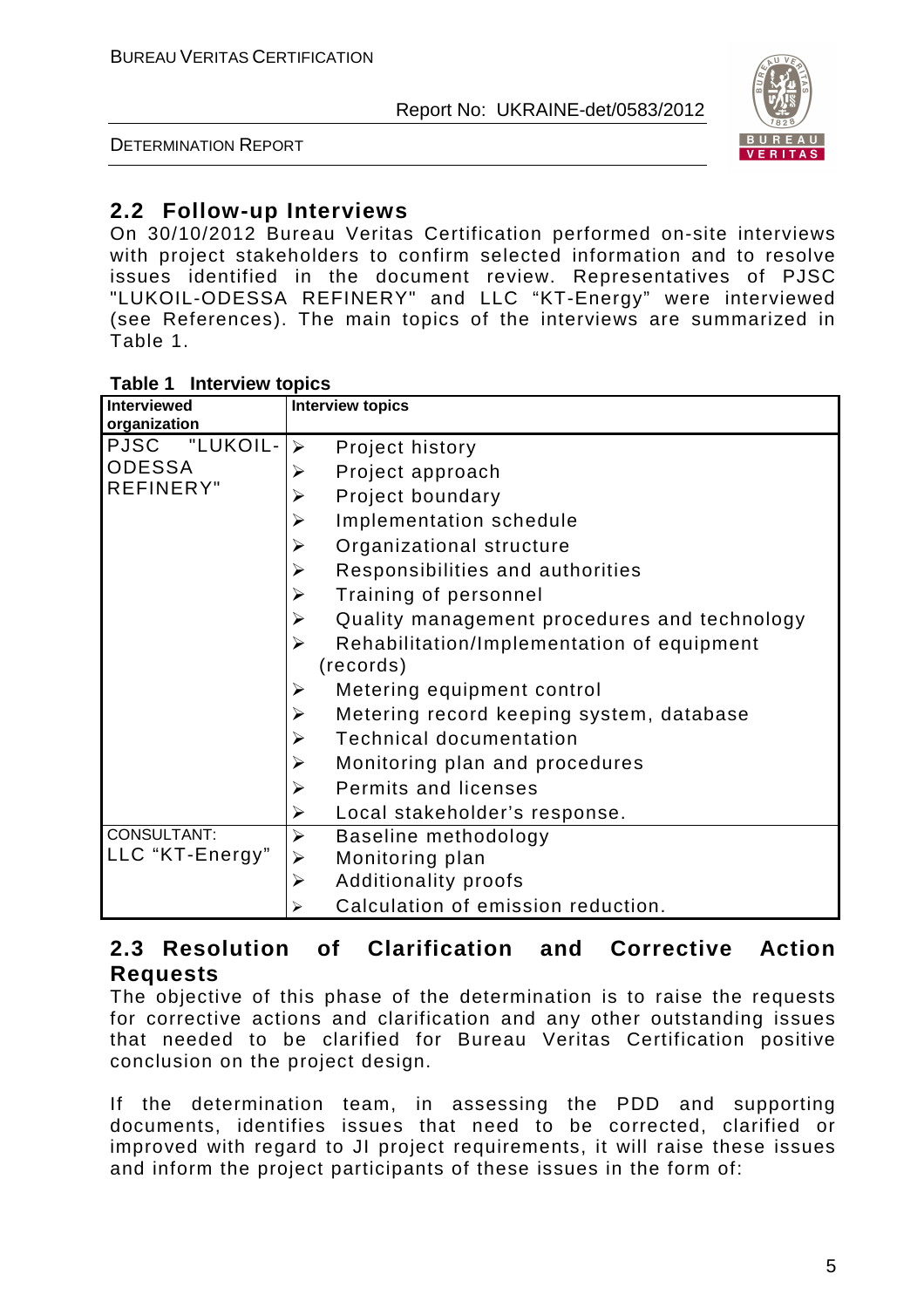DETERMINATION REPORT



# **2.2 Follow-up Interviews**

On 30/10/2012 Bureau Veritas Certification performed on-site interviews with project stakeholders to confirm selected information and to resolve issues identified in the document review. Representatives of PJSC "LUKOIL-ODESSA REFINERY" and LLC "KT-Energy" were interviewed (see References). The main topics of the interviews are summarized in Table 1.

| <b>Interviewed</b><br>organization | <b>Interview topics</b>                              |
|------------------------------------|------------------------------------------------------|
| "LUKOIL-<br><b>PJSC</b>            | Project history<br>$\blacktriangleright$             |
| <b>ODESSA</b>                      | Project approach<br>➤                                |
| <b>REFINERY"</b>                   | Project boundary<br>➤                                |
|                                    | Implementation schedule<br>➤                         |
|                                    | Organizational structure<br>➤                        |
|                                    | Responsibilities and authorities<br>➤                |
|                                    | Training of personnel<br>➤                           |
|                                    | Quality management procedures and technology<br>➤    |
|                                    | Rehabilitation/Implementation of equipment<br>➤      |
|                                    | (records)                                            |
|                                    | Metering equipment control<br>➤                      |
|                                    | Metering record keeping system, database<br>➤        |
|                                    | <b>Technical documentation</b><br>➤                  |
|                                    | Monitoring plan and procedures<br>➤                  |
|                                    | Permits and licenses<br>$\blacktriangleright$        |
|                                    | Local stakeholder's response.<br>➤                   |
| CONSULTANT:                        | Baseline methodology<br>$\blacktriangleright$        |
| LLC "KT-Energy"                    | Monitoring plan                                      |
|                                    | <b>Additionality proofs</b><br>$\blacktriangleright$ |
|                                    | Calculation of emission reduction.                   |

### **2.3 Resolution of Clarification and Corrective Action Requests**

The objective of this phase of the determination is to raise the requests for corrective actions and clarification and any other outstanding issues that needed to be clarified for Bureau Veritas Certification positive conclusion on the project design.

If the determination team, in assessing the PDD and supporting documents, identifies issues that need to be corrected, clarified or improved with regard to JI project requirements, it will raise these issues and inform the project participants of these issues in the form of: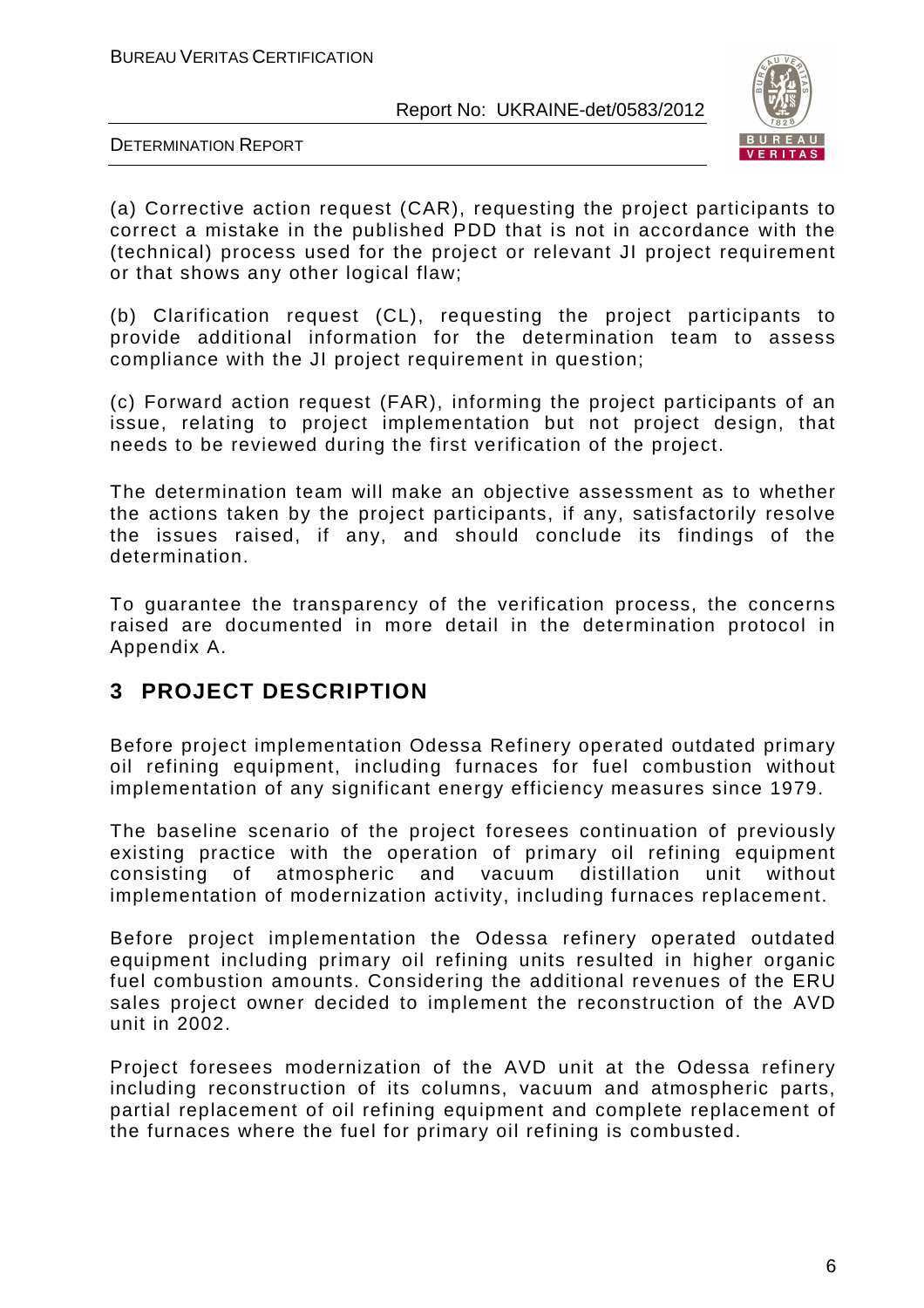

DETERMINATION REPORT

(a) Corrective action request (CAR), requesting the project participants to correct a mistake in the published PDD that is not in accordance with the (technical) process used for the project or relevant JI project requirement or that shows any other logical flaw;

(b) Clarification request (CL), requesting the project participants to provide additional information for the determination team to assess compliance with the JI project requirement in question;

(c) Forward action request (FAR), informing the project participants of an issue, relating to project implementation but not project design, that needs to be reviewed during the first verification of the project.

The determination team will make an objective assessment as to whether the actions taken by the project participants, if any, satisfactorily resolve the issues raised, if any, and should conclude its findings of the determination.

To guarantee the transparency of the verification process, the concerns raised are documented in more detail in the determination protocol in Appendix A.

# **3 PROJECT DESCRIPTION**

Before project implementation Odessa Refinery operated outdated primary oil refining equipment, including furnaces for fuel combustion without implementation of any significant energy efficiency measures since 1979.

The baseline scenario of the project foresees continuation of previously existing practice with the operation of primary oil refining equipment consisting of atmospheric and vacuum distillation unit without implementation of modernization activity, including furnaces replacement.

Before project implementation the Odessa refinery operated outdated equipment including primary oil refining units resulted in higher organic fuel combustion amounts. Considering the additional revenues of the ERU sales project owner decided to implement the reconstruction of the AVD unit in 2002.

Project foresees modernization of the AVD unit at the Odessa refinery including reconstruction of its columns, vacuum and atmospheric parts, partial replacement of oil refining equipment and complete replacement of the furnaces where the fuel for primary oil refining is combusted.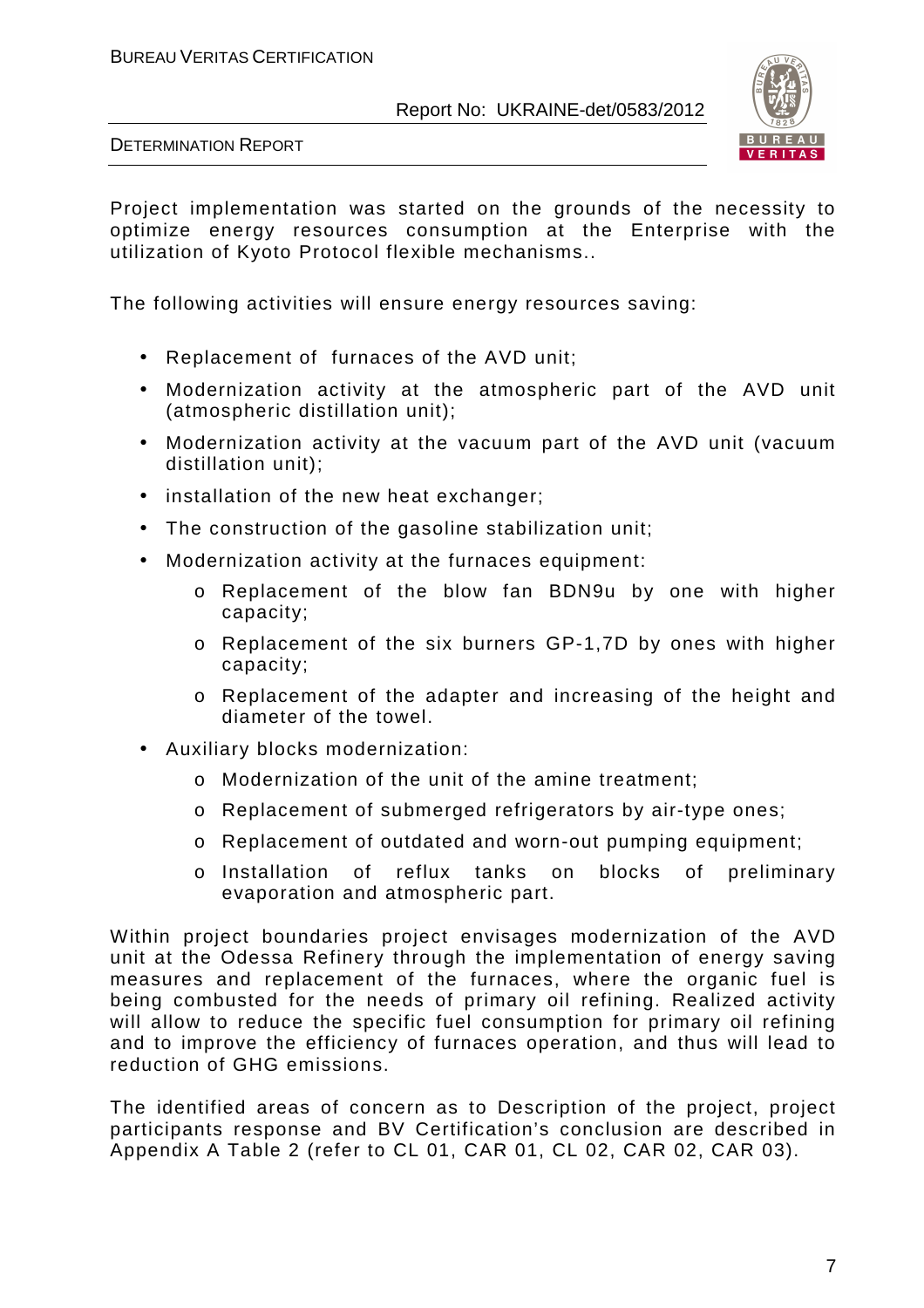

DETERMINATION REPORT

Project implementation was started on the grounds of the necessity to optimize energy resources consumption at the Enterprise with the utilization of Kyoto Protocol flexible mechanisms..

The following activities will ensure energy resources saving:

- Replacement of furnaces of the AVD unit;
- Modernization activity at the atmospheric part of the AVD unit (atmospheric distillation unit);
- Modernization activity at the vacuum part of the AVD unit (vacuum distillation unit);
- installation of the new heat exchanger;
- The construction of the gasoline stabilization unit;
- Modernization activity at the furnaces equipment:
	- o Replacement of the blow fan BDN9u by one with higher capacity;
	- o Replacement of the six burners GP-1,7D by ones with higher capacity;
	- o Replacement of the adapter and increasing of the height and diameter of the towel.
- Auxiliary blocks modernization:
	- o Modernization of the unit of the amine treatment;
	- o Replacement of submerged refrigerators by air-type ones;
	- o Replacement of outdated and worn-out pumping equipment;
	- o Installation of reflux tanks on blocks of preliminary evaporation and atmospheric part.

Within project boundaries project envisages modernization of the AVD unit at the Odessa Refinery through the implementation of energy saving measures and replacement of the furnaces, where the organic fuel is being combusted for the needs of primary oil refining. Realized activity will allow to reduce the specific fuel consumption for primary oil refining and to improve the efficiency of furnaces operation, and thus will lead to reduction of GHG emissions.

The identified areas of concern as to Description of the project, project participants response and BV Certification's conclusion are described in Appendix A Table 2 (refer to CL 01, CAR 01, CL 02, CAR 02, CAR 03).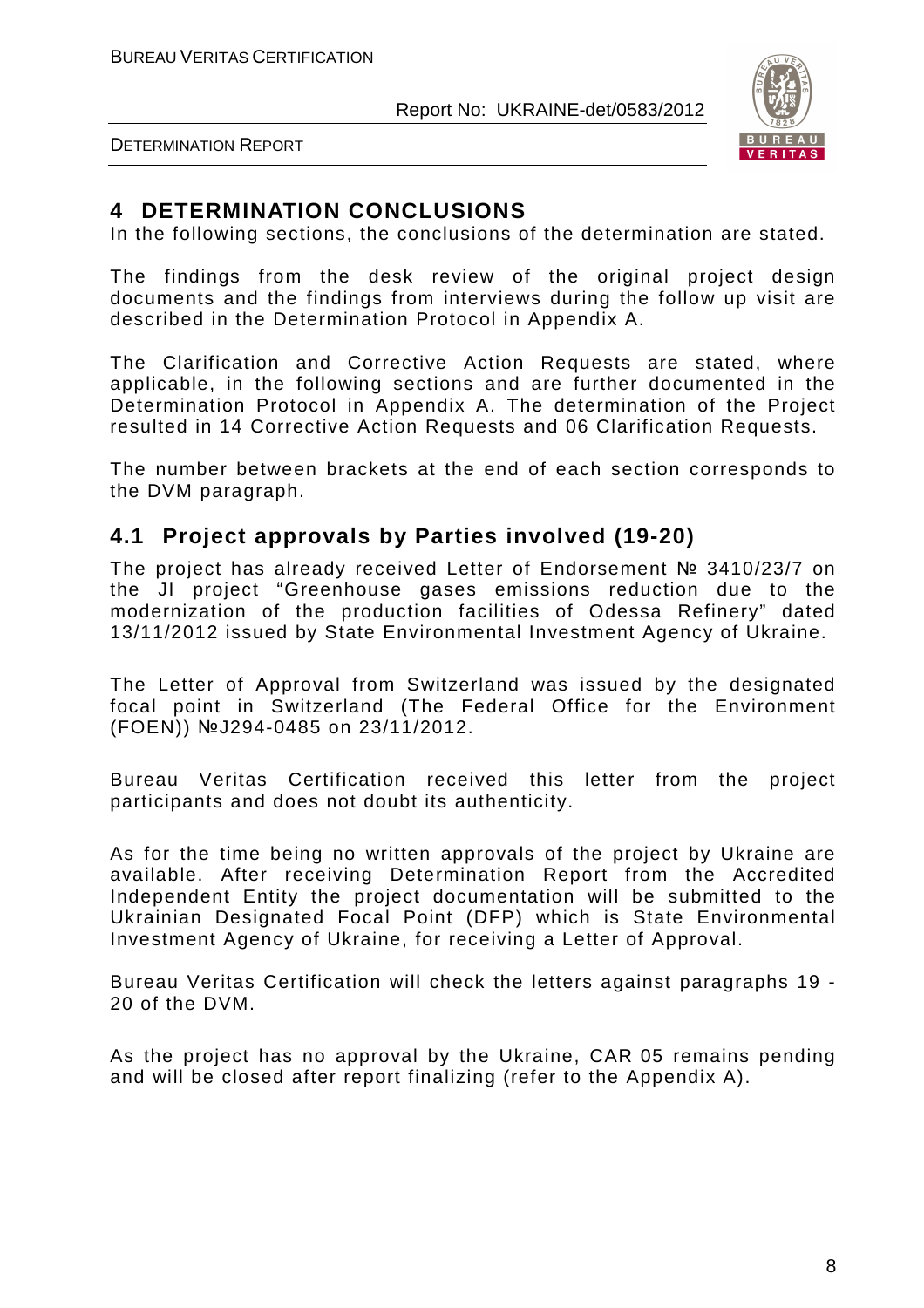

DETERMINATION REPORT

# **4 DETERMINATION CONCLUSIONS**

In the following sections, the conclusions of the determination are stated.

The findings from the desk review of the original project design documents and the findings from interviews during the follow up visit are described in the Determination Protocol in Appendix A.

The Clarification and Corrective Action Requests are stated, where applicable, in the following sections and are further documented in the Determination Protocol in Appendix A. The determination of the Project resulted in 14 Corrective Action Requests and 06 Clarification Requests.

The number between brackets at the end of each section corresponds to the DVM paragraph.

# **4.1 Project approvals by Parties involved (19-20)**

The project has already received Letter of Endorsement № 3410/23/7 on the JI project "Greenhouse gases emissions reduction due to the modernization of the production facilities of Odessa Refinery" dated 13/11/2012 issued by State Environmental Investment Agency of Ukraine.

The Letter of Approval from Switzerland was issued by the designated focal point in Switzerland (The Federal Office for the Environment (FOEN)) №J294-0485 on 23/11/2012.

Bureau Veritas Certification received this letter from the project participants and does not doubt its authenticity.

As for the time being no written approvals of the project by Ukraine are available. After receiving Determination Report from the Accredited Independent Entity the project documentation will be submitted to the Ukrainian Designated Focal Point (DFP) which is State Environmental Investment Agency of Ukraine, for receiving a Letter of Approval.

Bureau Veritas Certification will check the letters against paragraphs 19 - 20 of the DVM.

As the project has no approval by the Ukraine, CAR 05 remains pending and will be closed after report finalizing (refer to the Appendix A).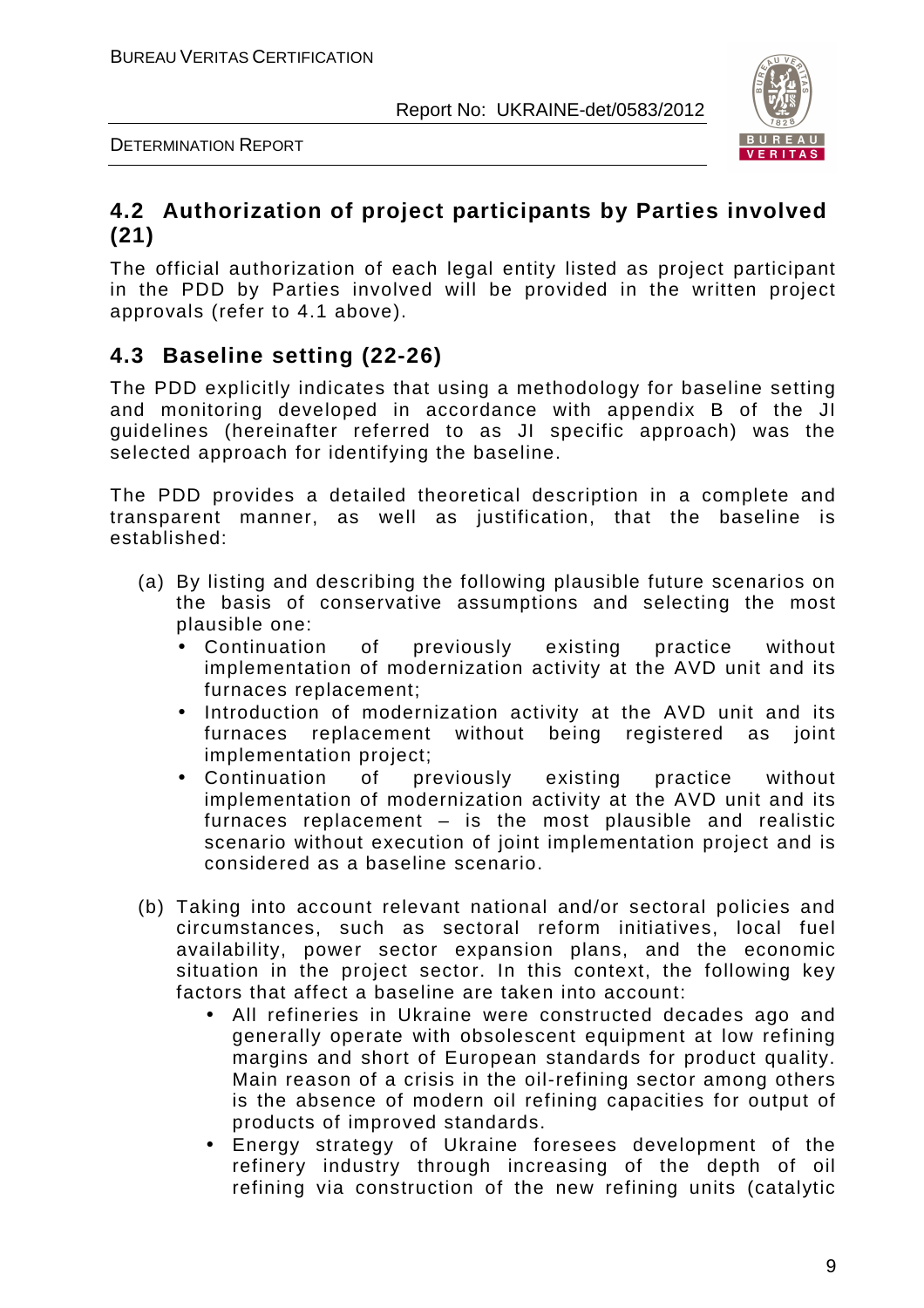

DETERMINATION REPORT

# **4.2 Authorization of project participants by Parties involved (21)**

The official authorization of each legal entity listed as project participant in the PDD by Parties involved will be provided in the written project approvals (refer to 4.1 above).

# **4.3 Baseline setting (22-26)**

The PDD explicitly indicates that using a methodology for baseline setting and monitoring developed in accordance with appendix B of the JI guidelines (hereinafter referred to as JI specific approach) was the selected approach for identifying the baseline.

The PDD provides a detailed theoretical description in a complete and transparent manner, as well as justification, that the baseline is established:

- (a) By listing and describing the following plausible future scenarios on the basis of conservative assumptions and selecting the most plausible one:
	- Continuation of previously existing practice without implementation of modernization activity at the AVD unit and its furnaces replacement;
	- Introduction of modernization activity at the AVD unit and its furnaces replacement without being registered as joint implementation project;
	- Continuation of previously existing practice without implementation of modernization activity at the AVD unit and its furnaces replacement – is the most plausible and realistic scenario without execution of joint implementation project and is considered as a baseline scenario.
- (b) Taking into account relevant national and/or sectoral policies and circumstances, such as sectoral reform initiatives, local fuel availability, power sector expansion plans, and the economic situation in the project sector. In this context, the following key factors that affect a baseline are taken into account:
	- All refineries in Ukraine were constructed decades ago and generally operate with obsolescent equipment at low refining margins and short of European standards for product quality. Main reason of a crisis in the oil-refining sector among others is the absence of modern oil refining capacities for output of products of improved standards.
	- Energy strategy of Ukraine foresees development of the refinery industry through increasing of the depth of oil refining via construction of the new refining units (catalytic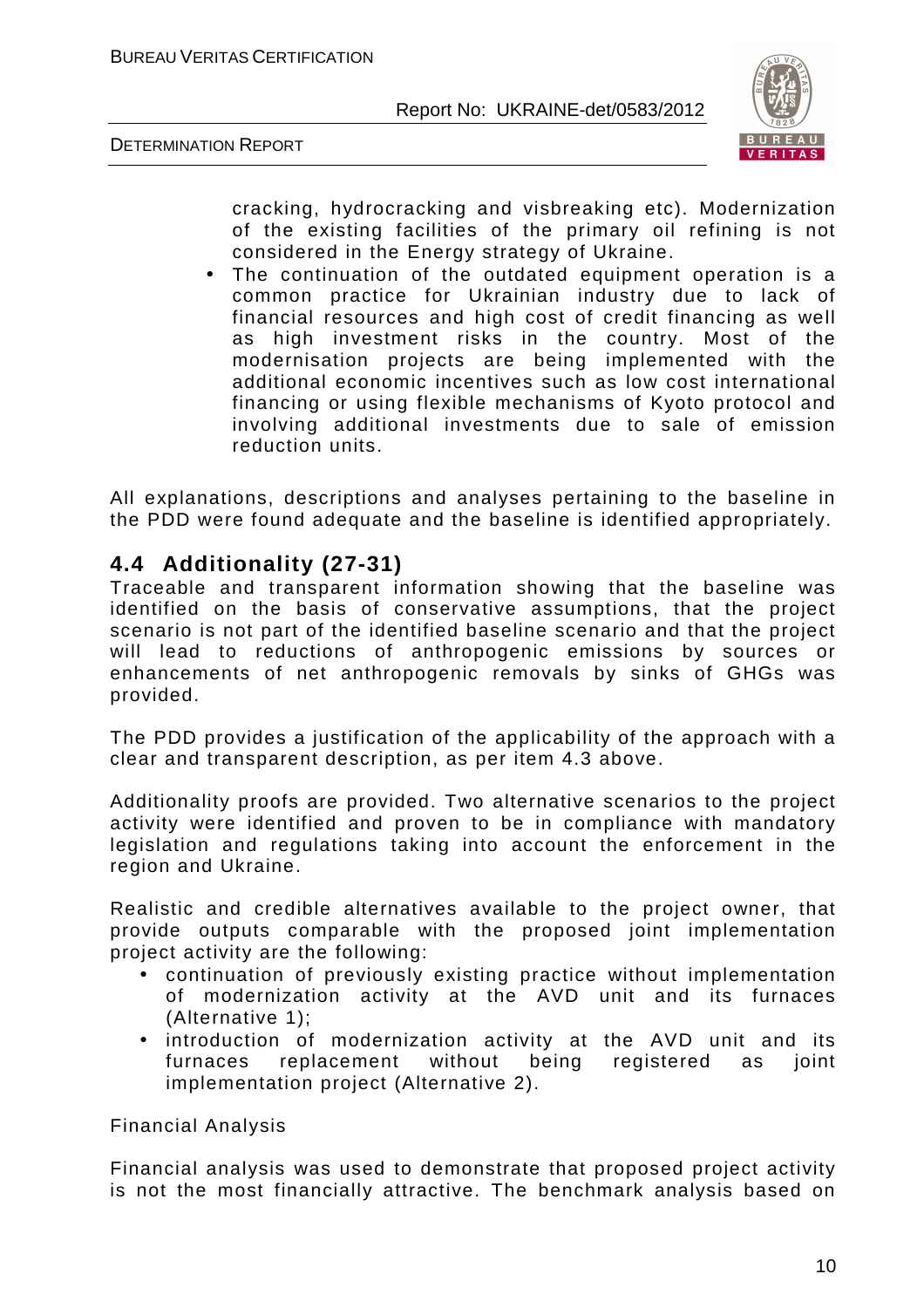



cracking, hydrocracking and visbreaking etc). Modernization of the existing facilities of the primary oil refining is not considered in the Energy strategy of Ukraine.

The continuation of the outdated equipment operation is a common practice for Ukrainian industry due to lack of financial resources and high cost of credit financing as well as high investment risks in the country. Most of the modernisation projects are being implemented with the additional economic incentives such as low cost international financing or using flexible mechanisms of Kyoto protocol and involving additional investments due to sale of emission reduction units.

All explanations, descriptions and analyses pertaining to the baseline in the PDD were found adequate and the baseline is identified appropriately.

# **4.4 Additionality (27-31)**

Traceable and transparent information showing that the baseline was identified on the basis of conservative assumptions, that the project scenario is not part of the identified baseline scenario and that the project will lead to reductions of anthropogenic emissions by sources or enhancements of net anthropogenic removals by sinks of GHGs was provided.

The PDD provides a justification of the applicability of the approach with a clear and transparent description, as per item 4.3 above.

Additionality proofs are provided. Two alternative scenarios to the project activity were identified and proven to be in compliance with mandatory legislation and regulations taking into account the enforcement in the region and Ukraine.

Realistic and credible alternatives available to the project owner, that provide outputs comparable with the proposed joint implementation project activity are the following:

- continuation of previously existing practice without implementation of modernization activity at the AVD unit and its furnaces (Alternative 1);
- introduction of modernization activity at the AVD unit and its furnaces replacement without being registered as joint implementation project (Alternative 2).

Financial Analysis

Financial analysis was used to demonstrate that proposed project activity is not the most financially attractive. The benchmark analysis based on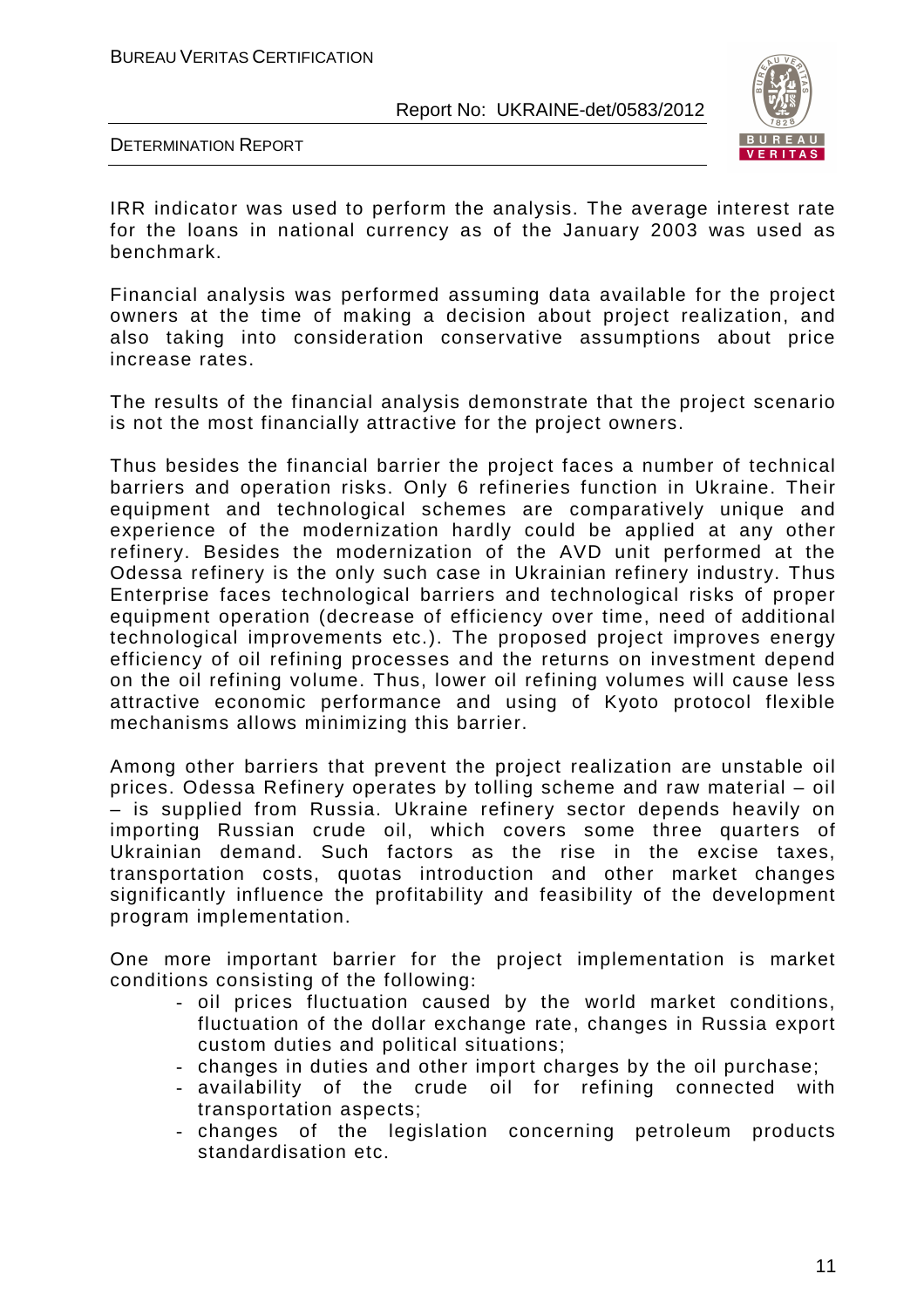

DETERMINATION REPORT

IRR indicator was used to perform the analysis. The average interest rate for the loans in national currency as of the January 2003 was used as benchmark.

Financial analysis was performed assuming data available for the project owners at the time of making a decision about project realization, and also taking into consideration conservative assumptions about price increase rates.

The results of the financial analysis demonstrate that the project scenario is not the most financially attractive for the project owners.

Thus besides the financial barrier the project faces a number of technical barriers and operation risks. Only 6 refineries function in Ukraine. Their equipment and technological schemes are comparatively unique and experience of the modernization hardly could be applied at any other refinery. Besides the modernization of the AVD unit performed at the Odessa refinery is the only such case in Ukrainian refinery industry. Thus Enterprise faces technological barriers and technological risks of proper equipment operation (decrease of efficiency over time, need of additional technological improvements etc.). The proposed project improves energy efficiency of oil refining processes and the returns on investment depend on the oil refining volume. Thus, lower oil refining volumes will cause less attractive economic performance and using of Kyoto protocol flexible mechanisms allows minimizing this barrier.

Among other barriers that prevent the project realization are unstable oil prices. Odessa Refinery operates by tolling scheme and raw material – oil – is supplied from Russia. Ukraine refinery sector depends heavily on importing Russian crude oil, which covers some three quarters of Ukrainian demand. Such factors as the rise in the excise taxes, transportation costs, quotas introduction and other market changes significantly influence the profitability and feasibility of the development program implementation.

One more important barrier for the project implementation is market conditions consisting of the following:

- oil prices fluctuation caused by the world market conditions, fluctuation of the dollar exchange rate, changes in Russia export custom duties and political situations;
- changes in duties and other import charges by the oil purchase;
- availability of the crude oil for refining connected with transportation aspects;
- changes of the legislation concerning petroleum products standardisation etc.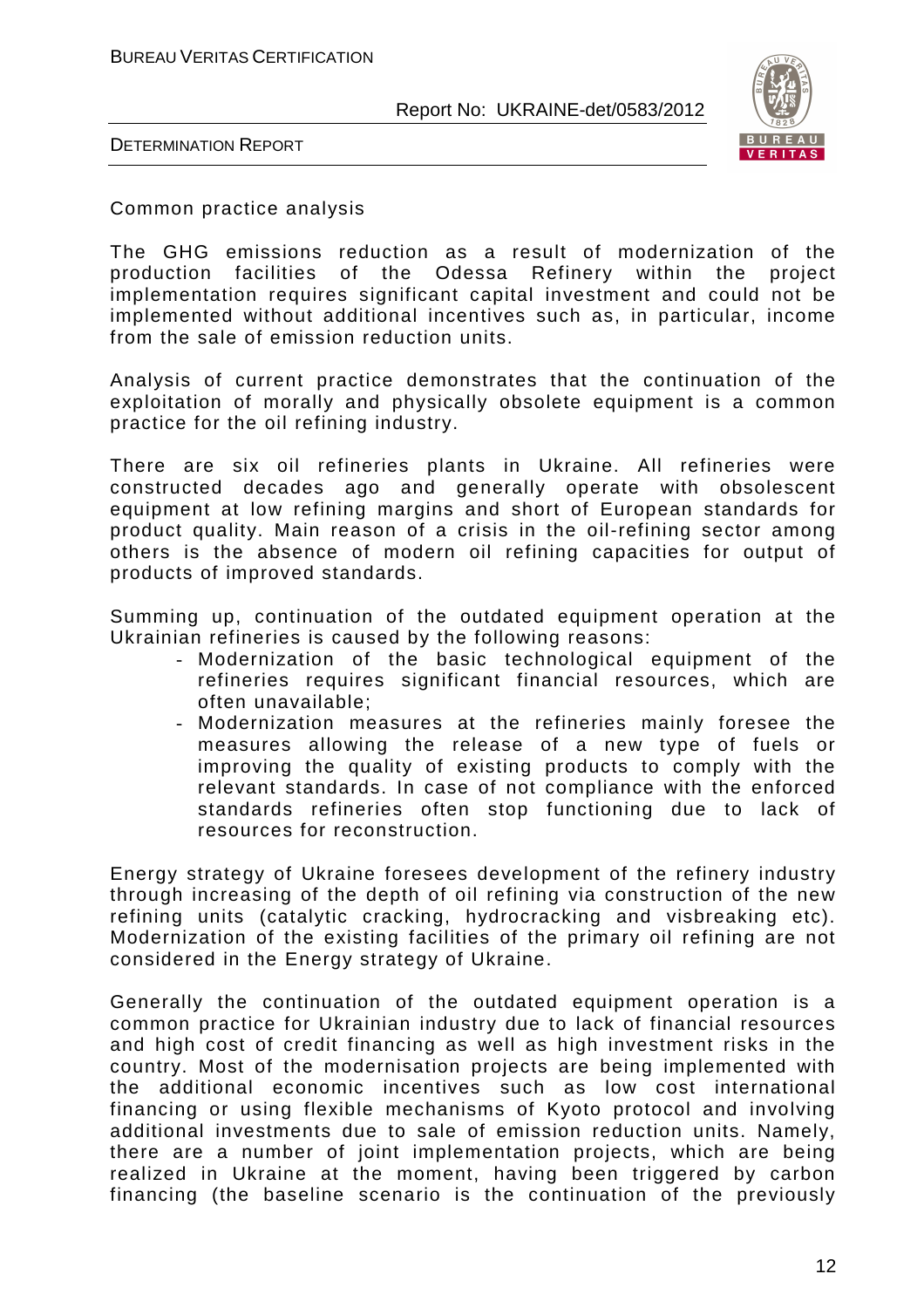

DETERMINATION REPORT

Common practice analysis

The GHG emissions reduction as a result of modernization of the production facilities of the Odessa Refinery within the project implementation requires significant capital investment and could not be implemented without additional incentives such as, in particular, income from the sale of emission reduction units.

Analysis of current practice demonstrates that the continuation of the exploitation of morally and physically obsolete equipment is a common practice for the oil refining industry.

There are six oil refineries plants in Ukraine. All refineries were constructed decades ago and generally operate with obsolescent equipment at low refining margins and short of European standards for product quality. Main reason of a crisis in the oil-refining sector among others is the absence of modern oil refining capacities for output of products of improved standards.

Summing up, continuation of the outdated equipment operation at the Ukrainian refineries is caused by the following reasons:

- Modernization of the basic technological equipment of the refineries requires significant financial resources, which are often unavailable;
- Modernization measures at the refineries mainly foresee the measures allowing the release of a new type of fuels or improving the quality of existing products to comply with the relevant standards. In case of not compliance with the enforced standards refineries often stop functioning due to lack of resources for reconstruction.

Energy strategy of Ukraine foresees development of the refinery industry through increasing of the depth of oil refining via construction of the new refining units (catalytic cracking, hydrocracking and visbreaking etc). Modernization of the existing facilities of the primary oil refining are not considered in the Energy strategy of Ukraine.

Generally the continuation of the outdated equipment operation is a common practice for Ukrainian industry due to lack of financial resources and high cost of credit financing as well as high investment risks in the country. Most of the modernisation projects are being implemented with the additional economic incentives such as low cost international financing or using flexible mechanisms of Kyoto protocol and involving additional investments due to sale of emission reduction units. Namely, there are a number of joint implementation projects, which are being realized in Ukraine at the moment, having been triggered by carbon financing (the baseline scenario is the continuation of the previously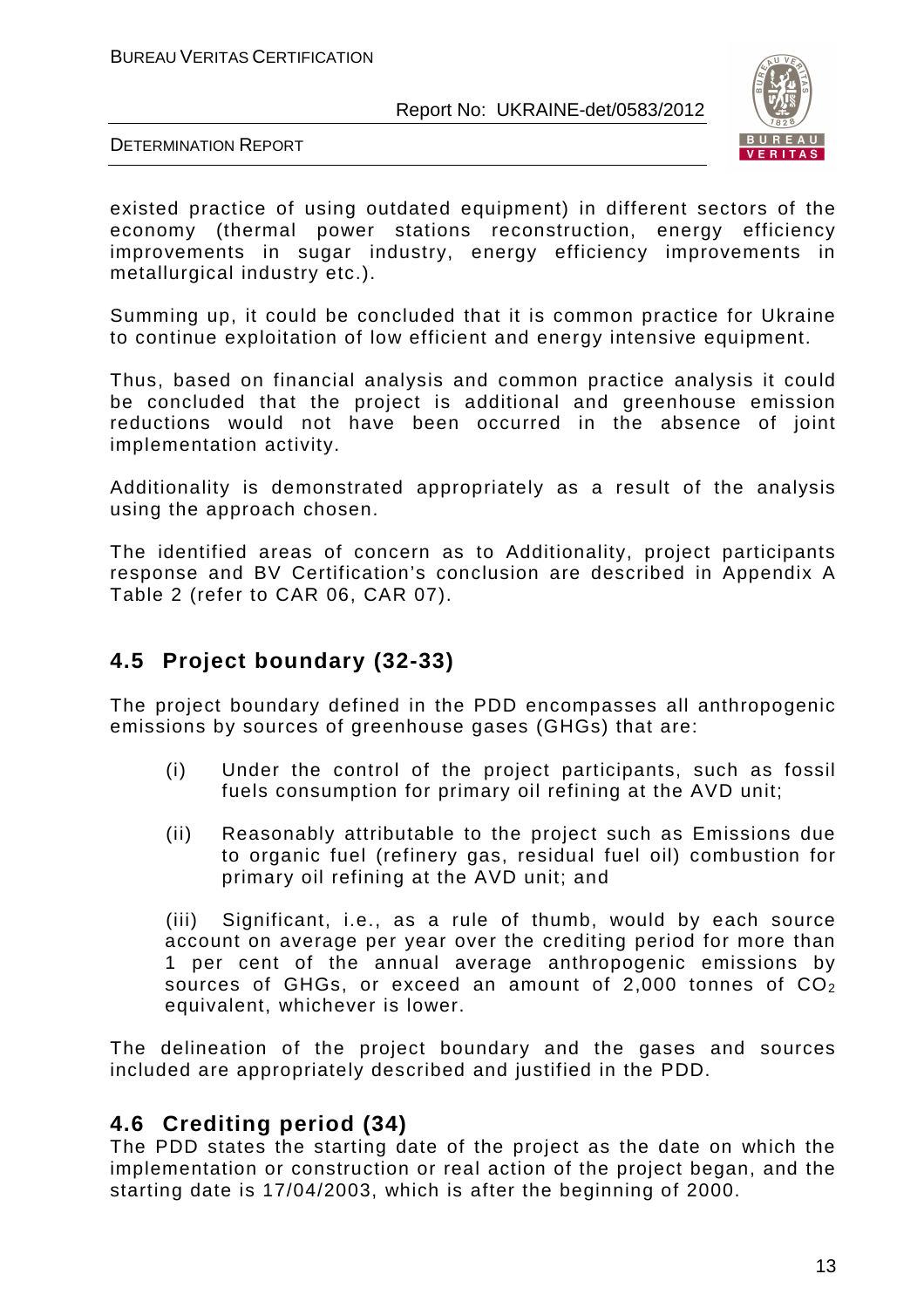

DETERMINATION REPORT

existed practice of using outdated equipment) in different sectors of the economy (thermal power stations reconstruction, energy efficiency improvements in sugar industry, energy efficiency improvements in metallurgical industry etc.).

Summing up, it could be concluded that it is common practice for Ukraine to continue exploitation of low efficient and energy intensive equipment.

Thus, based on financial analysis and common practice analysis it could be concluded that the project is additional and greenhouse emission reductions would not have been occurred in the absence of joint implementation activity.

Additionality is demonstrated appropriately as a result of the analysis using the approach chosen.

The identified areas of concern as to Additionality, project participants response and BV Certification's conclusion are described in Appendix A Table 2 (refer to CAR 06, CAR 07).

# **4.5 Project boundary (32-33)**

The project boundary defined in the PDD encompasses all anthropogenic emissions by sources of greenhouse gases (GHGs) that are:

- (i) Under the control of the project participants, such as fossil fuels consumption for primary oil refining at the AVD unit;
- (ii) Reasonably attributable to the project such as Emissions due to organic fuel (refinery gas, residual fuel oil) combustion for primary oil refining at the AVD unit; and

(iii) Significant, i.e., as a rule of thumb, would by each source account on average per year over the crediting period for more than 1 per cent of the annual average anthropogenic emissions by sources of GHGs, or exceed an amount of 2,000 tonnes of  $CO<sub>2</sub>$ equivalent, whichever is lower.

The delineation of the project boundary and the gases and sources included are appropriately described and justified in the PDD.

# **4.6 Crediting period (34)**

The PDD states the starting date of the project as the date on which the implementation or construction or real action of the project began, and the starting date is 17/04/2003, which is after the beginning of 2000.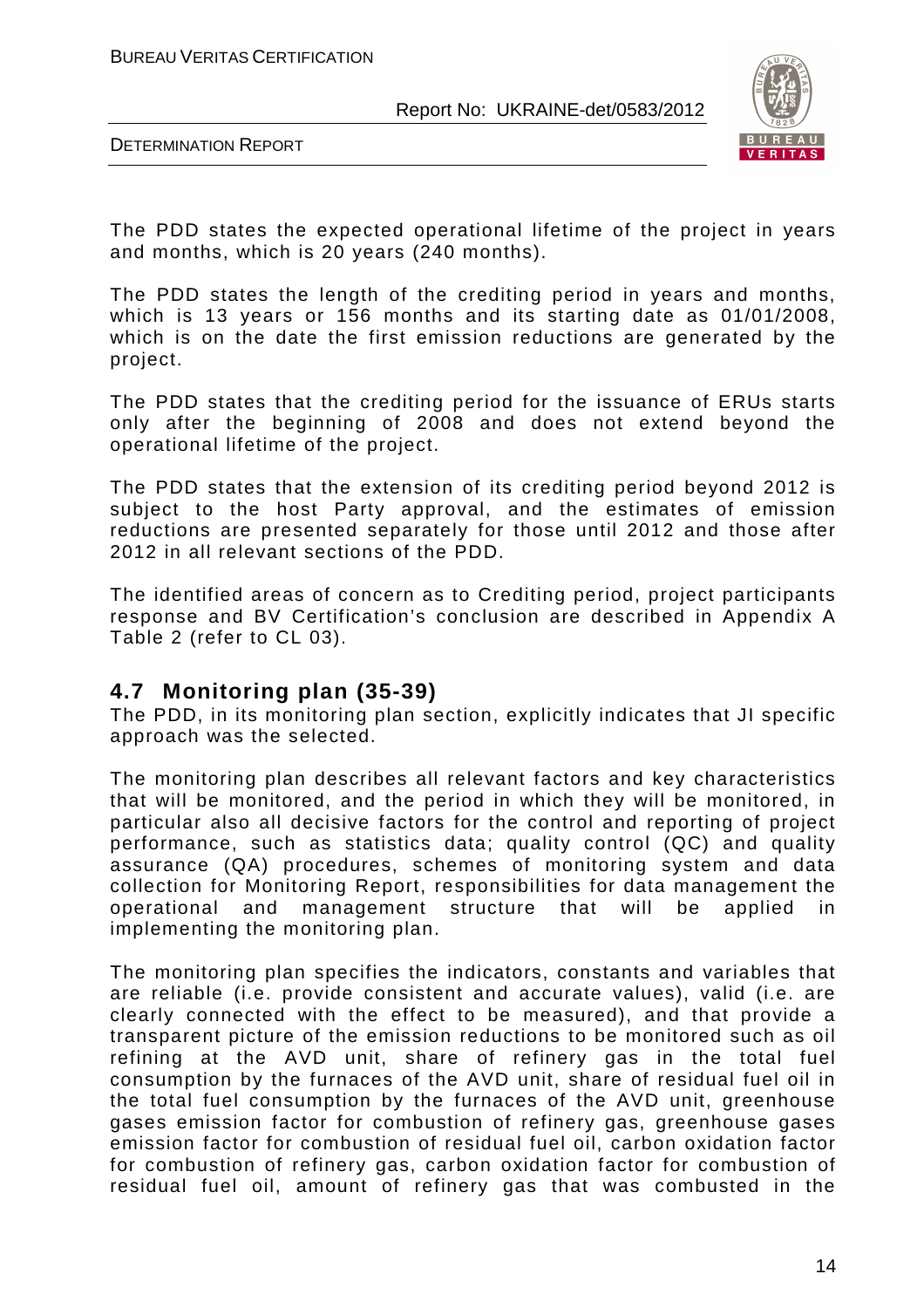

DETERMINATION REPORT

The PDD states the expected operational lifetime of the project in years and months, which is 20 years (240 months).

The PDD states the length of the crediting period in years and months, which is 13 years or 156 months and its starting date as 01/01/2008, which is on the date the first emission reductions are generated by the project.

The PDD states that the crediting period for the issuance of ERUs starts only after the beginning of 2008 and does not extend beyond the operational lifetime of the project.

The PDD states that the extension of its crediting period beyond 2012 is subject to the host Party approval, and the estimates of emission reductions are presented separately for those until 2012 and those after 2012 in all relevant sections of the PDD.

The identified areas of concern as to Crediting period, project participants response and BV Certification's conclusion are described in Appendix A Table 2 (refer to CL 03).

# **4.7 Monitoring plan (35-39)**

The PDD, in its monitoring plan section, explicitly indicates that JI specific approach was the selected.

The monitoring plan describes all relevant factors and key characteristics that will be monitored, and the period in which they will be monitored, in particular also all decisive factors for the control and reporting of project performance, such as statistics data; quality control (QC) and quality assurance (QA) procedures, schemes of monitoring system and data collection for Monitoring Report, responsibilities for data management the operational and management structure that will be applied in implementing the monitoring plan.

The monitoring plan specifies the indicators, constants and variables that are reliable (i.e. provide consistent and accurate values), valid (i.e. are clearly connected with the effect to be measured), and that provide a transparent picture of the emission reductions to be monitored such as oil refining at the AVD unit, share of refinery gas in the total fuel consumption by the furnaces of the AVD unit, share of residual fuel oil in the total fuel consumption by the furnaces of the AVD unit, greenhouse gases emission factor for combustion of refinery gas, greenhouse gases emission factor for combustion of residual fuel oil, carbon oxidation factor for combustion of refinery gas, carbon oxidation factor for combustion of residual fuel oil, amount of refinery gas that was combusted in the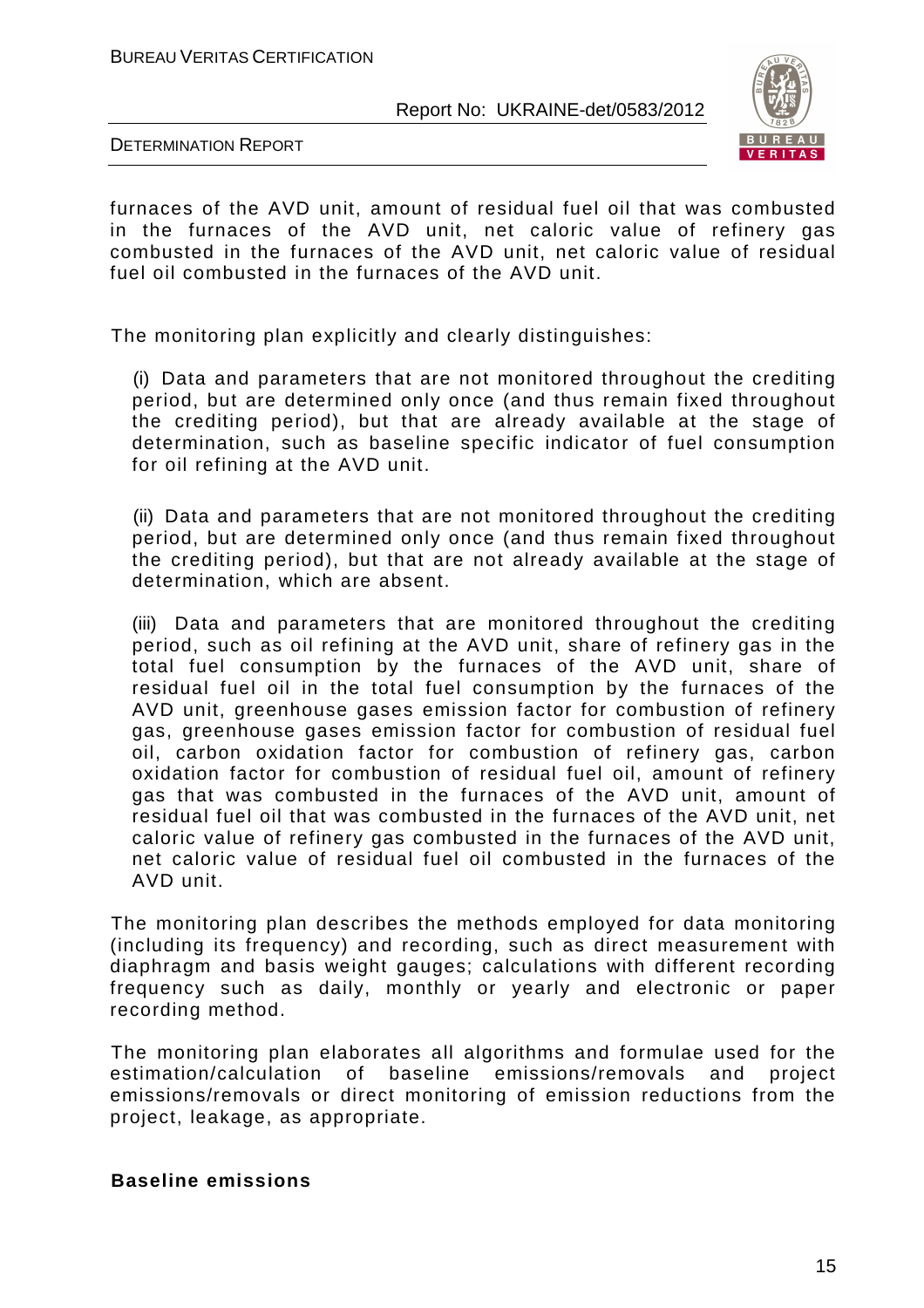

DETERMINATION REPORT

furnaces of the AVD unit, amount of residual fuel oil that was combusted in the furnaces of the AVD unit, net caloric value of refinery gas combusted in the furnaces of the AVD unit, net caloric value of residual fuel oil combusted in the furnaces of the AVD unit.

The monitoring plan explicitly and clearly distinguishes:

(i) Data and parameters that are not monitored throughout the crediting period, but are determined only once (and thus remain fixed throughout the crediting period), but that are already available at the stage of determination, such as baseline specific indicator of fuel consumption for oil refining at the AVD unit.

(ii) Data and parameters that are not monitored throughout the crediting period, but are determined only once (and thus remain fixed throughout the crediting period), but that are not already available at the stage of determination, which are absent.

(iii) Data and parameters that are monitored throughout the crediting period, such as oil refining at the AVD unit, share of refinery gas in the total fuel consumption by the furnaces of the AVD unit, share of residual fuel oil in the total fuel consumption by the furnaces of the AVD unit, greenhouse gases emission factor for combustion of refinery gas, greenhouse gases emission factor for combustion of residual fuel oil, carbon oxidation factor for combustion of refinery gas, carbon oxidation factor for combustion of residual fuel oil, amount of refinery gas that was combusted in the furnaces of the AVD unit, amount of residual fuel oil that was combusted in the furnaces of the AVD unit, net caloric value of refinery gas combusted in the furnaces of the AVD unit, net caloric value of residual fuel oil combusted in the furnaces of the AVD unit.

The monitoring plan describes the methods employed for data monitoring (including its frequency) and recording, such as direct measurement with diaphragm and basis weight gauges; calculations with different recording frequency such as daily, monthly or yearly and electronic or paper recording method.

The monitoring plan elaborates all algorithms and formulae used for the estimation/calculation of baseline emissions/removals and project emissions/removals or direct monitoring of emission reductions from the project, leakage, as appropriate.

#### **Baseline emissions**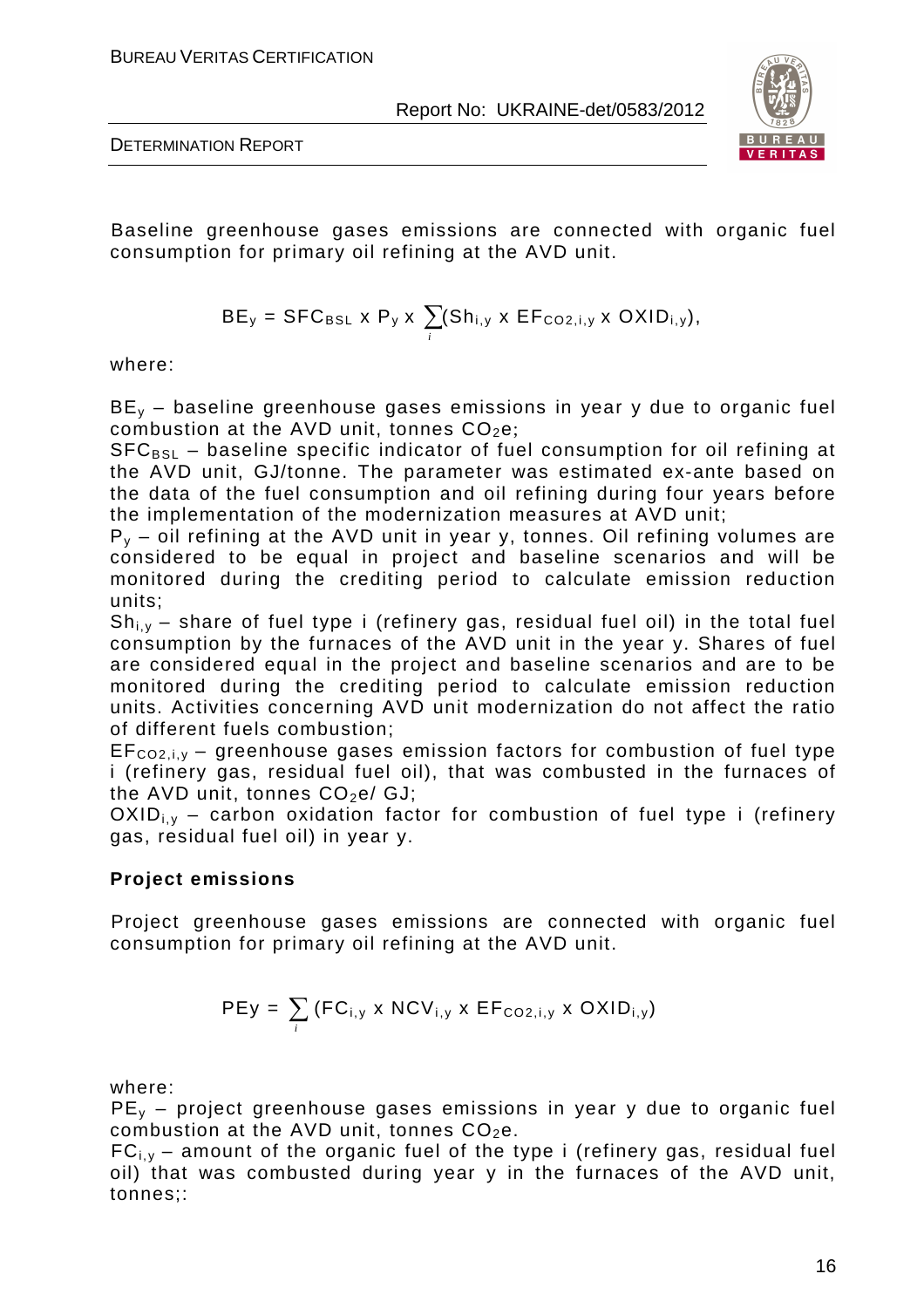

DETERMINATION REPORT

Baseline greenhouse gases emissions are connected with organic fuel consumption for primary oil refining at the AVD unit.

$$
BE_y = SFC_{BSL} \times P_y \times \sum_i (Sh_{i,y} \times EF_{CO2,i,y} \times OXID_{i,y}),
$$

where:

 $BE<sub>v</sub>$  – baseline greenhouse gases emissions in year y due to organic fuel combustion at the AVD unit, tonnes  $CO<sub>2</sub>e$ ;

 $SFC<sub>BSL</sub>$  – baseline specific indicator of fuel consumption for oil refining at the AVD unit, GJ/tonne. The parameter was estimated ex-ante based on the data of the fuel consumption and oil refining during four years before the implementation of the modernization measures at AVD unit;

 $P_y$  – oil refining at the AVD unit in year y, tonnes. Oil refining volumes are considered to be equal in project and baseline scenarios and will be monitored during the crediting period to calculate emission reduction units;

 $Sh_{i,y}$  – share of fuel type i (refinery gas, residual fuel oil) in the total fuel consumption by the furnaces of the AVD unit in the year y. Shares of fuel are considered equal in the project and baseline scenarios and are to be monitored during the crediting period to calculate emission reduction units. Activities concerning AVD unit modernization do not affect the ratio of different fuels combustion;

 $EF_{CO2,i,v}$  – greenhouse gases emission factors for combustion of fuel type i (refinery gas, residual fuel oil), that was combusted in the furnaces of the AVD unit, tonnes  $CO<sub>2</sub>e/GJ$ :

 $OXID_{i,v}$  – carbon oxidation factor for combustion of fuel type i (refinery gas, residual fuel oil) in year y.

#### **Project emissions**

Project greenhouse gases emissions are connected with organic fuel consumption for primary oil refining at the AVD unit.

$$
PEy = \sum_{i} (FC_{i,y} \times NCV_{i,y} \times EF_{CO2,i,y} \times OXID_{i,y})
$$

where:

 $PE<sub>v</sub>$  – project greenhouse gases emissions in year y due to organic fuel combustion at the AVD unit, tonnes  $CO<sub>2</sub>e$ .

 $FC_{i,y}$  – amount of the organic fuel of the type i (refinery gas, residual fuel oil) that was combusted during year y in the furnaces of the AVD unit, tonnes;: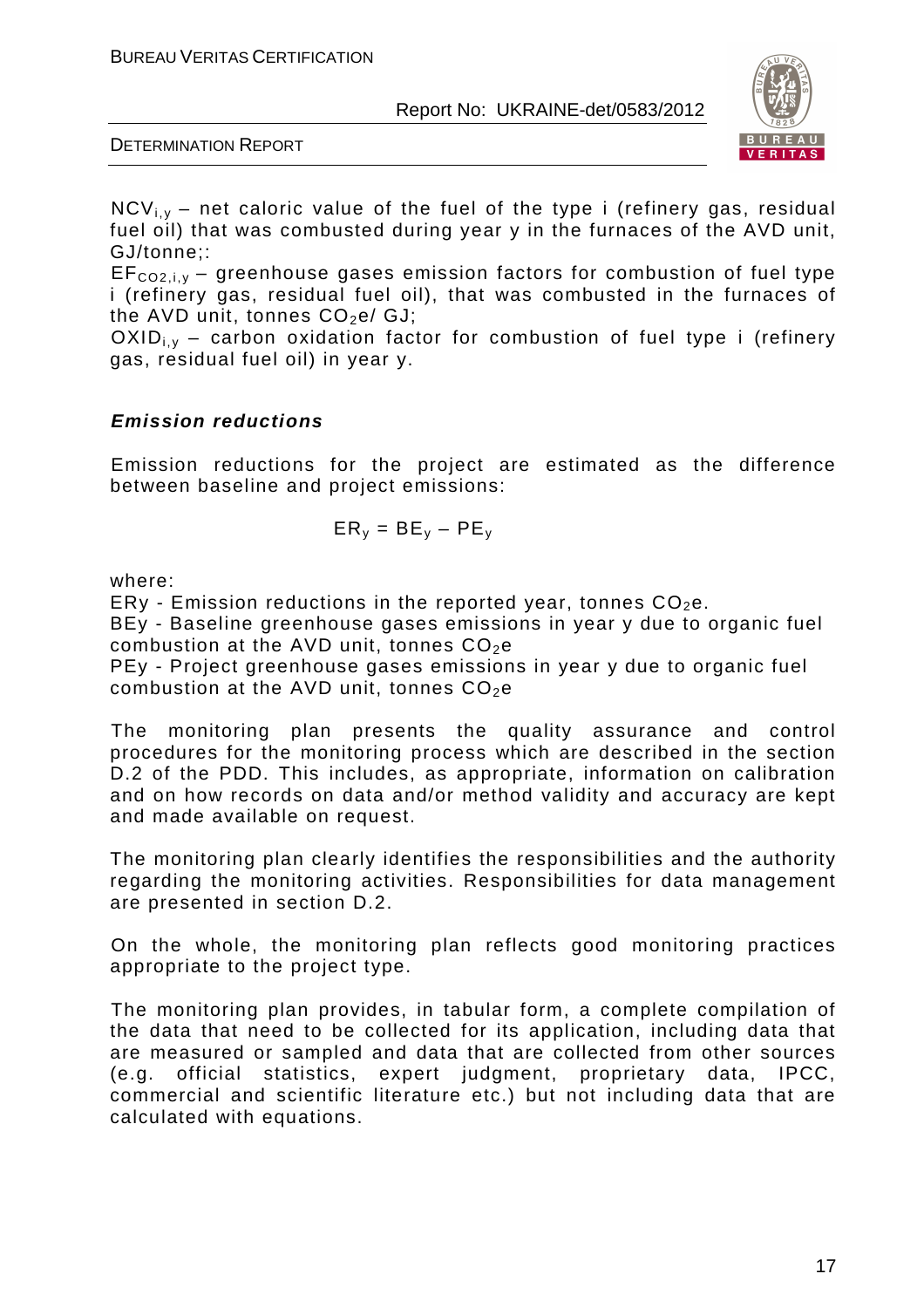



 $NCV_{i,v}$  – net caloric value of the fuel of the type i (refinery gas, residual fuel oil) that was combusted during year y in the furnaces of the AVD unit, GJ/tonne;:

 $EF_{CO2,i,v}$  – greenhouse gases emission factors for combustion of fuel type i (refinery gas, residual fuel oil), that was combusted in the furnaces of the AVD unit, tonnes  $CO<sub>2</sub>e/GJ$ ;

 $OXID_{i,v}$  – carbon oxidation factor for combustion of fuel type i (refinery gas, residual fuel oil) in year y.

#### **Emission reductions**

Emission reductions for the project are estimated as the difference between baseline and project emissions:

$$
\mathsf{ER}_y = \mathsf{BE}_y - \mathsf{PE}_y
$$

where:

ERy - Emission reductions in the reported year, tonnes  $CO<sub>2</sub>e$ .

BEy - Baseline greenhouse gases emissions in year y due to organic fuel combustion at the AVD unit, tonnes  $CO<sub>2</sub>e$ 

PEy - Project greenhouse gases emissions in year y due to organic fuel combustion at the AVD unit, tonnes  $CO<sub>2</sub>e$ 

The monitoring plan presents the quality assurance and control procedures for the monitoring process which are described in the section D.2 of the PDD. This includes, as appropriate, information on calibration and on how records on data and/or method validity and accuracy are kept and made available on request.

The monitoring plan clearly identifies the responsibilities and the authority regarding the monitoring activities. Responsibilities for data management are presented in section D.2.

On the whole, the monitoring plan reflects good monitoring practices appropriate to the project type.

The monitoring plan provides, in tabular form, a complete compilation of the data that need to be collected for its application, including data that are measured or sampled and data that are collected from other sources (e.g. official statistics, expert judgment, proprietary data, IPCC, commercial and scientific literature etc.) but not including data that are calculated with equations.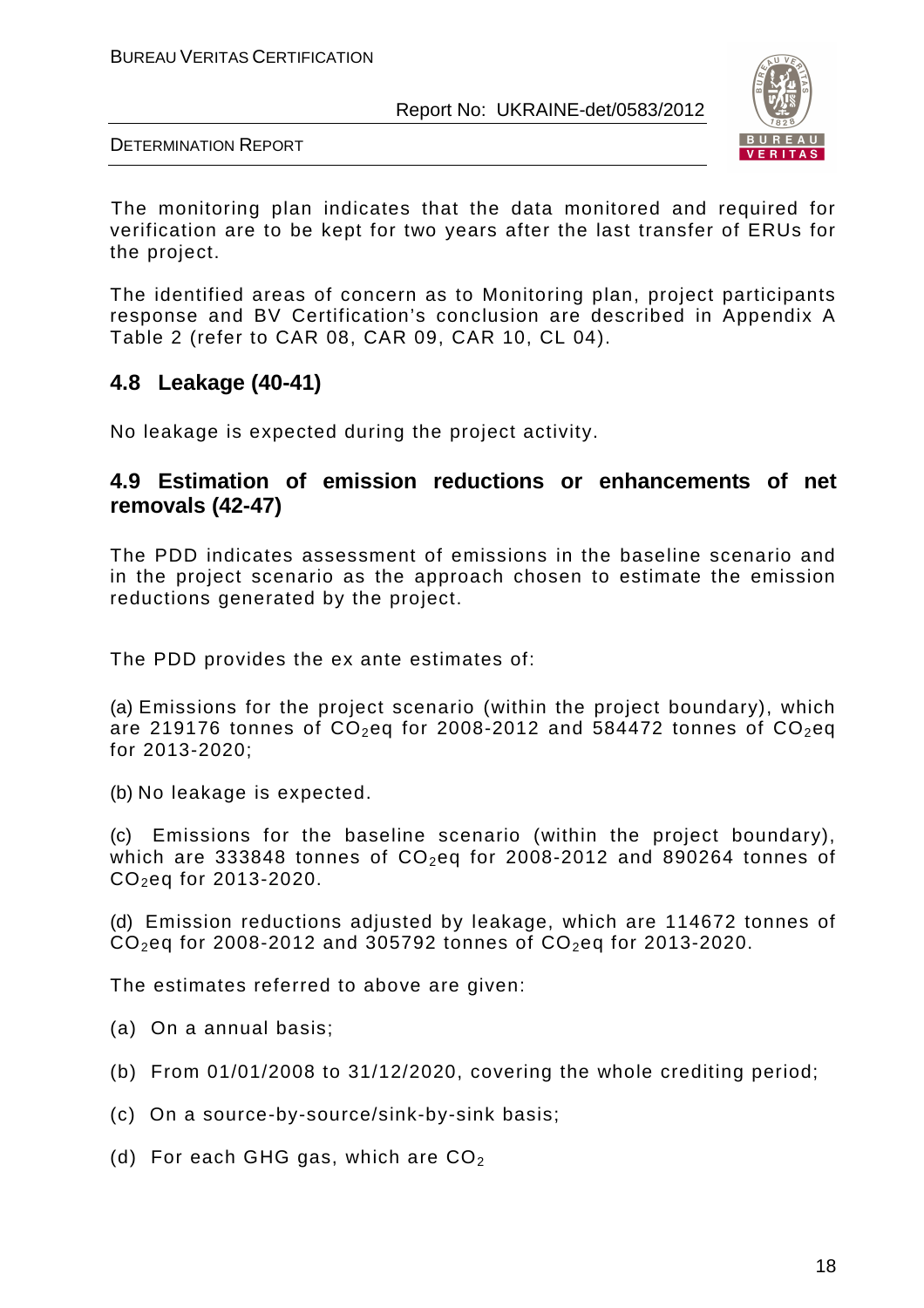

DETERMINATION REPORT

The monitoring plan indicates that the data monitored and required for verification are to be kept for two years after the last transfer of ERUs for the project.

The identified areas of concern as to Monitoring plan, project participants response and BV Certification's conclusion are described in Appendix A Table 2 (refer to CAR 08, CAR 09, CAR 10, CL 04).

# **4.8 Leakage (40-41)**

No leakage is expected during the project activity.

# **4.9 Estimation of emission reductions or enhancements of net removals (42-47)**

The PDD indicates assessment of emissions in the baseline scenario and in the project scenario as the approach chosen to estimate the emission reductions generated by the project.

The PDD provides the ex ante estimates of:

(a) Emissions for the project scenario (within the project boundary), which are 219176 tonnes of  $CO<sub>2</sub>$ eq for 2008-2012 and 584472 tonnes of  $CO<sub>2</sub>$ eq for 2013-2020;

(b) No leakage is expected.

(c) Emissions for the baseline scenario (within the project boundary), which are 333848 tonnes of  $CO<sub>2</sub>$ eq for 2008-2012 and 890264 tonnes of CO<sub>2</sub>eq for 2013-2020.

(d) Emission reductions adjusted by leakage, which are 114672 tonnes of  $CO<sub>2</sub>$ eq for 2008-2012 and 305792 tonnes of  $CO<sub>2</sub>$ eq for 2013-2020.

The estimates referred to above are given:

(a) On a annual basis;

(b) From 01/01/2008 to 31/12/2020, covering the whole crediting period;

(c) On a source-by-source/sink-by-sink basis;

(d) For each GHG gas, which are  $CO<sub>2</sub>$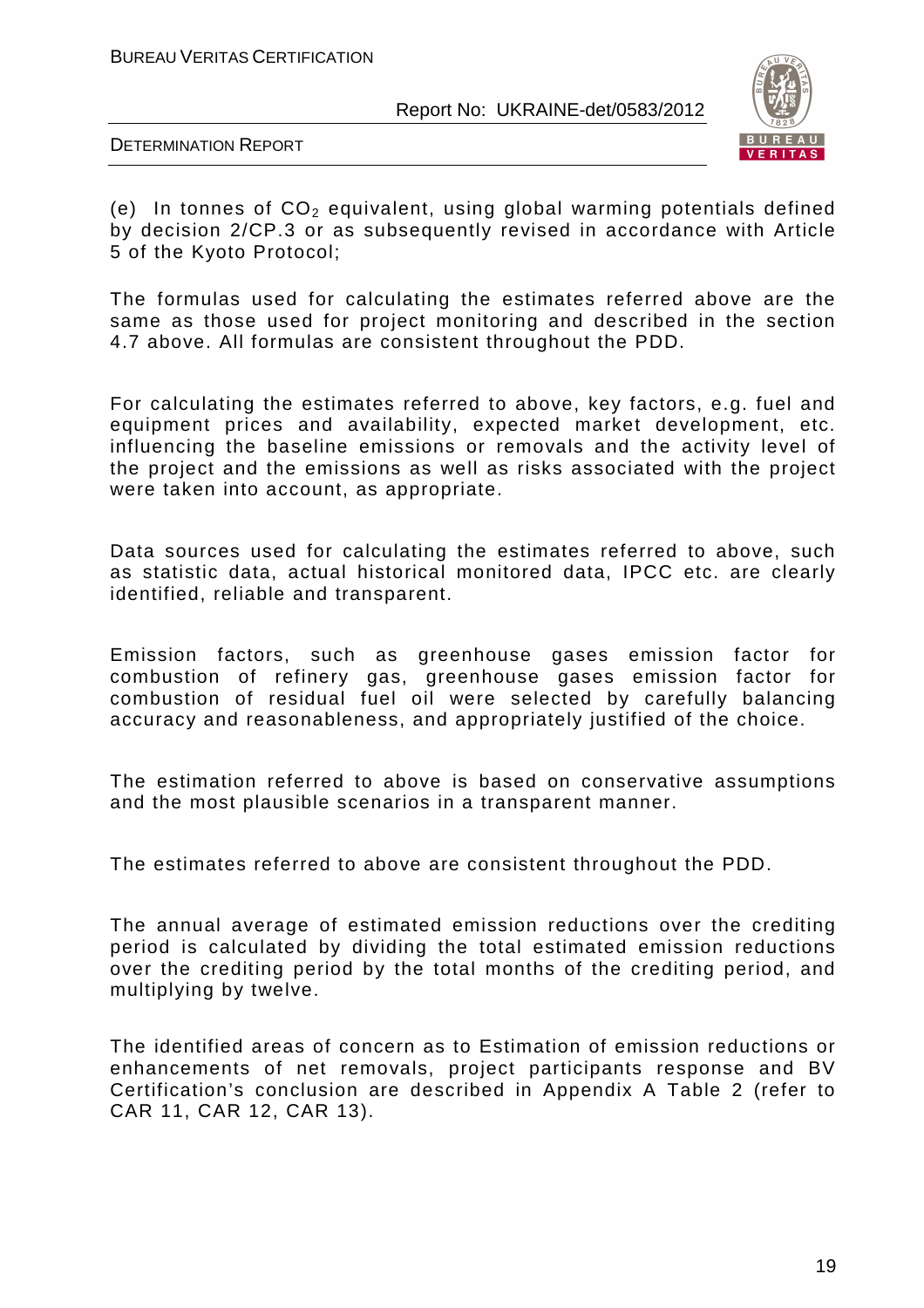

DETERMINATION REPORT

(e) In tonnes of  $CO<sub>2</sub>$  equivalent, using global warming potentials defined by decision 2/CP.3 or as subsequently revised in accordance with Article 5 of the Kyoto Protocol;

The formulas used for calculating the estimates referred above are the same as those used for project monitoring and described in the section 4.7 above. All formulas are consistent throughout the PDD.

For calculating the estimates referred to above, key factors, e.g. fuel and equipment prices and availability, expected market development, etc. influencing the baseline emissions or removals and the activity level of the project and the emissions as well as risks associated with the project were taken into account, as appropriate.

Data sources used for calculating the estimates referred to above, such as statistic data, actual historical monitored data, IPCC etc. are clearly identified, reliable and transparent.

Emission factors, such as greenhouse gases emission factor for combustion of refinery gas, greenhouse gases emission factor for combustion of residual fuel oil were selected by carefully balancing accuracy and reasonableness, and appropriately justified of the choice.

The estimation referred to above is based on conservative assumptions and the most plausible scenarios in a transparent manner.

The estimates referred to above are consistent throughout the PDD.

The annual average of estimated emission reductions over the crediting period is calculated by dividing the total estimated emission reductions over the crediting period by the total months of the crediting period, and multiplying by twelve.

The identified areas of concern as to Estimation of emission reductions or enhancements of net removals, project participants response and BV Certification's conclusion are described in Appendix A Table 2 (refer to CAR 11, CAR 12, CAR 13).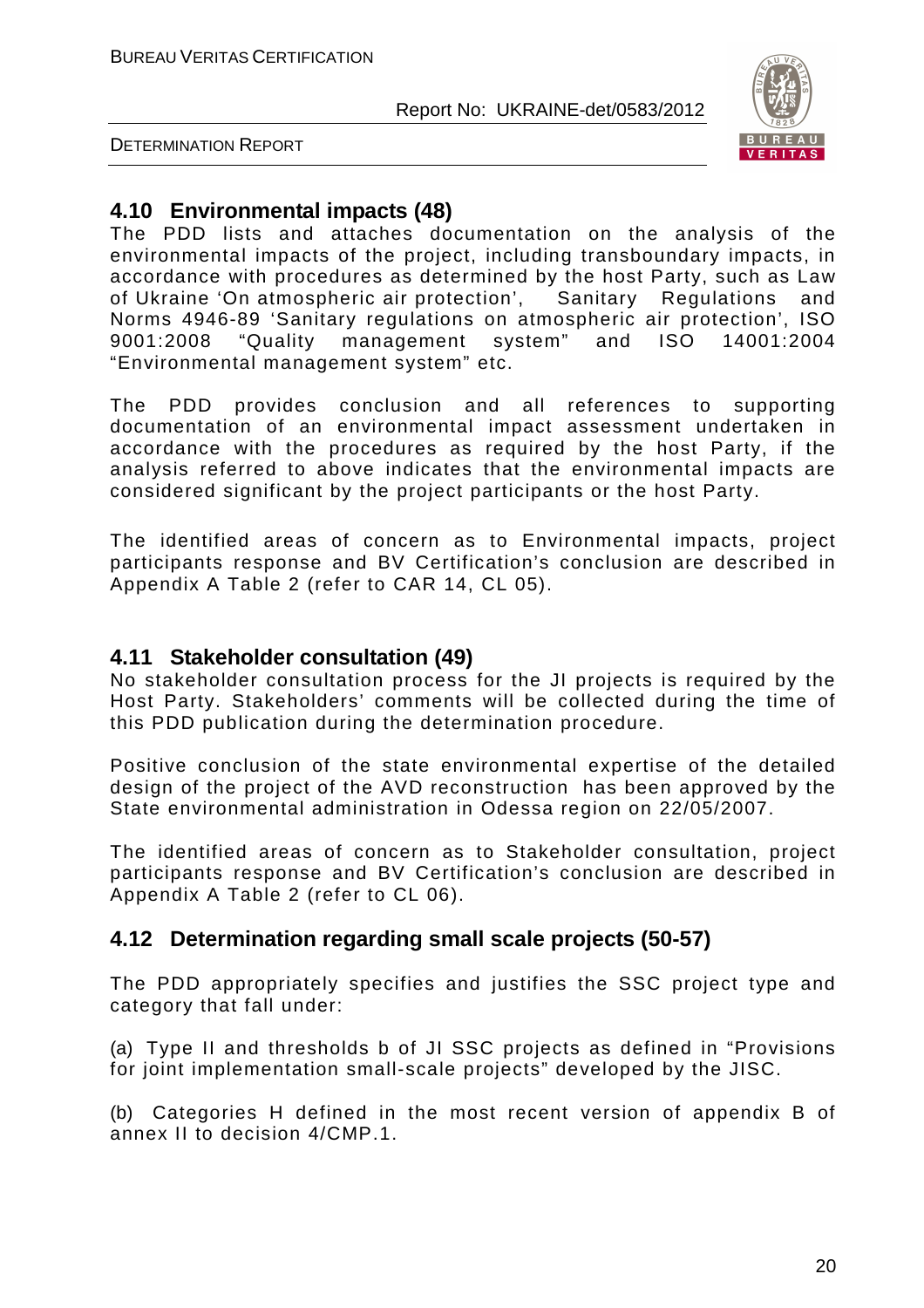

DETERMINATION REPORT

# **4.10 Environmental impacts (48)**

The PDD lists and attaches documentation on the analysis of the environmental impacts of the project, including transboundary impacts, in accordance with procedures as determined by the host Party, such as Law of Ukraine 'On atmospheric air protection', Sanitary Regulations and Norms 4946-89 'Sanitary regulations on atmospheric air protection', ISO 9001:2008 "Quality management system" and ISO 14001:2004 "Environmental management system" etc.

The PDD provides conclusion and all references to supporting documentation of an environmental impact assessment undertaken in accordance with the procedures as required by the host Party, if the analysis referred to above indicates that the environmental impacts are considered significant by the project participants or the host Party.

The identified areas of concern as to Environmental impacts, project participants response and BV Certification's conclusion are described in Appendix A Table 2 (refer to CAR 14, CL 05).

### **4.11 Stakeholder consultation (49)**

No stakeholder consultation process for the JI projects is required by the Host Party. Stakeholders' comments will be collected during the time of this PDD publication during the determination procedure.

Positive conclusion of the state environmental expertise of the detailed design of the project of the AVD reconstruction has been approved by the State environmental administration in Odessa region on 22/05/2007.

The identified areas of concern as to Stakeholder consultation, project participants response and BV Certification's conclusion are described in Appendix A Table 2 (refer to CL 06).

# **4.12 Determination regarding small scale projects (50-57)**

The PDD appropriately specifies and justifies the SSC project type and category that fall under:

(a) Type II and thresholds b of JI SSC projects as defined in "Provisions for joint implementation small-scale projects" developed by the JISC.

(b) Categories H defined in the most recent version of appendix B of annex II to decision 4/CMP.1.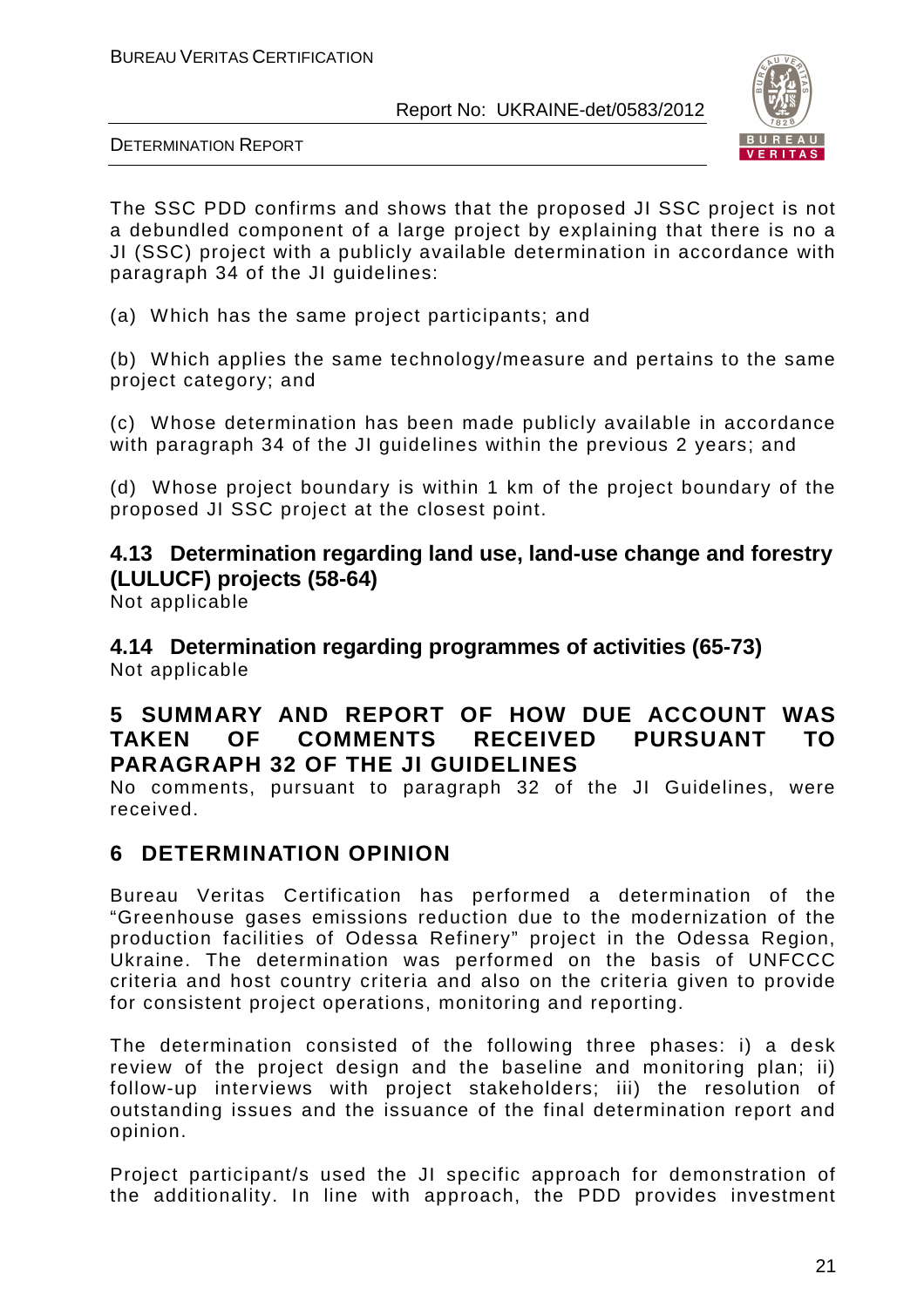

DETERMINATION REPORT

The SSC PDD confirms and shows that the proposed JI SSC project is not a debundled component of a large project by explaining that there is no a JI (SSC) project with a publicly available determination in accordance with paragraph 34 of the JI guidelines:

(a) Which has the same project participants; and

(b) Which applies the same technology/measure and pertains to the same project category; and

(c) Whose determination has been made publicly available in accordance with paragraph 34 of the JI guidelines within the previous 2 years; and

(d) Whose project boundary is within 1 km of the project boundary of the proposed JI SSC project at the closest point.

# **4.13 Determination regarding land use, land-use change and forestry (LULUCF) projects (58-64)**

Not applicable

**4.14 Determination regarding programmes of activities (65-73)**  Not applicable

# **5 SUMMARY AND REPORT OF HOW DUE ACCOUNT WAS TAKEN OF COMMENTS RECEIVED PURSUANT TO PARAGRAPH 32 OF THE JI GUIDELINES**

No comments, pursuant to paragraph 32 of the JI Guidelines, were received.

# **6 DETERMINATION OPINION**

Bureau Veritas Certification has performed a determination of the "Greenhouse gases emissions reduction due to the modernization of the production facilities of Odessa Refinery" project in the Odessa Region, Ukraine. The determination was performed on the basis of UNFCCC criteria and host country criteria and also on the criteria given to provide for consistent project operations, monitoring and reporting.

The determination consisted of the following three phases: i) a desk review of the project design and the baseline and monitoring plan; ii) follow-up interviews with project stakeholders; iii) the resolution of outstanding issues and the issuance of the final determination report and opinion.

Project participant/s used the JI specific approach for demonstration of the additionality. In line with approach, the PDD provides investment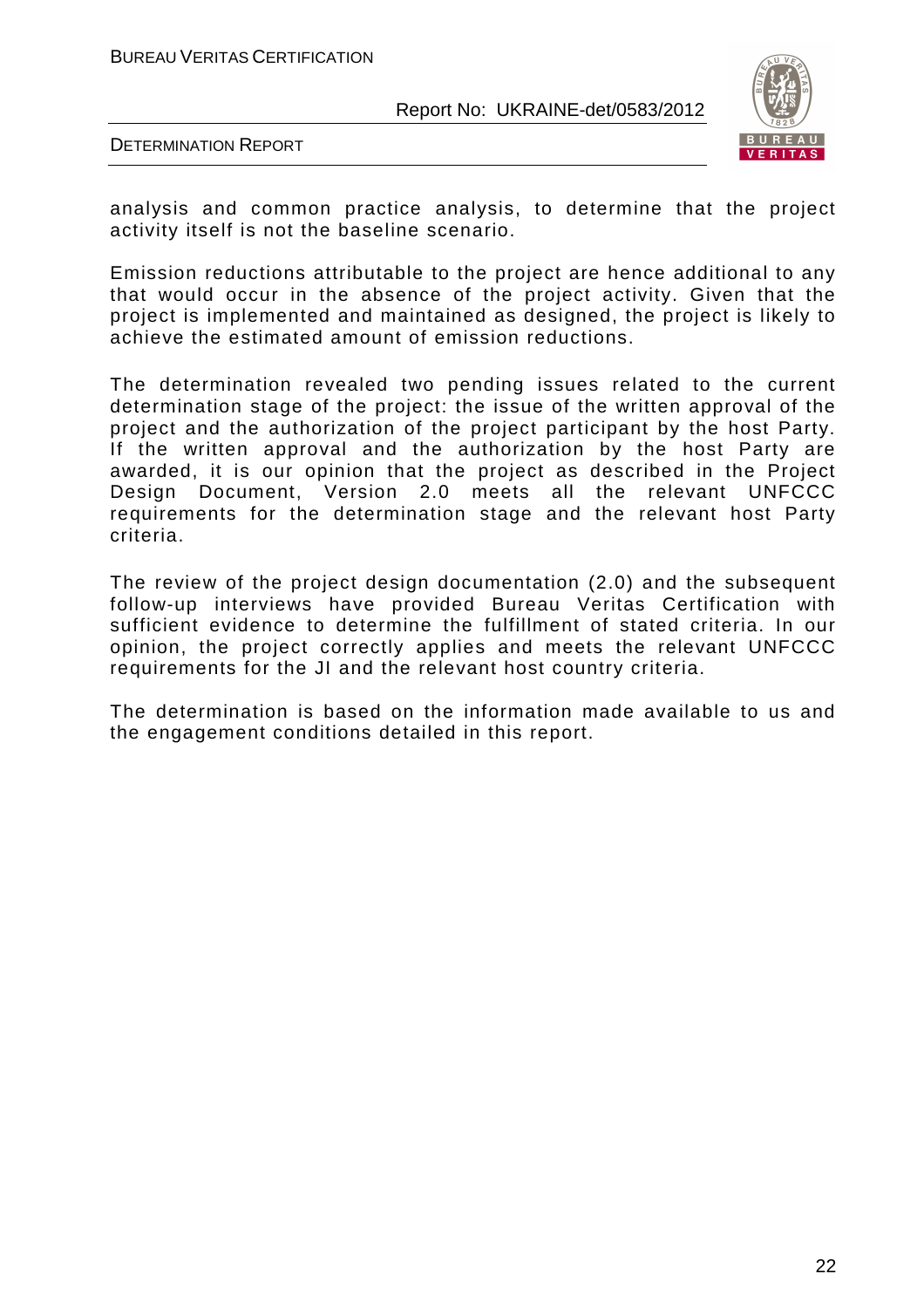BUREAU VERITAS CERTIFICATION

Report No: UKRAINE-det/0583/2012



DETERMINATION REPORT

analysis and common practice analysis, to determine that the project activity itself is not the baseline scenario.

Emission reductions attributable to the project are hence additional to any that would occur in the absence of the project activity. Given that the project is implemented and maintained as designed, the project is likely to achieve the estimated amount of emission reductions.

The determination revealed two pending issues related to the current determination stage of the project: the issue of the written approval of the project and the authorization of the project participant by the host Party. If the written approval and the authorization by the host Party are awarded, it is our opinion that the project as described in the Project Design Document, Version 2.0 meets all the relevant UNFCCC requirements for the determination stage and the relevant host Party criteria.

The review of the project design documentation (2.0) and the subsequent follow-up interviews have provided Bureau Veritas Certification with sufficient evidence to determine the fulfillment of stated criteria. In our opinion, the project correctly applies and meets the relevant UNFCCC requirements for the JI and the relevant host country criteria.

The determination is based on the information made available to us and the engagement conditions detailed in this report.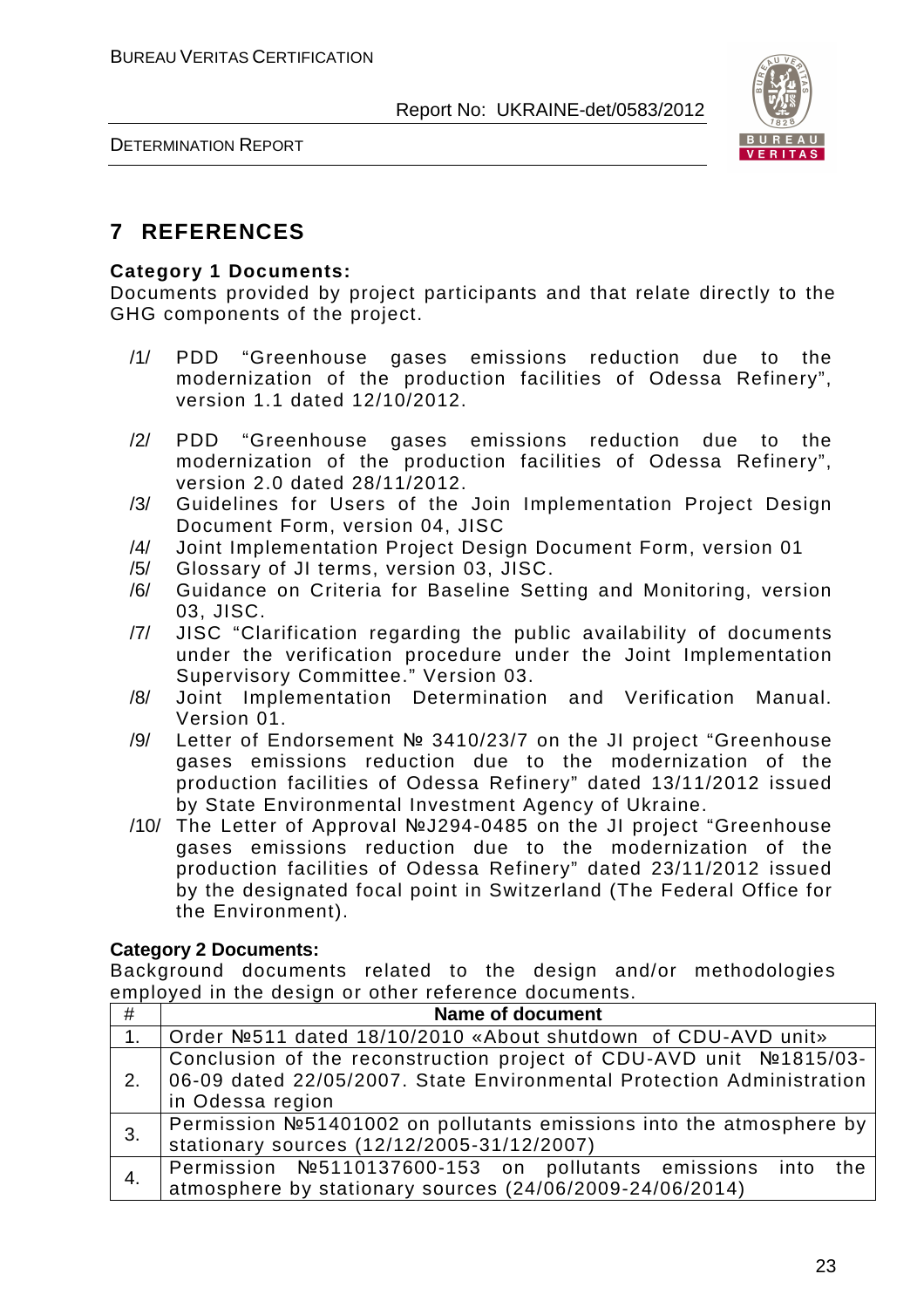

DETERMINATION REPORT

# **7 REFERENCES**

#### **Category 1 Documents:**

Documents provided by project participants and that relate directly to the GHG components of the project.

- /1/ PDD "Greenhouse gases emissions reduction due to the modernization of the production facilities of Odessa Refinery", version 1.1 dated 12/10/2012.
- /2/ PDD "Greenhouse gases emissions reduction due to the modernization of the production facilities of Odessa Refinery", version 2.0 dated 28/11/2012.
- /3/ Guidelines for Users of the Join Implementation Project Design Document Form, version 04, JISC
- /4/ Joint Implementation Project Design Document Form, version 01
- /5/ Glossary of JI terms, version 03, JISC.
- /6/ Guidance on Criteria for Baseline Setting and Monitoring, version 03, JISC.
- /7/ JISC "Clarification regarding the public availability of documents under the verification procedure under the Joint Implementation Supervisory Committee." Version 03.
- /8/ Joint Implementation Determination and Verification Manual. Version 01.
- /9/ Letter of Endorsement № 3410/23/7 on the JI project "Greenhouse gases emissions reduction due to the modernization of the production facilities of Odessa Refinery" dated 13/11/2012 issued by State Environmental Investment Agency of Ukraine.
- /10/ The Letter of Approval №J294-0485 on the JI project "Greenhouse gases emissions reduction due to the modernization of the production facilities of Odessa Refinery" dated 23/11/2012 issued by the designated focal point in Switzerland (The Federal Office for the Environment).

#### **Category 2 Documents:**

Background documents related to the design and/or methodologies employed in the design or other reference documents.

| #  | <b>Name of document</b>                                                 |
|----|-------------------------------------------------------------------------|
|    |                                                                         |
| 1. | Solution of CDU-AVD unity 18/19/2010 V and the shutdown of CDU-AVD unit |
|    | Conclusion of the reconstruction project of CDU-AVD unit Nº1815/03-     |
| 2. | 06-09 dated 22/05/2007. State Environmental Protection Administration   |
|    | in Odessa region                                                        |
| 3. | Permission №51401002 on pollutants emissions into the atmosphere by     |
|    | stationary sources (12/12/2005-31/12/2007)                              |
| 4. | Permission №5110137600-153 on pollutants emissions into<br>the          |
|    | atmosphere by stationary sources (24/06/2009-24/06/2014)                |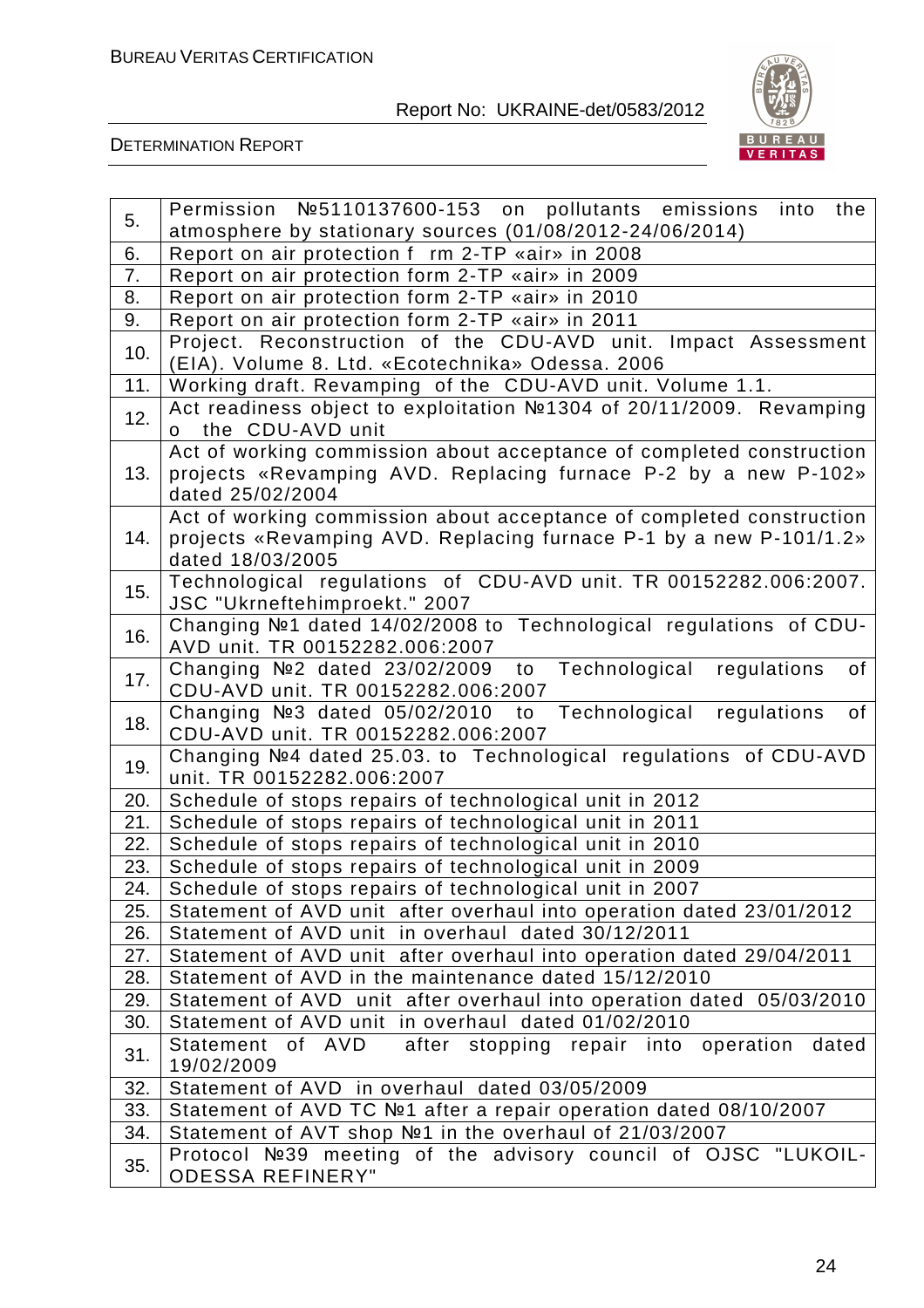

| 5.  | Permission №5110137600-153 on pollutants emissions into the                                                                                                    |
|-----|----------------------------------------------------------------------------------------------------------------------------------------------------------------|
|     | atmosphere by stationary sources (01/08/2012-24/06/2014)                                                                                                       |
| 6.  | Report on air protection f rm 2-TP «air» in 2008                                                                                                               |
| 7.  | Report on air protection form 2-TP «air» in 2009                                                                                                               |
| 8.  | Report on air protection form 2-TP «air» in 2010                                                                                                               |
| 9.  | Report on air protection form 2-TP «air» in 2011                                                                                                               |
| 10. | Project. Reconstruction of the CDU-AVD unit. Impact Assessment<br>(EIA). Volume 8. Ltd. «Ecotechnika» Odessa. 2006                                             |
| 11. | Working draft. Revamping of the CDU-AVD unit. Volume 1.1.                                                                                                      |
| 12. | Act readiness object to exploitation №1304 of 20/11/2009. Revamping<br>o the CDU-AVD unit                                                                      |
| 13. | Act of working commission about acceptance of completed construction<br>projects «Revamping AVD. Replacing furnace P-2 by a new P-102»<br>dated 25/02/2004     |
| 14. | Act of working commission about acceptance of completed construction<br>projects «Revamping AVD. Replacing furnace P-1 by a new P-101/1.2»<br>dated 18/03/2005 |
| 15. | Technological regulations of CDU-AVD unit. TR 00152282.006:2007.<br>JSC "Ukrneftehimproekt." 2007                                                              |
| 16. | Changing Nº1 dated 14/02/2008 to Technological regulations of CDU-<br>AVD unit. TR 00152282.006:2007                                                           |
| 17. | Changing №2 dated 23/02/2009 to Technological regulations<br>of<br>CDU-AVD unit. TR 00152282.006:2007                                                          |
| 18. | Changing №3 dated 05/02/2010 to Technological regulations<br>of<br>CDU-AVD unit. TR 00152282.006:2007                                                          |
| 19. | Changing №4 dated 25.03. to Technological regulations of CDU-AVD<br>unit. TR 00152282.006:2007                                                                 |
| 20. | Schedule of stops repairs of technological unit in 2012                                                                                                        |
| 21. | Schedule of stops repairs of technological unit in 2011                                                                                                        |
| 22. | Schedule of stops repairs of technological unit in 2010                                                                                                        |
| 23. | Schedule of stops repairs of technological unit in 2009                                                                                                        |
| 24. | Schedule of stops repairs of technological unit in 2007                                                                                                        |
| 25. | Statement of AVD unit after overhaul into operation dated 23/01/2012                                                                                           |
| 26. | Statement of AVD unit in overhaul dated 30/12/2011                                                                                                             |
| 27. | Statement of AVD unit after overhaul into operation dated 29/04/2011                                                                                           |
| 28. | Statement of AVD in the maintenance dated 15/12/2010                                                                                                           |
| 29. | Statement of AVD unit after overhaul into operation dated 05/03/2010                                                                                           |
| 30. | Statement of AVD unit in overhaul dated 01/02/2010                                                                                                             |
| 31. | Statement of AVD<br>after stopping repair into operation dated<br>19/02/2009                                                                                   |
| 32. | Statement of AVD in overhaul dated 03/05/2009                                                                                                                  |
| 33. | Statement of AVD TC №1 after a repair operation dated 08/10/2007                                                                                               |
| 34. | Statement of AVT shop №1 in the overhaul of 21/03/2007                                                                                                         |
| 35. | Protocol №39 meeting of the advisory council of OJSC "LUKOIL-<br><b>ODESSA REFINERY"</b>                                                                       |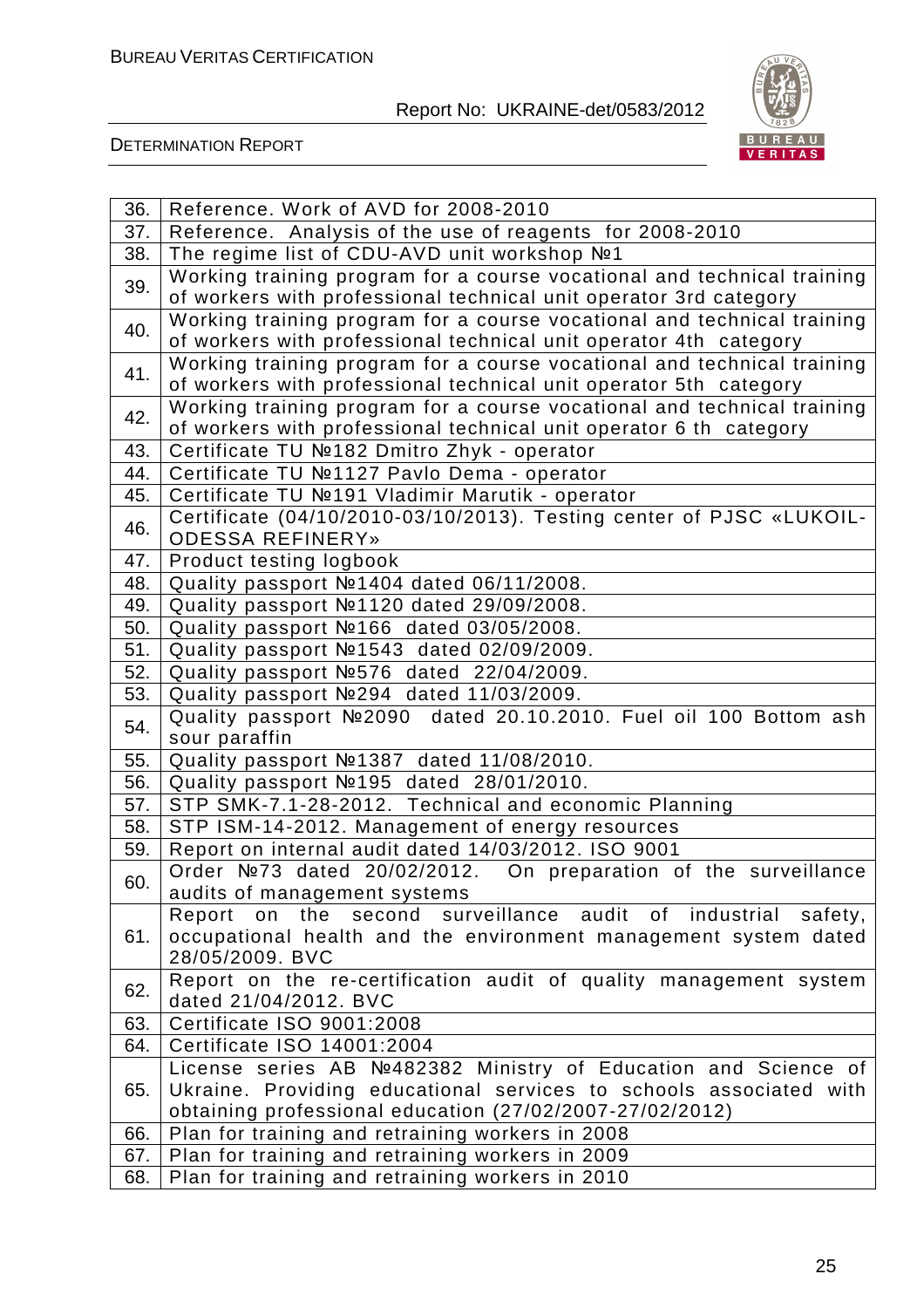

| 36.                                                                      | Reference. Work of AVD for 2008-2010                                                            |  |  |
|--------------------------------------------------------------------------|-------------------------------------------------------------------------------------------------|--|--|
| 37.                                                                      | Reference. Analysis of the use of reagents for 2008-2010                                        |  |  |
| 38.                                                                      | The regime list of CDU-AVD unit workshop №1                                                     |  |  |
|                                                                          | Working training program for a course vocational and technical training                         |  |  |
| 39.                                                                      | of workers with professional technical unit operator 3rd category                               |  |  |
| 40.                                                                      | Working training program for a course vocational and technical training                         |  |  |
|                                                                          | of workers with professional technical unit operator 4th category                               |  |  |
| 41.                                                                      | Working training program for a course vocational and technical training                         |  |  |
|                                                                          | of workers with professional technical unit operator 5th category                               |  |  |
| 42.                                                                      | Working training program for a course vocational and technical training                         |  |  |
|                                                                          | of workers with professional technical unit operator 6 th category                              |  |  |
| 43.                                                                      | Certificate TU №182 Dmitro Zhyk - operator                                                      |  |  |
| 44.                                                                      | Certificate TU №1127 Pavlo Dema - operator                                                      |  |  |
| 45.                                                                      | Certificate TU №191 Vladimir Marutik - operator                                                 |  |  |
| 46.                                                                      | Certificate (04/10/2010-03/10/2013). Testing center of PJSC «LUKOIL-<br><b>ODESSA REFINERY»</b> |  |  |
| 47.                                                                      | Product testing logbook                                                                         |  |  |
| 48.                                                                      | Quality passport Nº1404 dated 06/11/2008.                                                       |  |  |
| 49.                                                                      | Quality passport Nº1120 dated 29/09/2008.                                                       |  |  |
| 50.                                                                      | Quality passport Nº166 dated 03/05/2008.                                                        |  |  |
| 51.                                                                      | Quality passport Nº1543 dated 02/09/2009.                                                       |  |  |
| 52.                                                                      | Quality passport Nº576 dated 22/04/2009.                                                        |  |  |
| 53.                                                                      | Quality passport Nº294 dated 11/03/2009.                                                        |  |  |
| Quality passport Nº2090 dated 20.10.2010. Fuel oil 100 Bottom ash<br>54. |                                                                                                 |  |  |
|                                                                          | sour paraffin                                                                                   |  |  |
| 55.                                                                      | Quality passport №1387 dated 11/08/2010.                                                        |  |  |
| 56.                                                                      | Quality passport №195 dated 28/01/2010.                                                         |  |  |
| 57.                                                                      | STP SMK-7.1-28-2012. Technical and economic Planning                                            |  |  |
| 58.                                                                      | STP ISM-14-2012. Management of energy resources                                                 |  |  |
| 59.                                                                      | Report on internal audit dated 14/03/2012. ISO 9001                                             |  |  |
| 60.                                                                      | Order №73 dated 20/02/2012. On preparation of the surveillance                                  |  |  |
|                                                                          | audits of management systems                                                                    |  |  |
|                                                                          | second surveillance audit of industrial<br>the<br>Report<br>on<br>safety,                       |  |  |
| 61.                                                                      | occupational health and the environment management system dated                                 |  |  |
|                                                                          | 28/05/2009. BVC                                                                                 |  |  |
| 62.                                                                      | Report on the re-certification audit of quality management system                               |  |  |
|                                                                          | dated 21/04/2012. BVC                                                                           |  |  |
| 63.                                                                      | Certificate ISO 9001:2008                                                                       |  |  |
| 64.                                                                      | Certificate ISO 14001:2004                                                                      |  |  |
|                                                                          | License series AB №482382 Ministry of Education and Science of                                  |  |  |
| 65.                                                                      | Ukraine. Providing educational services to schools associated with                              |  |  |
|                                                                          | obtaining professional education (27/02/2007-27/02/2012)                                        |  |  |
| 66.                                                                      | Plan for training and retraining workers in 2008                                                |  |  |
| 67.                                                                      | Plan for training and retraining workers in 2009                                                |  |  |
| 68.                                                                      | Plan for training and retraining workers in 2010                                                |  |  |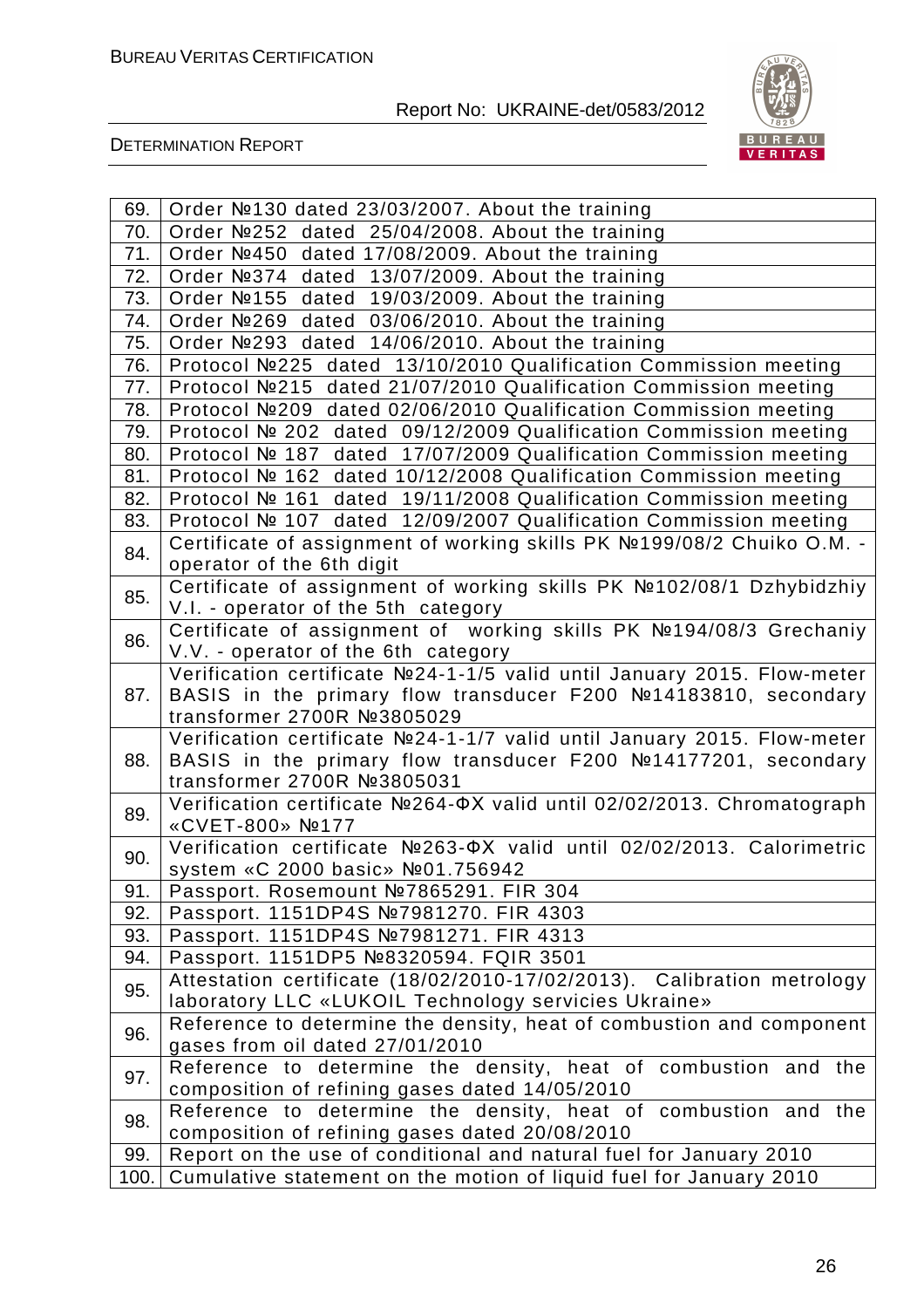

| 69.  | Order №130 dated 23/03/2007. About the training                                              |
|------|----------------------------------------------------------------------------------------------|
| 70.  | dated 25/04/2008. About the training<br>Order №252                                           |
| 71.  | dated 17/08/2009. About the training<br>Order №450                                           |
| 72.  | dated 13/07/2009. About the training<br>Order Nº374                                          |
| 73.  | Order №155<br>dated 19/03/2009. About the training                                           |
| 74.  | Order Nº269 dated 03/06/2010. About the training                                             |
| 75.  | Order №293 dated 14/06/2010. About the training                                              |
| 76.  | Protocol Nº225 dated 13/10/2010 Qualification Commission meeting                             |
| 77.  | Protocol №215 dated 21/07/2010 Qualification Commission meeting                              |
| 78.  | Protocol №209 dated 02/06/2010 Qualification Commission meeting                              |
| 79.  | Protocol № 202 dated 09/12/2009 Qualification Commission meeting                             |
| 80.  | Protocol № 187 dated 17/07/2009 Qualification Commission meeting                             |
| 81.  | Protocol № 162 dated 10/12/2008 Qualification Commission meeting                             |
| 82.  | Protocol № 161 dated 19/11/2008 Qualification Commission meeting                             |
| 83.  | Protocol № 107 dated 12/09/2007 Qualification Commission meeting                             |
| 84.  | Certificate of assignment of working skills PK Nº199/08/2 Chuiko O.M. -                      |
|      | operator of the 6th digit                                                                    |
| 85.  | Certificate of assignment of working skills PK №102/08/1 Dzhybidzhiy                         |
|      | V.I. - operator of the 5th category                                                          |
| 86.  | Certificate of assignment of working skills PK №194/08/3 Grechaniy                           |
|      | V.V. - operator of the 6th category                                                          |
|      | Verification certificate Nº24-1-1/5 valid until January 2015. Flow-meter                     |
| 87.  | BASIS in the primary flow transducer F200 №14183810, secondary<br>transformer 2700R №3805029 |
|      | Verification certificate Nº24-1-1/7 valid until January 2015. Flow-meter                     |
| 88.  | BASIS in the primary flow transducer F200 №14177201, secondary                               |
|      | transformer 2700R №3805031                                                                   |
|      | Verification certificate Nº264-ΦX valid until 02/02/2013. Chromatograph                      |
| 89.  | «CVET-800» №177                                                                              |
|      | Verification certificate Nº263-OX valid until 02/02/2013. Calorimetric                       |
| 90.  | system «C 2000 basic» №01.756942                                                             |
| 91.  | Passport. Rosemount №7865291. FIR 304                                                        |
| 92.  | Passport. 1151DP4S №7981270. FIR 4303                                                        |
| 93.  | Passport. 1151DP4S №7981271. FIR 4313                                                        |
| 94.  | Passport. 1151DP5 №8320594. FQIR 3501                                                        |
|      | Attestation certificate (18/02/2010-17/02/2013). Calibration metrology                       |
| 95.  | laboratory LLC «LUKOIL Technology servicies Ukraine»                                         |
| 96.  | Reference to determine the density, heat of combustion and component                         |
|      | gases from oil dated 27/01/2010                                                              |
| 97.  | Reference to determine the density, heat of combustion and the                               |
|      | composition of refining gases dated 14/05/2010                                               |
| 98.  | Reference to determine the density, heat of combustion and the                               |
|      | composition of refining gases dated 20/08/2010                                               |
| 99.  | Report on the use of conditional and natural fuel for January 2010                           |
| 100. | Cumulative statement on the motion of liquid fuel for January 2010                           |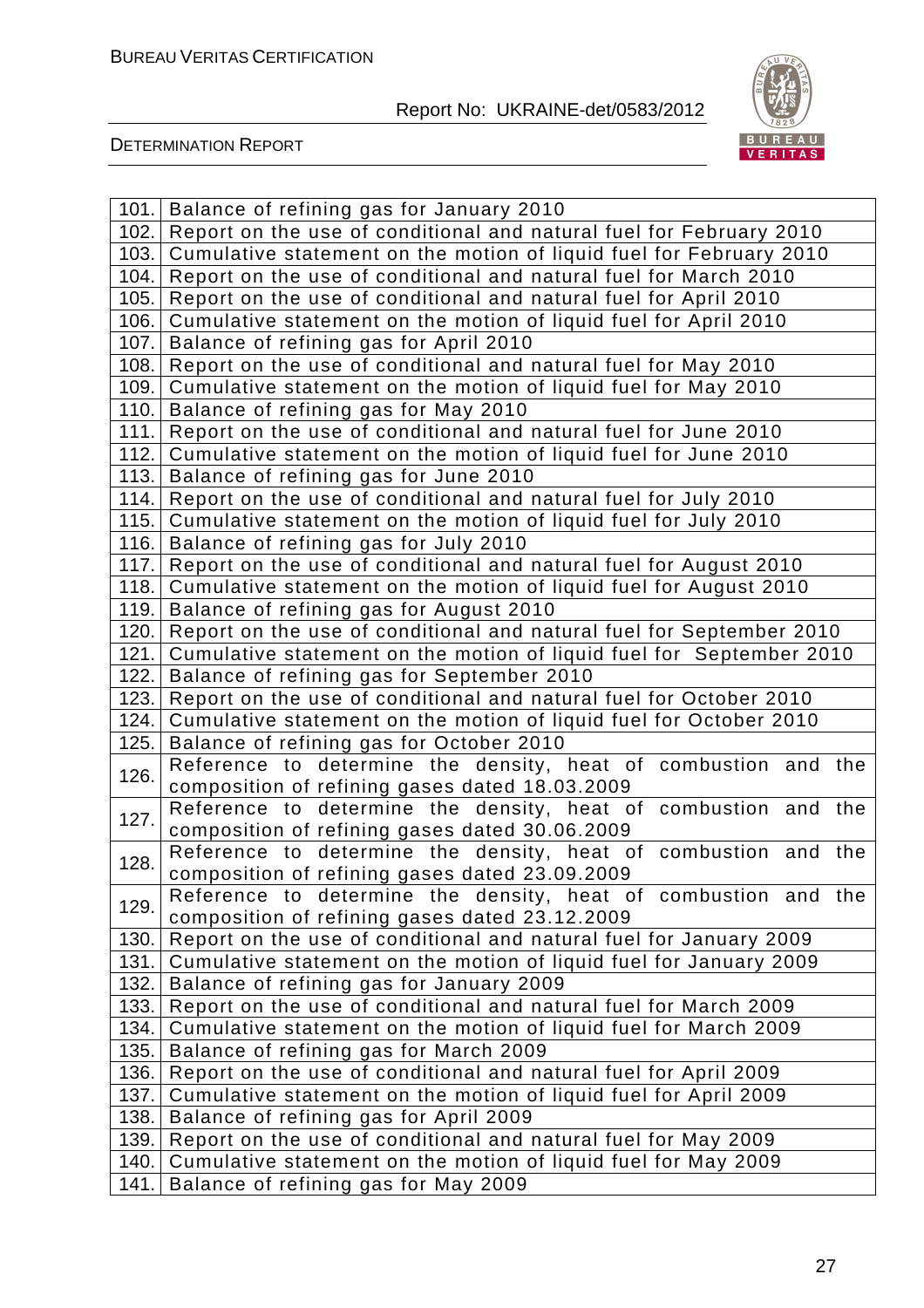

|              | 101. Balance of refining gas for January 2010                                                                                            |  |  |  |
|--------------|------------------------------------------------------------------------------------------------------------------------------------------|--|--|--|
| 102.         | Report on the use of conditional and natural fuel for February 2010                                                                      |  |  |  |
| 103.         | Cumulative statement on the motion of liquid fuel for February 2010                                                                      |  |  |  |
| 104.         | Report on the use of conditional and natural fuel for March 2010                                                                         |  |  |  |
| 105.         | Report on the use of conditional and natural fuel for April 2010                                                                         |  |  |  |
| 106.         | Cumulative statement on the motion of liquid fuel for April 2010                                                                         |  |  |  |
| 107.         | Balance of refining gas for April 2010                                                                                                   |  |  |  |
| 108.         | Report on the use of conditional and natural fuel for May 2010                                                                           |  |  |  |
| 109.         | Cumulative statement on the motion of liquid fuel for May 2010                                                                           |  |  |  |
| 110.         | Balance of refining gas for May 2010                                                                                                     |  |  |  |
| 111.         | Report on the use of conditional and natural fuel for June 2010                                                                          |  |  |  |
| 112.         | Cumulative statement on the motion of liquid fuel for June 2010                                                                          |  |  |  |
| 113.         | Balance of refining gas for June 2010                                                                                                    |  |  |  |
| 114.         | Report on the use of conditional and natural fuel for July 2010                                                                          |  |  |  |
| 115.         | Cumulative statement on the motion of liquid fuel for July 2010                                                                          |  |  |  |
| 116.         | Balance of refining gas for July 2010                                                                                                    |  |  |  |
| 117.         | Report on the use of conditional and natural fuel for August 2010                                                                        |  |  |  |
| 118.         | Cumulative statement on the motion of liquid fuel for August 2010                                                                        |  |  |  |
| 119.         | Balance of refining gas for August 2010                                                                                                  |  |  |  |
| 120.         | Report on the use of conditional and natural fuel for September 2010                                                                     |  |  |  |
| 121.         | Cumulative statement on the motion of liquid fuel for September 2010                                                                     |  |  |  |
| 122.         | Balance of refining gas for September 2010                                                                                               |  |  |  |
| 123.         | Report on the use of conditional and natural fuel for October 2010                                                                       |  |  |  |
| 124.         | Cumulative statement on the motion of liquid fuel for October 2010                                                                       |  |  |  |
| 125.         | Balance of refining gas for October 2010                                                                                                 |  |  |  |
| 126.         | Reference to determine the density, heat of combustion and the<br>composition of refining gases dated 18.03.2009                         |  |  |  |
| 127.         | Reference to determine the density, heat of combustion and the                                                                           |  |  |  |
|              | composition of refining gases dated 30.06.2009                                                                                           |  |  |  |
| 128.         | Reference to determine the density, heat of combustion and the                                                                           |  |  |  |
|              | composition of refining gases dated 23.09.2009                                                                                           |  |  |  |
| 129.         | Reference to determine the density, heat of combustion and the                                                                           |  |  |  |
|              | composition of refining gases dated 23.12.2009                                                                                           |  |  |  |
| 130.<br>131. | Report on the use of conditional and natural fuel for January 2009<br>Cumulative statement on the motion of liquid fuel for January 2009 |  |  |  |
| 132.         | Balance of refining gas for January 2009                                                                                                 |  |  |  |
| 133.         | Report on the use of conditional and natural fuel for March 2009                                                                         |  |  |  |
| 134.         | Cumulative statement on the motion of liquid fuel for March 2009                                                                         |  |  |  |
| 135.         | Balance of refining gas for March 2009                                                                                                   |  |  |  |
| 136.         | Report on the use of conditional and natural fuel for April 2009                                                                         |  |  |  |
| 137.         | Cumulative statement on the motion of liquid fuel for April 2009                                                                         |  |  |  |
| 138.         | Balance of refining gas for April 2009                                                                                                   |  |  |  |
| 139.         | Report on the use of conditional and natural fuel for May 2009                                                                           |  |  |  |
| 140.         | Cumulative statement on the motion of liquid fuel for May 2009                                                                           |  |  |  |
| 141.         | Balance of refining gas for May 2009                                                                                                     |  |  |  |
|              |                                                                                                                                          |  |  |  |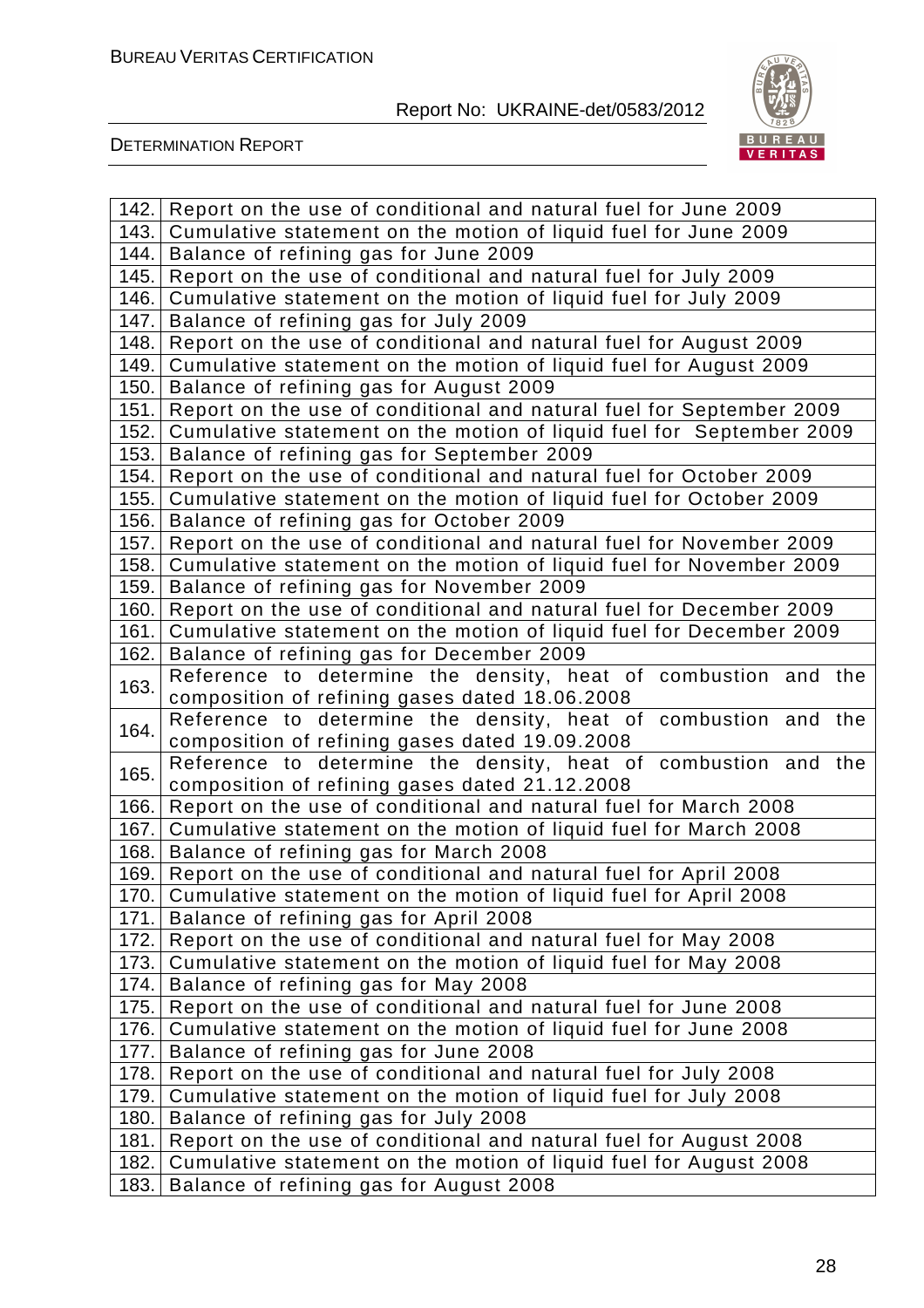

| 142.         | Report on the use of conditional and natural fuel for June 2009                                            |  |  |
|--------------|------------------------------------------------------------------------------------------------------------|--|--|
| 143.         | Cumulative statement on the motion of liquid fuel for June 2009                                            |  |  |
| 144.         | Balance of refining gas for June 2009                                                                      |  |  |
| 145.         | Report on the use of conditional and natural fuel for July 2009                                            |  |  |
| 146.         | Cumulative statement on the motion of liquid fuel for July 2009                                            |  |  |
| 147.         | Balance of refining gas for July 2009                                                                      |  |  |
| 148.         | Report on the use of conditional and natural fuel for August 2009                                          |  |  |
| 149.         | Cumulative statement on the motion of liquid fuel for August 2009                                          |  |  |
| 150.         | Balance of refining gas for August 2009                                                                    |  |  |
| 151.         | Report on the use of conditional and natural fuel for September 2009                                       |  |  |
| 152.         | Cumulative statement on the motion of liquid fuel for September 2009                                       |  |  |
| 153.         | Balance of refining gas for September 2009                                                                 |  |  |
| 154.         | Report on the use of conditional and natural fuel for October 2009                                         |  |  |
| 155.         | Cumulative statement on the motion of liquid fuel for October 2009                                         |  |  |
| 156.         | Balance of refining gas for October 2009                                                                   |  |  |
| 157.         | Report on the use of conditional and natural fuel for November 2009                                        |  |  |
| 158.         | Cumulative statement on the motion of liquid fuel for November 2009                                        |  |  |
| 159.         | Balance of refining gas for November 2009                                                                  |  |  |
| 160.         | Report on the use of conditional and natural fuel for December 2009                                        |  |  |
| 161.         | Cumulative statement on the motion of liquid fuel for December 2009                                        |  |  |
| 162.         | Balance of refining gas for December 2009                                                                  |  |  |
| 163.         | Reference to determine the density, heat of combustion and the                                             |  |  |
|              | composition of refining gases dated 18.06.2008                                                             |  |  |
| 164.         | Reference to determine the density, heat of combustion and the                                             |  |  |
|              | composition of refining gases dated 19.09.2008                                                             |  |  |
| 165.         | Reference to determine the density, heat of combustion and the                                             |  |  |
|              | composition of refining gases dated 21.12.2008                                                             |  |  |
| 166.<br>167. | Report on the use of conditional and natural fuel for March 2008                                           |  |  |
| 168.         | Cumulative statement on the motion of liquid fuel for March 2008<br>Balance of refining gas for March 2008 |  |  |
| 169.         | Report on the use of conditional and natural fuel for April 2008                                           |  |  |
| 170.         |                                                                                                            |  |  |
| 171.         | Cumulative statement on the motion of liquid fuel for April 2008<br>Balance of refining gas for April 2008 |  |  |
| 172.         | Report on the use of conditional and natural fuel for May 2008                                             |  |  |
| 173.         | Cumulative statement on the motion of liquid fuel for May 2008                                             |  |  |
| 174.         | Balance of refining gas for May 2008                                                                       |  |  |
| 175.         | Report on the use of conditional and natural fuel for June 2008                                            |  |  |
| 176.         | Cumulative statement on the motion of liquid fuel for June 2008                                            |  |  |
| 177.         | Balance of refining gas for June 2008                                                                      |  |  |
| 178.         | Report on the use of conditional and natural fuel for July 2008                                            |  |  |
| 179.         | Cumulative statement on the motion of liquid fuel for July 2008                                            |  |  |
| 180.         | Balance of refining gas for July 2008                                                                      |  |  |
| 181.         | Report on the use of conditional and natural fuel for August 2008                                          |  |  |
| 182.         | Cumulative statement on the motion of liquid fuel for August 2008                                          |  |  |
| 183.         | Balance of refining gas for August 2008                                                                    |  |  |
|              |                                                                                                            |  |  |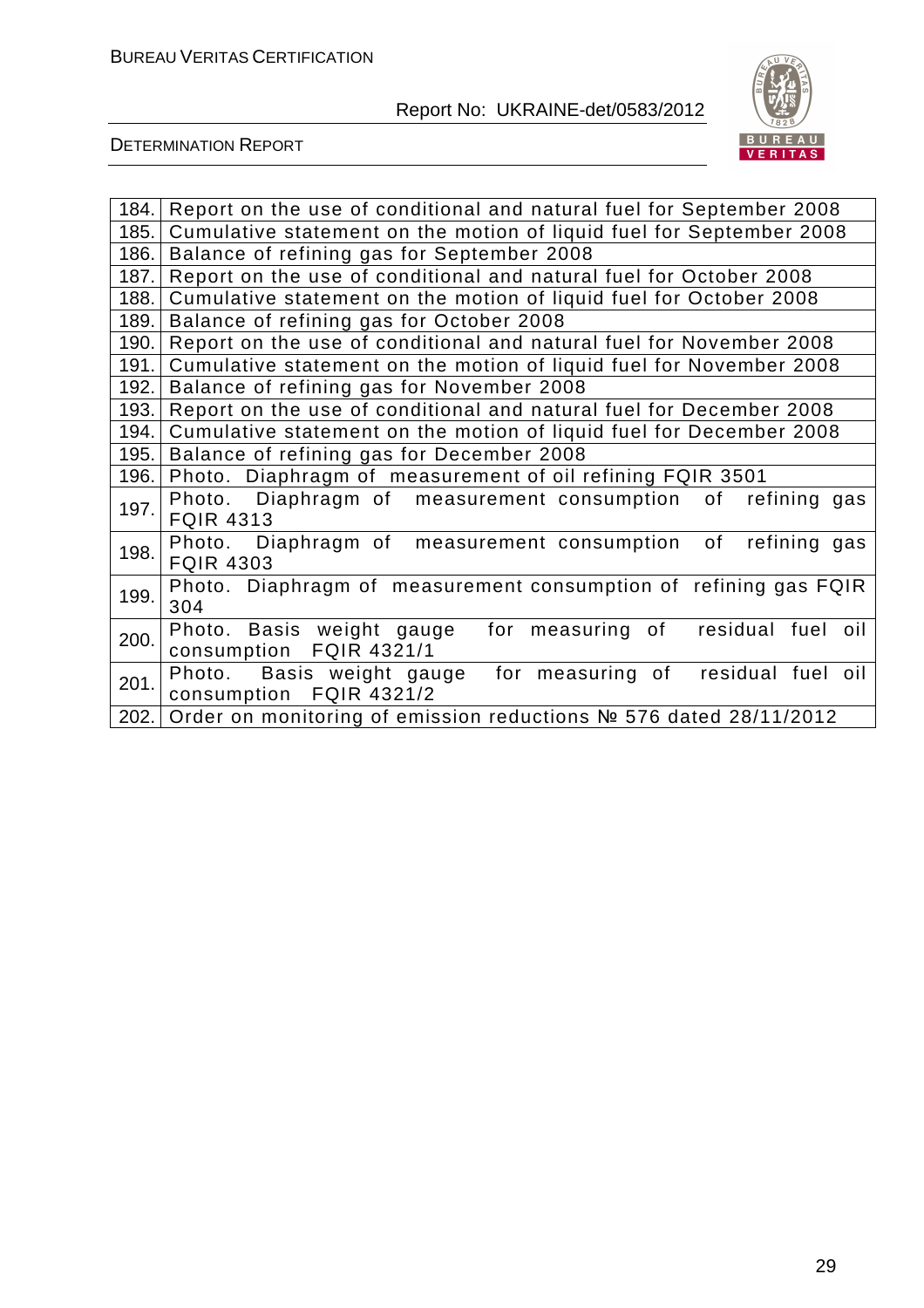

| 184. | Report on the use of conditional and natural fuel for September 2008                          |
|------|-----------------------------------------------------------------------------------------------|
| 185. | Cumulative statement on the motion of liquid fuel for September 2008                          |
| 186. | Balance of refining gas for September 2008                                                    |
| 187. | Report on the use of conditional and natural fuel for October 2008                            |
| 188. | Cumulative statement on the motion of liquid fuel for October 2008                            |
| 189. | Balance of refining gas for October 2008                                                      |
| 190. | Report on the use of conditional and natural fuel for November 2008                           |
| 191. | Cumulative statement on the motion of liquid fuel for November 2008                           |
| 192. | Balance of refining gas for November 2008                                                     |
| 193. | Report on the use of conditional and natural fuel for December 2008                           |
| 194. | Cumulative statement on the motion of liquid fuel for December 2008                           |
| 195. | Balance of refining gas for December 2008                                                     |
| 196. | Photo. Diaphragm of measurement of oil refining FQIR 3501                                     |
| 197. | Photo. Diaphragm of measurement consumption of refining gas<br><b>FQIR 4313</b>               |
| 198. | Photo. Diaphragm of measurement consumption of refining gas<br><b>FQIR 4303</b>               |
| 199. | Photo. Diaphragm of measurement consumption of refining gas FQIR<br>304                       |
| 200. | Photo. Basis weight gauge<br>for measuring of<br>residual fuel oil<br>consumption FQIR 4321/1 |
| 201. | Photo. Basis weight gauge<br>for measuring of residual fuel oil<br>consumption FQIR 4321/2    |
| 202. | Order on monitoring of emission reductions № 576 dated 28/11/2012                             |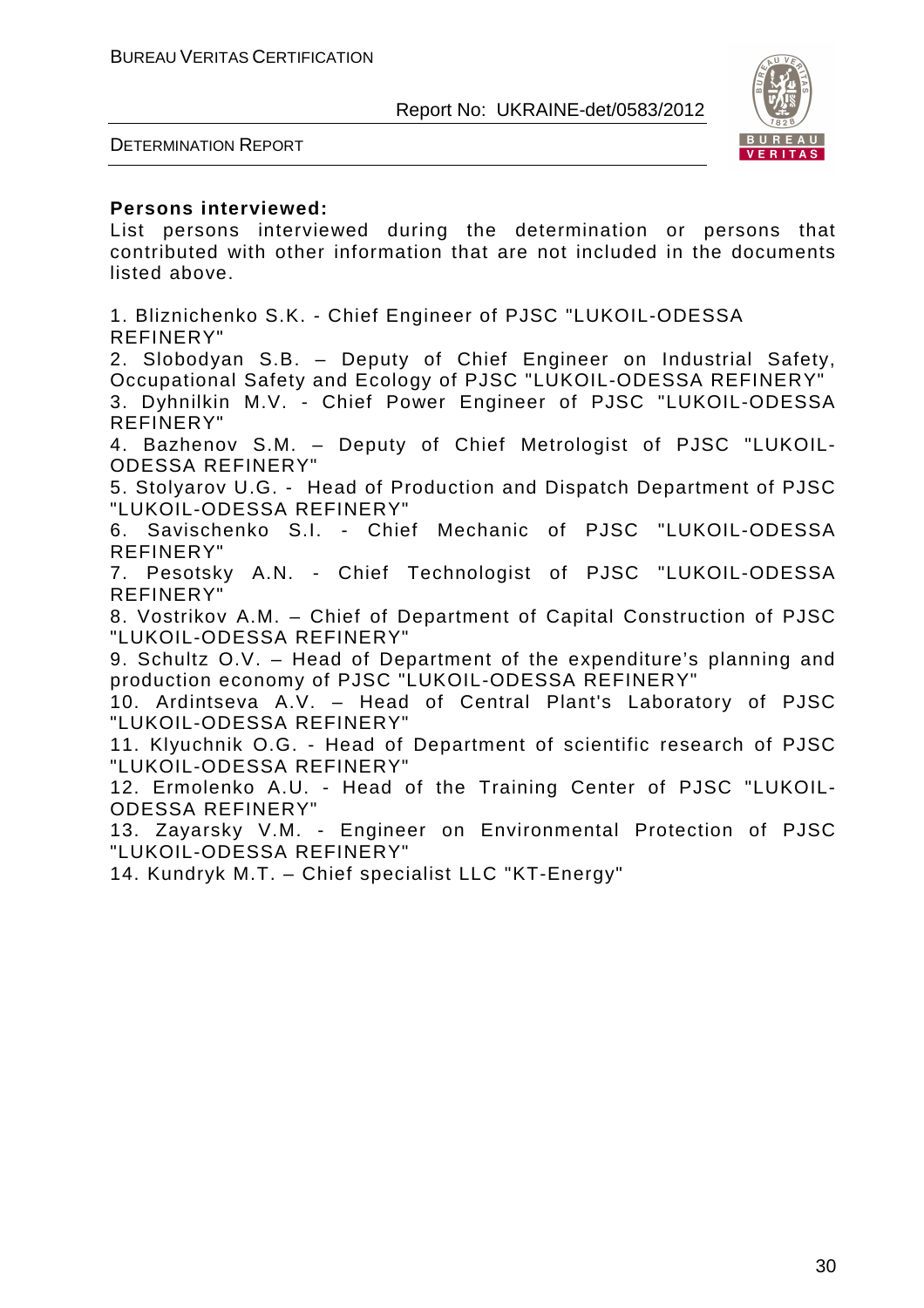

DETERMINATION REPORT

#### **Persons interviewed:**

List persons interviewed during the determination or persons that contributed with other information that are not included in the documents listed above.

1. Bliznichenko S.K. - Chief Engineer of PJSC "LUKOIL-ODESSA REFINERY"

2. Slobodyan S.B. – Deputy of Chief Engineer on Industrial Safety, Occupational Safety and Ecology of PJSC "LUKOIL-ODESSA REFINERY"

3. Dyhnilkin M.V. - Chief Power Engineer of PJSC "LUKOIL-ODESSA REFINERY"

4. Bazhenov S.M. – Deputy of Chief Metrologist of PJSC "LUKOIL-ODESSA REFINERY"

5. Stolyarov U.G. - Head of Production and Dispatch Department of PJSC "LUKOIL-ODESSA REFINERY"

6. Savischenko S.I. - Chief Mechanic of PJSC "LUKOIL-ODESSA REFINERY"

7. Pesotsky A.N. - Chief Technologist of PJSC "LUKOIL-ODESSA REFINERY"

8. Vostrikov A.M. – Chief of Department of Capital Construction of PJSC "LUKOIL-ODESSA REFINERY"

9. Schultz O.V. – Head of Department of the expenditure's planning and production economy of PJSC "LUKOIL-ODESSA REFINERY"

10. Ardintseva A.V. – Head of Central Plant's Laboratory of PJSC "LUKOIL-ODESSA REFINERY"

11. Klyuchnik O.G. - Head of Department of scientific research of PJSC "LUKOIL-ODESSA REFINERY"

12. Ermolenko A.U. - Head of the Training Center of PJSC "LUKOIL-ODESSA REFINERY"

13. Zayarsky V.M. - Engineer on Environmental Protection of PJSC "LUKOIL-ODESSA REFINERY"

14. Kundryk M.T. – Chief specialist LLC "KT-Energy"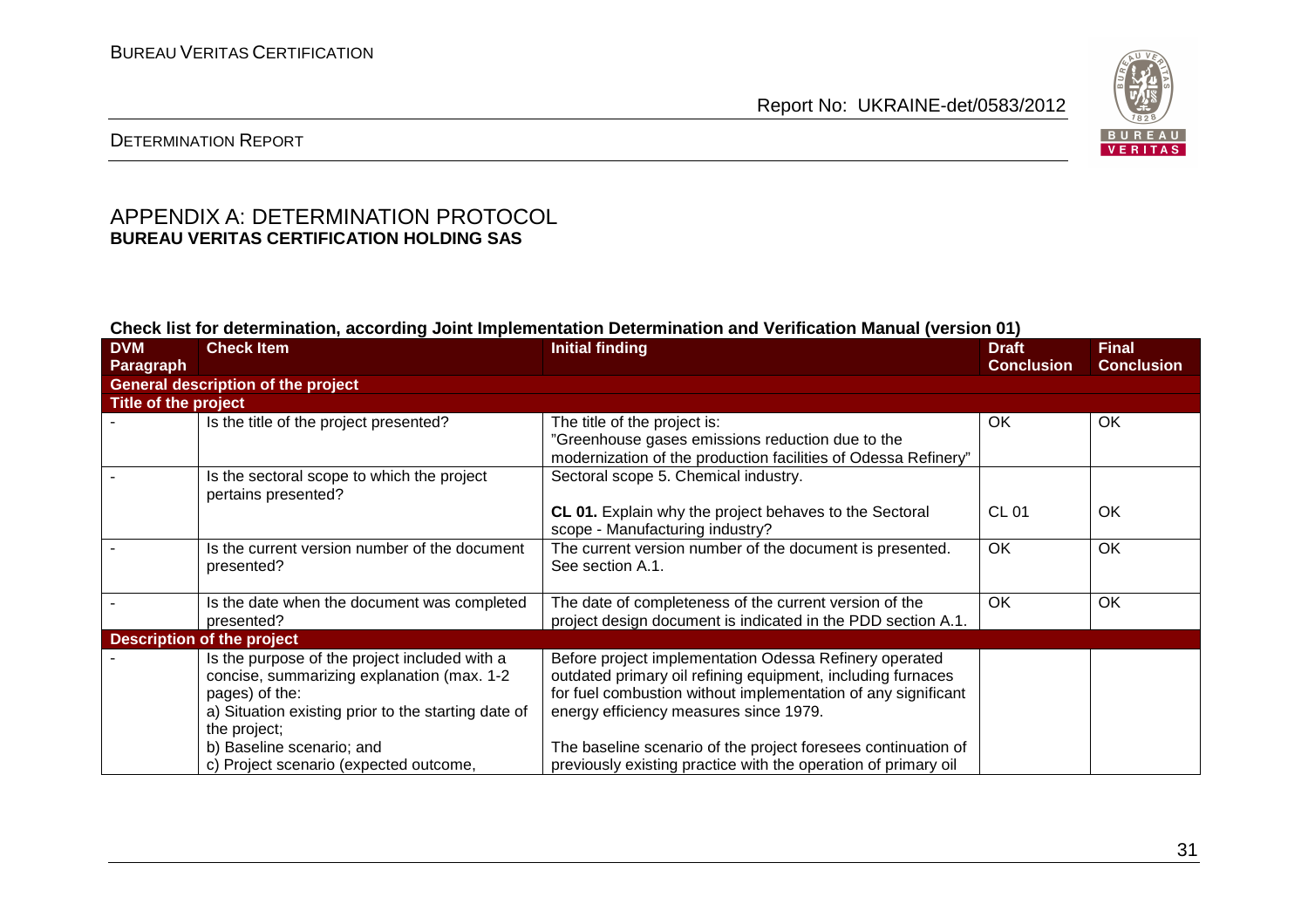

### DETERMINATION REPORT

#### APPENDIX A: DETERMINATION PROTOCOL **BUREAU VERITAS CERTIFICATION HOLDING SAS**

#### **Check list for determination, according Joint Implementation Determination and Verification Manual (version 01)**

| <b>DVM</b>           | <b>Check Item</b>                                                 | <b>Initial finding</b>                                                                                                 | <b>Draft</b>      | <b>Final</b>      |  |
|----------------------|-------------------------------------------------------------------|------------------------------------------------------------------------------------------------------------------------|-------------------|-------------------|--|
| Paragraph            |                                                                   |                                                                                                                        | <b>Conclusion</b> | <b>Conclusion</b> |  |
|                      | <b>General description of the project</b>                         |                                                                                                                        |                   |                   |  |
| Title of the project |                                                                   |                                                                                                                        |                   |                   |  |
|                      | Is the title of the project presented?                            | The title of the project is:                                                                                           | OK                | OK                |  |
|                      |                                                                   | "Greenhouse gases emissions reduction due to the                                                                       |                   |                   |  |
|                      |                                                                   | modernization of the production facilities of Odessa Refinery"                                                         |                   |                   |  |
|                      | Is the sectoral scope to which the project<br>pertains presented? | Sectoral scope 5. Chemical industry.                                                                                   |                   |                   |  |
|                      |                                                                   | CL 01. Explain why the project behaves to the Sectoral<br>scope - Manufacturing industry?                              | <b>CL 01</b>      | OK                |  |
|                      | Is the current version number of the document<br>presented?       | The current version number of the document is presented.<br>See section A.1.                                           | <b>OK</b>         | OK                |  |
|                      | Is the date when the document was completed<br>presented?         | The date of completeness of the current version of the<br>project design document is indicated in the PDD section A.1. | OK                | OK                |  |
|                      | <b>Description of the project</b>                                 |                                                                                                                        |                   |                   |  |
|                      | Is the purpose of the project included with a                     | Before project implementation Odessa Refinery operated                                                                 |                   |                   |  |
|                      | concise, summarizing explanation (max. 1-2                        | outdated primary oil refining equipment, including furnaces                                                            |                   |                   |  |
|                      | pages) of the:                                                    | for fuel combustion without implementation of any significant                                                          |                   |                   |  |
|                      | a) Situation existing prior to the starting date of               | energy efficiency measures since 1979.                                                                                 |                   |                   |  |
|                      | the project;                                                      |                                                                                                                        |                   |                   |  |
|                      | b) Baseline scenario; and                                         | The baseline scenario of the project foresees continuation of                                                          |                   |                   |  |
|                      | c) Project scenario (expected outcome,                            | previously existing practice with the operation of primary oil                                                         |                   |                   |  |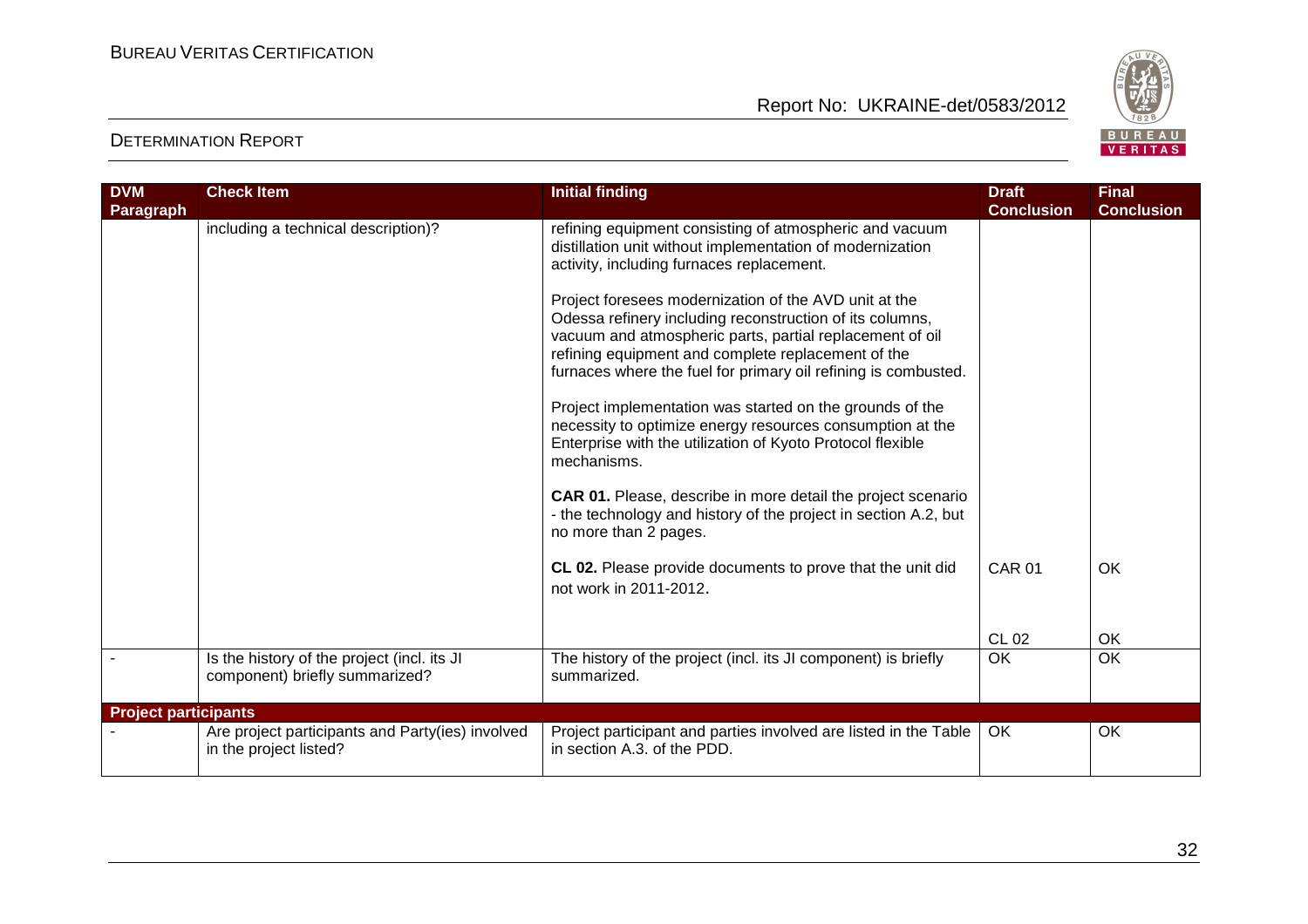

| <b>DVM</b>                  | <b>Check Item</b>                                                             | <b>Initial finding</b>                                                                                                                                                                                                                                                                                | <b>Draft</b>      | <b>Final</b>      |
|-----------------------------|-------------------------------------------------------------------------------|-------------------------------------------------------------------------------------------------------------------------------------------------------------------------------------------------------------------------------------------------------------------------------------------------------|-------------------|-------------------|
| <b>Paragraph</b>            |                                                                               |                                                                                                                                                                                                                                                                                                       | <b>Conclusion</b> | <b>Conclusion</b> |
|                             | including a technical description)?                                           | refining equipment consisting of atmospheric and vacuum<br>distillation unit without implementation of modernization<br>activity, including furnaces replacement.                                                                                                                                     |                   |                   |
|                             |                                                                               | Project foresees modernization of the AVD unit at the<br>Odessa refinery including reconstruction of its columns,<br>vacuum and atmospheric parts, partial replacement of oil<br>refining equipment and complete replacement of the<br>furnaces where the fuel for primary oil refining is combusted. |                   |                   |
|                             |                                                                               | Project implementation was started on the grounds of the<br>necessity to optimize energy resources consumption at the<br>Enterprise with the utilization of Kyoto Protocol flexible<br>mechanisms.                                                                                                    |                   |                   |
|                             |                                                                               | CAR 01. Please, describe in more detail the project scenario<br>- the technology and history of the project in section A.2, but<br>no more than 2 pages.                                                                                                                                              |                   |                   |
|                             |                                                                               | CL 02. Please provide documents to prove that the unit did<br>not work in 2011-2012.                                                                                                                                                                                                                  | <b>CAR 01</b>     | OK                |
|                             |                                                                               |                                                                                                                                                                                                                                                                                                       | <b>CL 02</b>      | OK                |
|                             | Is the history of the project (incl. its JI<br>component) briefly summarized? | The history of the project (incl. its JI component) is briefly<br>summarized.                                                                                                                                                                                                                         | <b>OK</b>         | OK                |
| <b>Project participants</b> |                                                                               |                                                                                                                                                                                                                                                                                                       |                   |                   |
|                             | Are project participants and Party(ies) involved<br>in the project listed?    | Project participant and parties involved are listed in the Table<br>in section A.3, of the PDD.                                                                                                                                                                                                       | OK                | OK                |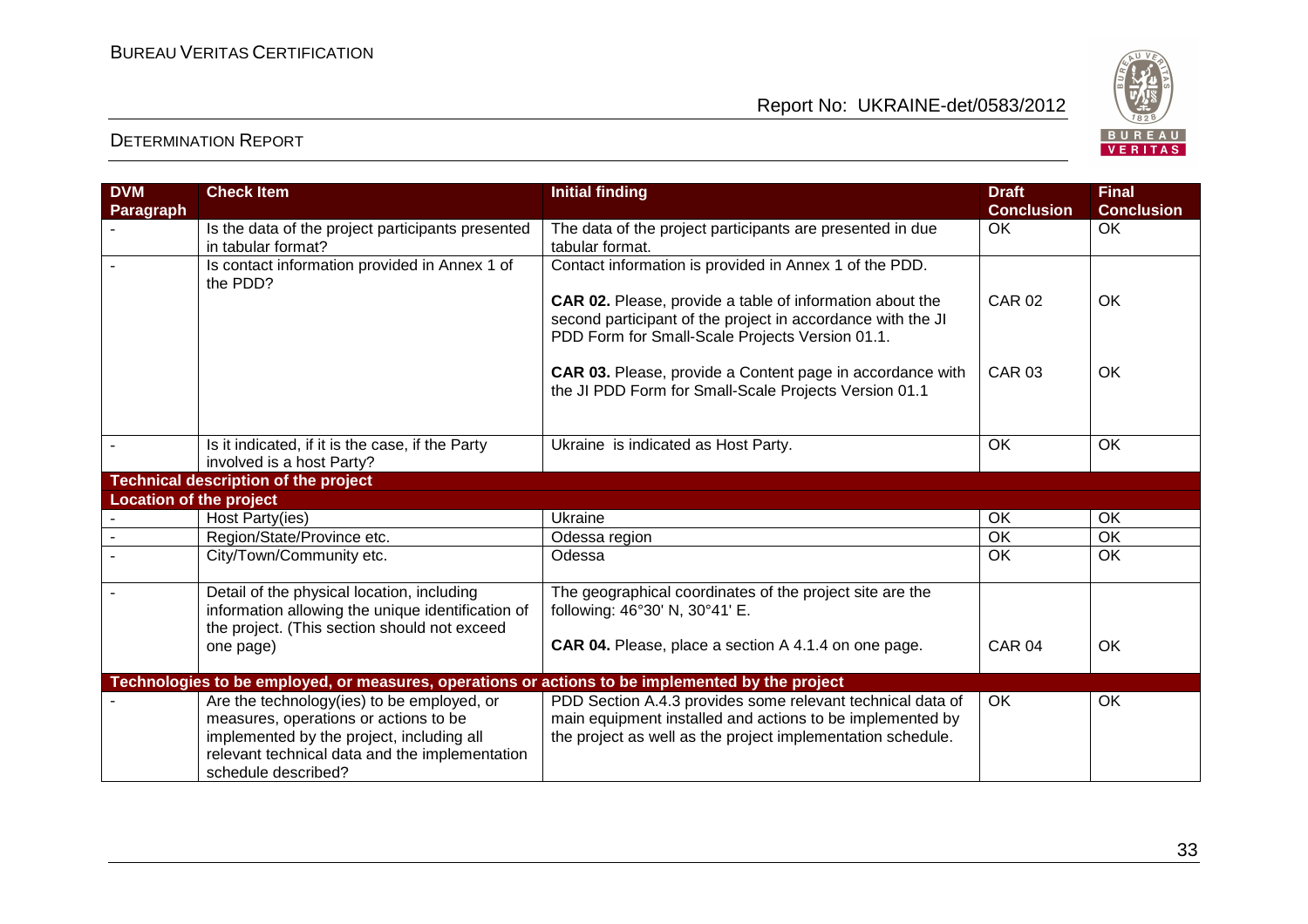

| <b>DVM</b>                     | <b>Check Item</b>                                                                                                                                                                                         | <b>Initial finding</b>                                                                                                                                                                 | <b>Draft</b>      | <b>Final</b>      |
|--------------------------------|-----------------------------------------------------------------------------------------------------------------------------------------------------------------------------------------------------------|----------------------------------------------------------------------------------------------------------------------------------------------------------------------------------------|-------------------|-------------------|
| Paragraph                      |                                                                                                                                                                                                           |                                                                                                                                                                                        | <b>Conclusion</b> | <b>Conclusion</b> |
|                                | Is the data of the project participants presented                                                                                                                                                         | The data of the project participants are presented in due                                                                                                                              | OK                | OK.               |
|                                | in tabular format?                                                                                                                                                                                        | tabular format.                                                                                                                                                                        |                   |                   |
|                                | Is contact information provided in Annex 1 of<br>the PDD?                                                                                                                                                 | Contact information is provided in Annex 1 of the PDD.                                                                                                                                 |                   |                   |
|                                |                                                                                                                                                                                                           | <b>CAR 02.</b> Please, provide a table of information about the<br>second participant of the project in accordance with the JI<br>PDD Form for Small-Scale Projects Version 01.1.      | <b>CAR 02</b>     | OK                |
|                                |                                                                                                                                                                                                           | CAR 03. Please, provide a Content page in accordance with<br>the JI PDD Form for Small-Scale Projects Version 01.1                                                                     | <b>CAR 03</b>     | OK                |
|                                | Is it indicated, if it is the case, if the Party<br>involved is a host Party?                                                                                                                             | Ukraine is indicated as Host Party.                                                                                                                                                    | OK                | $\overline{OK}$   |
|                                | <b>Technical description of the project</b>                                                                                                                                                               |                                                                                                                                                                                        |                   |                   |
| <b>Location of the project</b> |                                                                                                                                                                                                           |                                                                                                                                                                                        |                   |                   |
|                                | Host Party(ies)                                                                                                                                                                                           | Ukraine                                                                                                                                                                                | OK                | OK                |
|                                | Region/State/Province etc.                                                                                                                                                                                | Odessa region                                                                                                                                                                          | OK                | OK                |
|                                | City/Town/Community etc.                                                                                                                                                                                  | Odessa                                                                                                                                                                                 | OK                | OK                |
|                                | Detail of the physical location, including<br>information allowing the unique identification of<br>the project. (This section should not exceed                                                           | The geographical coordinates of the project site are the<br>following: 46°30' N, 30°41' E.                                                                                             |                   |                   |
|                                | one page)                                                                                                                                                                                                 | <b>CAR 04.</b> Please, place a section A 4.1.4 on one page.                                                                                                                            | <b>CAR 04</b>     | OK                |
|                                | Technologies to be employed, or measures, operations or actions to be implemented by the project                                                                                                          |                                                                                                                                                                                        |                   |                   |
|                                | Are the technology(ies) to be employed, or<br>measures, operations or actions to be<br>implemented by the project, including all<br>relevant technical data and the implementation<br>schedule described? | PDD Section A.4.3 provides some relevant technical data of<br>main equipment installed and actions to be implemented by<br>the project as well as the project implementation schedule. | <b>OK</b>         | OK                |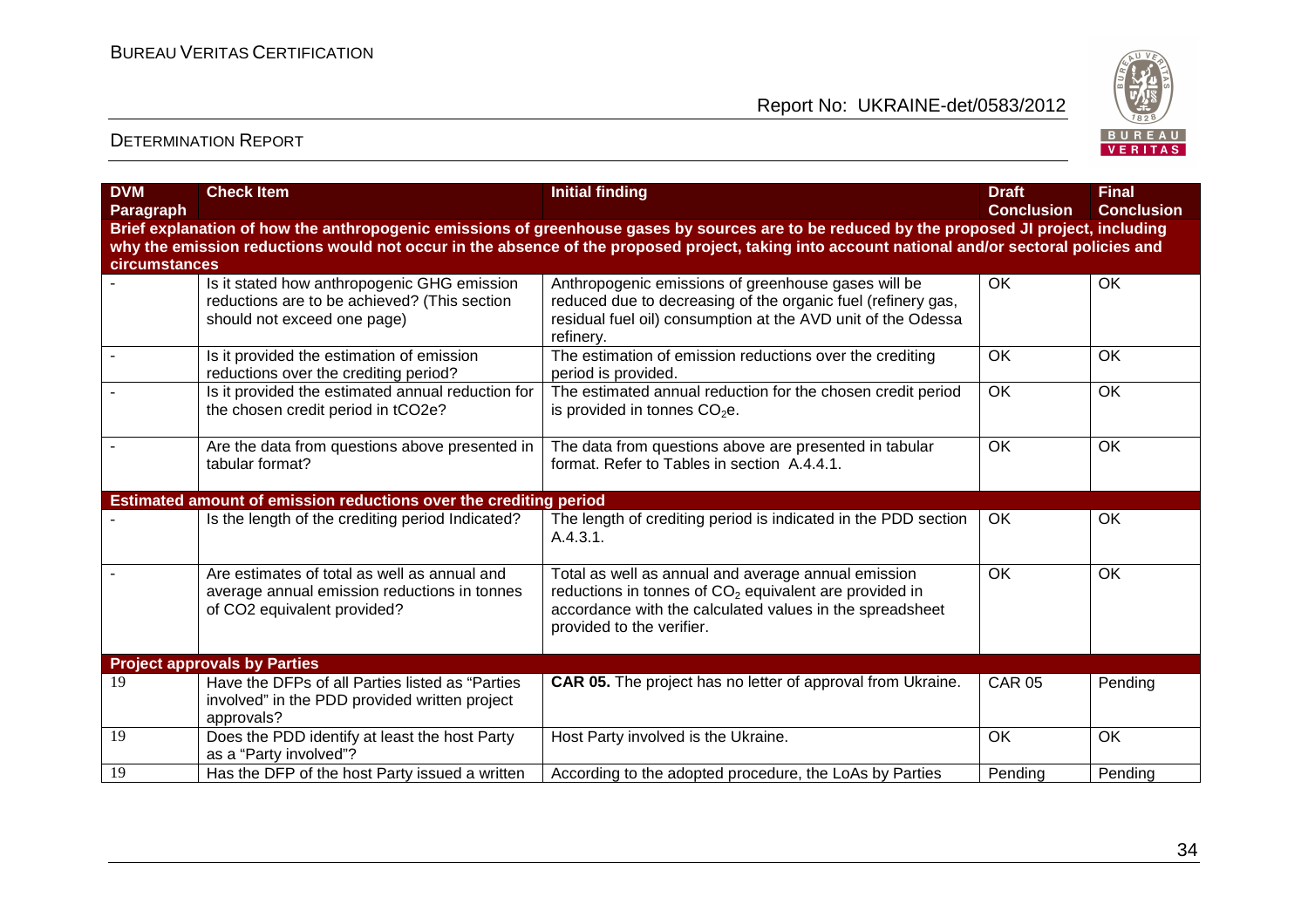

| <b>DVM</b><br><b>Paragraph</b> | <b>Check Item</b>                                                                                                           | <b>Initial finding</b>                                                                                                                                                                                   | <b>Draft</b><br><b>Conclusion</b> | <b>Final</b><br><b>Conclusion</b> |
|--------------------------------|-----------------------------------------------------------------------------------------------------------------------------|----------------------------------------------------------------------------------------------------------------------------------------------------------------------------------------------------------|-----------------------------------|-----------------------------------|
|                                |                                                                                                                             | Brief explanation of how the anthropogenic emissions of greenhouse gases by sources are to be reduced by the proposed JI project, including                                                              |                                   |                                   |
| circumstances                  |                                                                                                                             | why the emission reductions would not occur in the absence of the proposed project, taking into account national and/or sectoral policies and                                                            |                                   |                                   |
|                                | Is it stated how anthropogenic GHG emission<br>reductions are to be achieved? (This section<br>should not exceed one page)  | Anthropogenic emissions of greenhouse gases will be<br>reduced due to decreasing of the organic fuel (refinery gas,<br>residual fuel oil) consumption at the AVD unit of the Odessa<br>refinery.         | OK                                | OK                                |
|                                | Is it provided the estimation of emission<br>reductions over the crediting period?                                          | The estimation of emission reductions over the crediting<br>period is provided.                                                                                                                          | OK                                | <b>OK</b>                         |
|                                | Is it provided the estimated annual reduction for<br>the chosen credit period in tCO2e?                                     | The estimated annual reduction for the chosen credit period<br>is provided in tonnes $CO2e$ .                                                                                                            | OK                                | OK                                |
|                                | Are the data from questions above presented in<br>tabular format?                                                           | The data from questions above are presented in tabular<br>format. Refer to Tables in section A.4.4.1.                                                                                                    | $\overline{OK}$                   | OK                                |
|                                | Estimated amount of emission reductions over the crediting period                                                           |                                                                                                                                                                                                          |                                   |                                   |
|                                | Is the length of the crediting period Indicated?                                                                            | The length of crediting period is indicated in the PDD section<br>A.4.3.1.                                                                                                                               | OK                                | OK                                |
|                                | Are estimates of total as well as annual and<br>average annual emission reductions in tonnes<br>of CO2 equivalent provided? | Total as well as annual and average annual emission<br>reductions in tonnes of $CO2$ equivalent are provided in<br>accordance with the calculated values in the spreadsheet<br>provided to the verifier. | OK                                | OK                                |
|                                | <b>Project approvals by Parties</b>                                                                                         |                                                                                                                                                                                                          |                                   |                                   |
| 19                             | Have the DFPs of all Parties listed as "Parties<br>involved" in the PDD provided written project<br>approvals?              | CAR 05. The project has no letter of approval from Ukraine.                                                                                                                                              | <b>CAR 05</b>                     | Pending                           |
| 19                             | Does the PDD identify at least the host Party<br>as a "Party involved"?                                                     | Host Party involved is the Ukraine.                                                                                                                                                                      | <b>OK</b>                         | OK                                |
| 19                             | Has the DFP of the host Party issued a written                                                                              | According to the adopted procedure, the LoAs by Parties                                                                                                                                                  | Pending                           | Pending                           |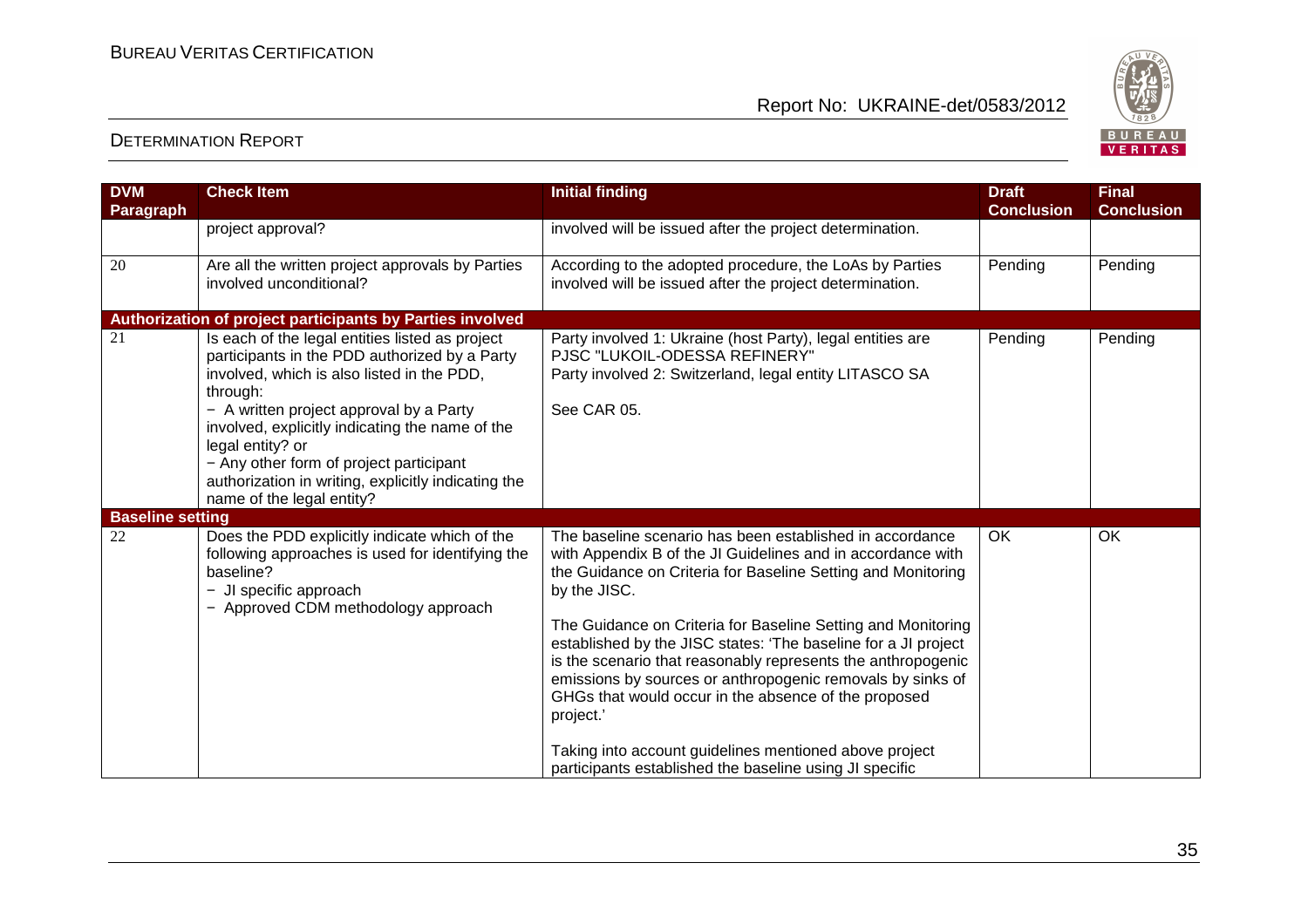

| <b>DVM</b><br><b>Paragraph</b> | <b>Check Item</b>                                                                                                                                                                                                                                                                                                                                                                                           | <b>Initial finding</b>                                                                                                                                                                                                                                                                                                                                                                                                                                                                                                                                                                                                                                            | <b>Draft</b><br><b>Conclusion</b> | <b>Final</b><br><b>Conclusion</b> |
|--------------------------------|-------------------------------------------------------------------------------------------------------------------------------------------------------------------------------------------------------------------------------------------------------------------------------------------------------------------------------------------------------------------------------------------------------------|-------------------------------------------------------------------------------------------------------------------------------------------------------------------------------------------------------------------------------------------------------------------------------------------------------------------------------------------------------------------------------------------------------------------------------------------------------------------------------------------------------------------------------------------------------------------------------------------------------------------------------------------------------------------|-----------------------------------|-----------------------------------|
|                                | project approval?                                                                                                                                                                                                                                                                                                                                                                                           | involved will be issued after the project determination.                                                                                                                                                                                                                                                                                                                                                                                                                                                                                                                                                                                                          |                                   |                                   |
| 20                             | Are all the written project approvals by Parties<br>involved unconditional?                                                                                                                                                                                                                                                                                                                                 | According to the adopted procedure, the LoAs by Parties<br>involved will be issued after the project determination.                                                                                                                                                                                                                                                                                                                                                                                                                                                                                                                                               | Pending                           | Pending                           |
|                                | Authorization of project participants by Parties involved                                                                                                                                                                                                                                                                                                                                                   |                                                                                                                                                                                                                                                                                                                                                                                                                                                                                                                                                                                                                                                                   |                                   |                                   |
| 21                             | Is each of the legal entities listed as project<br>participants in the PDD authorized by a Party<br>involved, which is also listed in the PDD,<br>through:<br>- A written project approval by a Party<br>involved, explicitly indicating the name of the<br>legal entity? or<br>- Any other form of project participant<br>authorization in writing, explicitly indicating the<br>name of the legal entity? | Party involved 1: Ukraine (host Party), legal entities are<br>PJSC "LUKOIL-ODESSA REFINERY"<br>Party involved 2: Switzerland, legal entity LITASCO SA<br>See CAR 05.                                                                                                                                                                                                                                                                                                                                                                                                                                                                                              | Pending                           | Pending                           |
| <b>Baseline setting</b>        |                                                                                                                                                                                                                                                                                                                                                                                                             |                                                                                                                                                                                                                                                                                                                                                                                                                                                                                                                                                                                                                                                                   |                                   |                                   |
| 22                             | Does the PDD explicitly indicate which of the<br>following approaches is used for identifying the<br>baseline?<br>- JI specific approach<br>- Approved CDM methodology approach                                                                                                                                                                                                                             | The baseline scenario has been established in accordance<br>with Appendix B of the JI Guidelines and in accordance with<br>the Guidance on Criteria for Baseline Setting and Monitoring<br>by the JISC.<br>The Guidance on Criteria for Baseline Setting and Monitoring<br>established by the JISC states: 'The baseline for a JI project<br>is the scenario that reasonably represents the anthropogenic<br>emissions by sources or anthropogenic removals by sinks of<br>GHGs that would occur in the absence of the proposed<br>project.'<br>Taking into account guidelines mentioned above project<br>participants established the baseline using JI specific | OK                                | OK                                |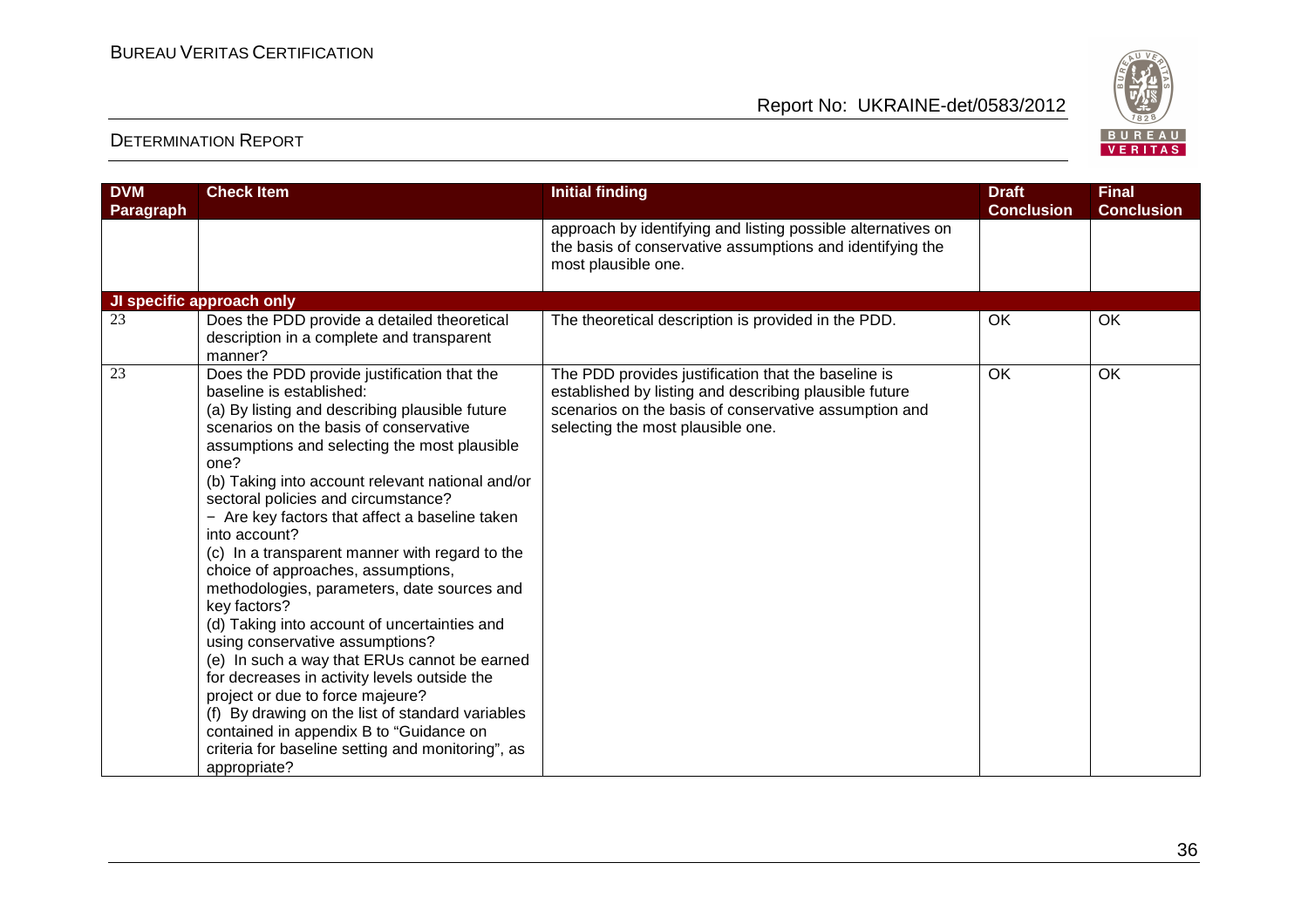

| <b>DVM</b><br><b>Paragraph</b> | <b>Check Item</b>                                                                                                                                                                                                                                                                                                                                                                                                                                                                                                                                                                                                                                                                                                                                                                                                                                                                                                                           | <b>Initial finding</b>                                                                                                                                                                                      | <b>Draft</b><br><b>Conclusion</b> | <b>Final</b><br><b>Conclusion</b> |
|--------------------------------|---------------------------------------------------------------------------------------------------------------------------------------------------------------------------------------------------------------------------------------------------------------------------------------------------------------------------------------------------------------------------------------------------------------------------------------------------------------------------------------------------------------------------------------------------------------------------------------------------------------------------------------------------------------------------------------------------------------------------------------------------------------------------------------------------------------------------------------------------------------------------------------------------------------------------------------------|-------------------------------------------------------------------------------------------------------------------------------------------------------------------------------------------------------------|-----------------------------------|-----------------------------------|
|                                |                                                                                                                                                                                                                                                                                                                                                                                                                                                                                                                                                                                                                                                                                                                                                                                                                                                                                                                                             | approach by identifying and listing possible alternatives on<br>the basis of conservative assumptions and identifying the<br>most plausible one.                                                            |                                   |                                   |
|                                | JI specific approach only                                                                                                                                                                                                                                                                                                                                                                                                                                                                                                                                                                                                                                                                                                                                                                                                                                                                                                                   |                                                                                                                                                                                                             |                                   |                                   |
| 23                             | Does the PDD provide a detailed theoretical<br>description in a complete and transparent<br>manner?                                                                                                                                                                                                                                                                                                                                                                                                                                                                                                                                                                                                                                                                                                                                                                                                                                         | The theoretical description is provided in the PDD.                                                                                                                                                         | OK                                | OK                                |
| 23                             | Does the PDD provide justification that the<br>baseline is established:<br>(a) By listing and describing plausible future<br>scenarios on the basis of conservative<br>assumptions and selecting the most plausible<br>one?<br>(b) Taking into account relevant national and/or<br>sectoral policies and circumstance?<br>- Are key factors that affect a baseline taken<br>into account?<br>(c) In a transparent manner with regard to the<br>choice of approaches, assumptions,<br>methodologies, parameters, date sources and<br>key factors?<br>(d) Taking into account of uncertainties and<br>using conservative assumptions?<br>(e) In such a way that ERUs cannot be earned<br>for decreases in activity levels outside the<br>project or due to force majeure?<br>(f) By drawing on the list of standard variables<br>contained in appendix B to "Guidance on<br>criteria for baseline setting and monitoring", as<br>appropriate? | The PDD provides justification that the baseline is<br>established by listing and describing plausible future<br>scenarios on the basis of conservative assumption and<br>selecting the most plausible one. | OK                                | OK                                |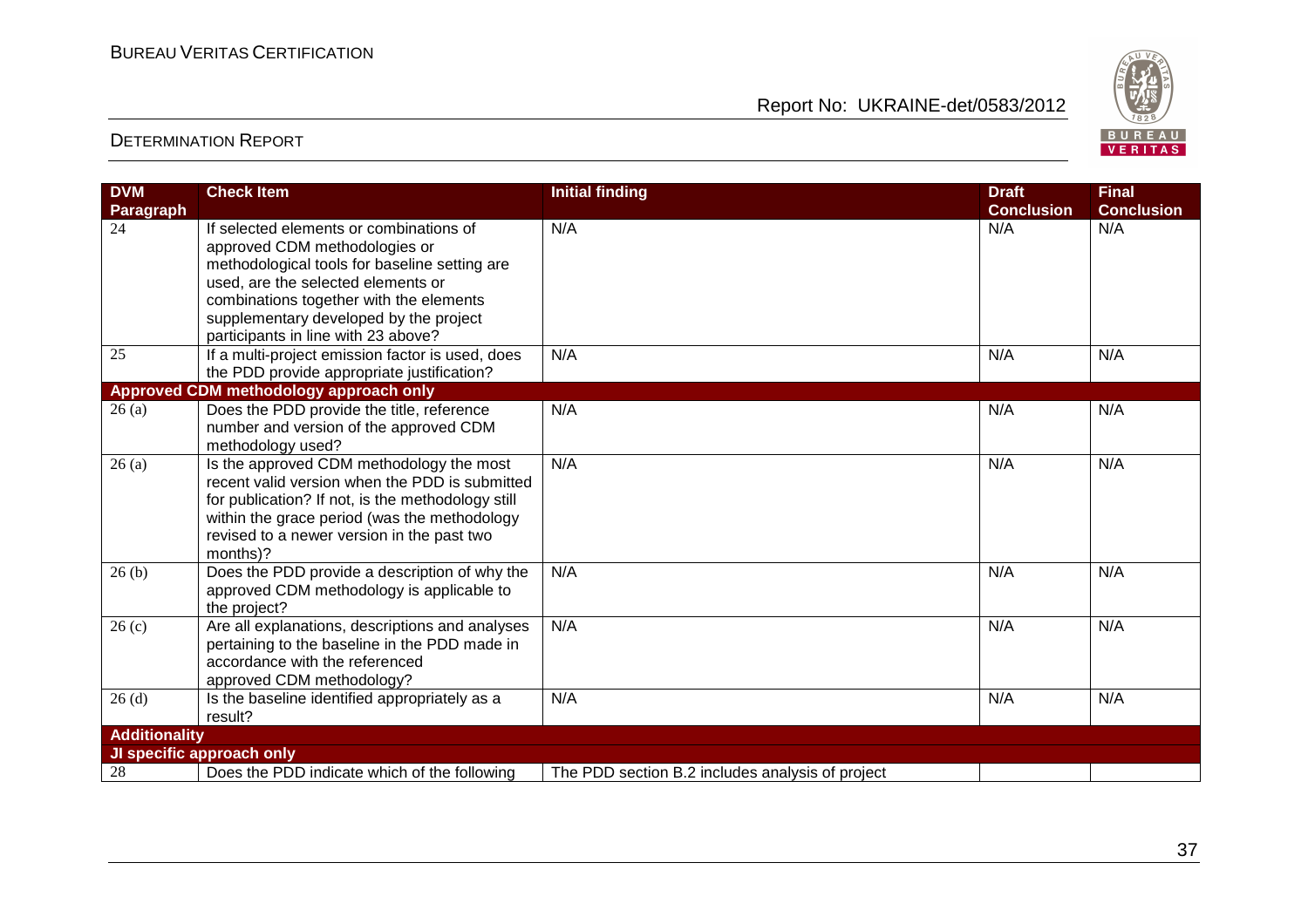

| <b>DVM</b>           | <b>Check Item</b>                                                                                                                                                                                                                                         | <b>Initial finding</b>                           | <b>Draft</b>      | <b>Final</b>      |
|----------------------|-----------------------------------------------------------------------------------------------------------------------------------------------------------------------------------------------------------------------------------------------------------|--------------------------------------------------|-------------------|-------------------|
| Paragraph            |                                                                                                                                                                                                                                                           |                                                  | <b>Conclusion</b> | <b>Conclusion</b> |
| 24                   | If selected elements or combinations of<br>approved CDM methodologies or<br>methodological tools for baseline setting are<br>used, are the selected elements or                                                                                           | N/A                                              | N/A               | N/A               |
|                      | combinations together with the elements<br>supplementary developed by the project<br>participants in line with 23 above?                                                                                                                                  |                                                  |                   |                   |
| 25                   | If a multi-project emission factor is used, does<br>the PDD provide appropriate justification?                                                                                                                                                            | N/A                                              | N/A               | N/A               |
|                      | Approved CDM methodology approach only                                                                                                                                                                                                                    |                                                  |                   |                   |
| 26(a)                | Does the PDD provide the title, reference<br>number and version of the approved CDM<br>methodology used?                                                                                                                                                  | N/A                                              | N/A               | N/A               |
| 26(a)                | Is the approved CDM methodology the most<br>recent valid version when the PDD is submitted<br>for publication? If not, is the methodology still<br>within the grace period (was the methodology<br>revised to a newer version in the past two<br>months)? | N/A                                              | N/A               | N/A               |
| 26(b)                | Does the PDD provide a description of why the<br>approved CDM methodology is applicable to<br>the project?                                                                                                                                                | N/A                                              | N/A               | N/A               |
| 26 <sub>(c)</sub>    | Are all explanations, descriptions and analyses<br>pertaining to the baseline in the PDD made in<br>accordance with the referenced<br>approved CDM methodology?                                                                                           | N/A                                              | N/A               | N/A               |
| 26(d)                | Is the baseline identified appropriately as a<br>result?                                                                                                                                                                                                  | N/A                                              | N/A               | N/A               |
| <b>Additionality</b> |                                                                                                                                                                                                                                                           |                                                  |                   |                   |
|                      | JI specific approach only                                                                                                                                                                                                                                 |                                                  |                   |                   |
| 28                   | Does the PDD indicate which of the following                                                                                                                                                                                                              | The PDD section B.2 includes analysis of project |                   |                   |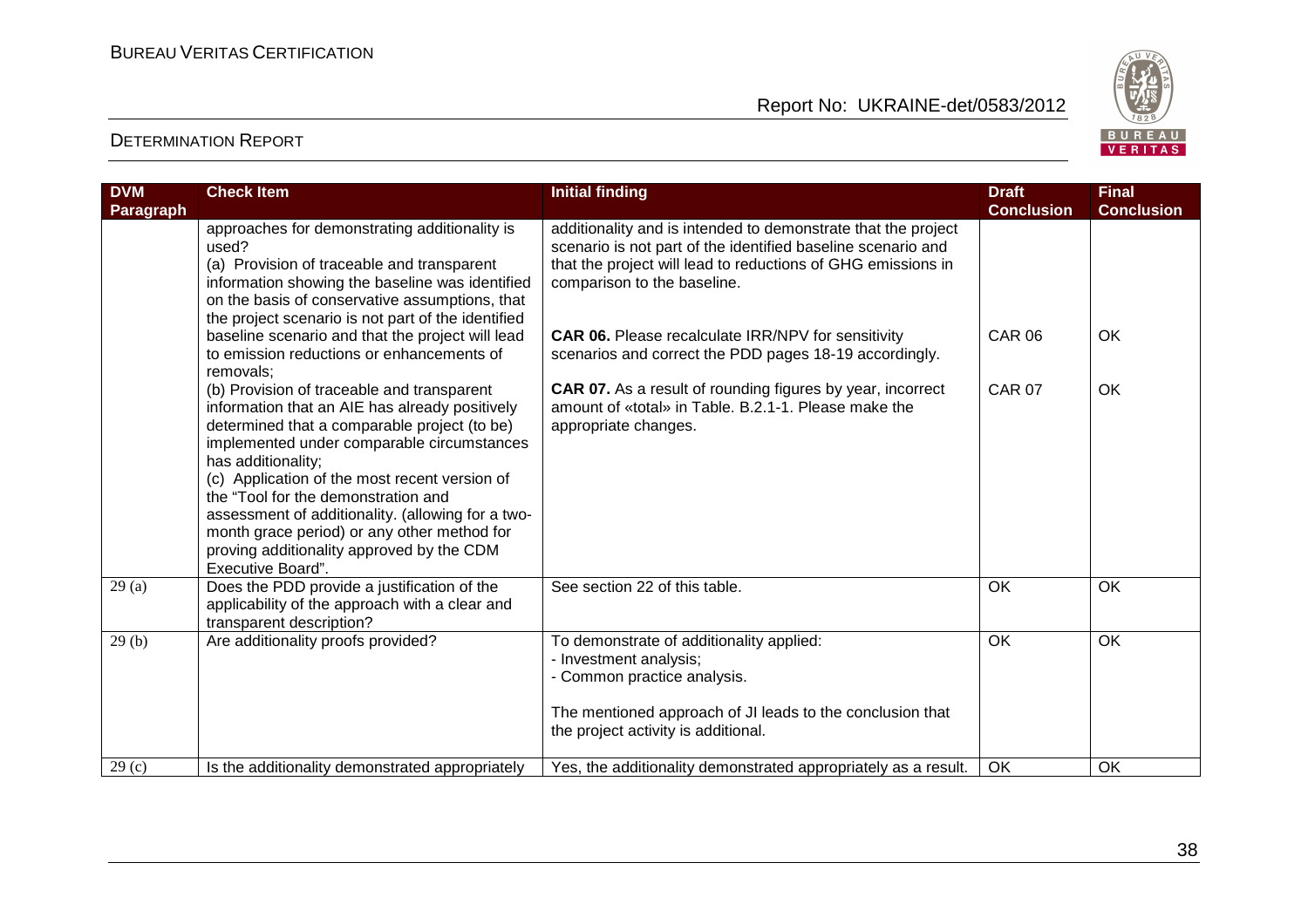

| <b>DVM</b><br><b>Paragraph</b> | <b>Check Item</b>                                                                                                                                                                                                                                                                                                                                                                                                                                                              | <b>Initial finding</b>                                                                                                                                                                                                       | <b>Draft</b><br><b>Conclusion</b> | <b>Final</b><br><b>Conclusion</b> |
|--------------------------------|--------------------------------------------------------------------------------------------------------------------------------------------------------------------------------------------------------------------------------------------------------------------------------------------------------------------------------------------------------------------------------------------------------------------------------------------------------------------------------|------------------------------------------------------------------------------------------------------------------------------------------------------------------------------------------------------------------------------|-----------------------------------|-----------------------------------|
|                                | approaches for demonstrating additionality is<br>used?<br>(a) Provision of traceable and transparent<br>information showing the baseline was identified<br>on the basis of conservative assumptions, that<br>the project scenario is not part of the identified                                                                                                                                                                                                                | additionality and is intended to demonstrate that the project<br>scenario is not part of the identified baseline scenario and<br>that the project will lead to reductions of GHG emissions in<br>comparison to the baseline. |                                   |                                   |
|                                | baseline scenario and that the project will lead<br>to emission reductions or enhancements of<br>removals;                                                                                                                                                                                                                                                                                                                                                                     | <b>CAR 06.</b> Please recalculate IRR/NPV for sensitivity<br>scenarios and correct the PDD pages 18-19 accordingly.                                                                                                          | <b>CAR 06</b>                     | <b>OK</b>                         |
|                                | (b) Provision of traceable and transparent<br>information that an AIE has already positively<br>determined that a comparable project (to be)<br>implemented under comparable circumstances<br>has additionality;<br>(c) Application of the most recent version of<br>the "Tool for the demonstration and<br>assessment of additionality. (allowing for a two-<br>month grace period) or any other method for<br>proving additionality approved by the CDM<br>Executive Board". | <b>CAR 07.</b> As a result of rounding figures by year, incorrect<br>amount of «total» in Table. B.2.1-1. Please make the<br>appropriate changes.                                                                            | <b>CAR 07</b>                     | OK                                |
| 29(a)                          | Does the PDD provide a justification of the<br>applicability of the approach with a clear and<br>transparent description?                                                                                                                                                                                                                                                                                                                                                      | See section 22 of this table.                                                                                                                                                                                                | $\overline{OK}$                   | $\overline{OK}$                   |
| 29(b)                          | Are additionality proofs provided?                                                                                                                                                                                                                                                                                                                                                                                                                                             | To demonstrate of additionality applied:<br>- Investment analysis;<br>- Common practice analysis.<br>The mentioned approach of JI leads to the conclusion that<br>the project activity is additional.                        | <b>OK</b>                         | OK                                |
| 29(c)                          | Is the additionality demonstrated appropriately                                                                                                                                                                                                                                                                                                                                                                                                                                | Yes, the additionality demonstrated appropriately as a result.                                                                                                                                                               | OK                                | OK                                |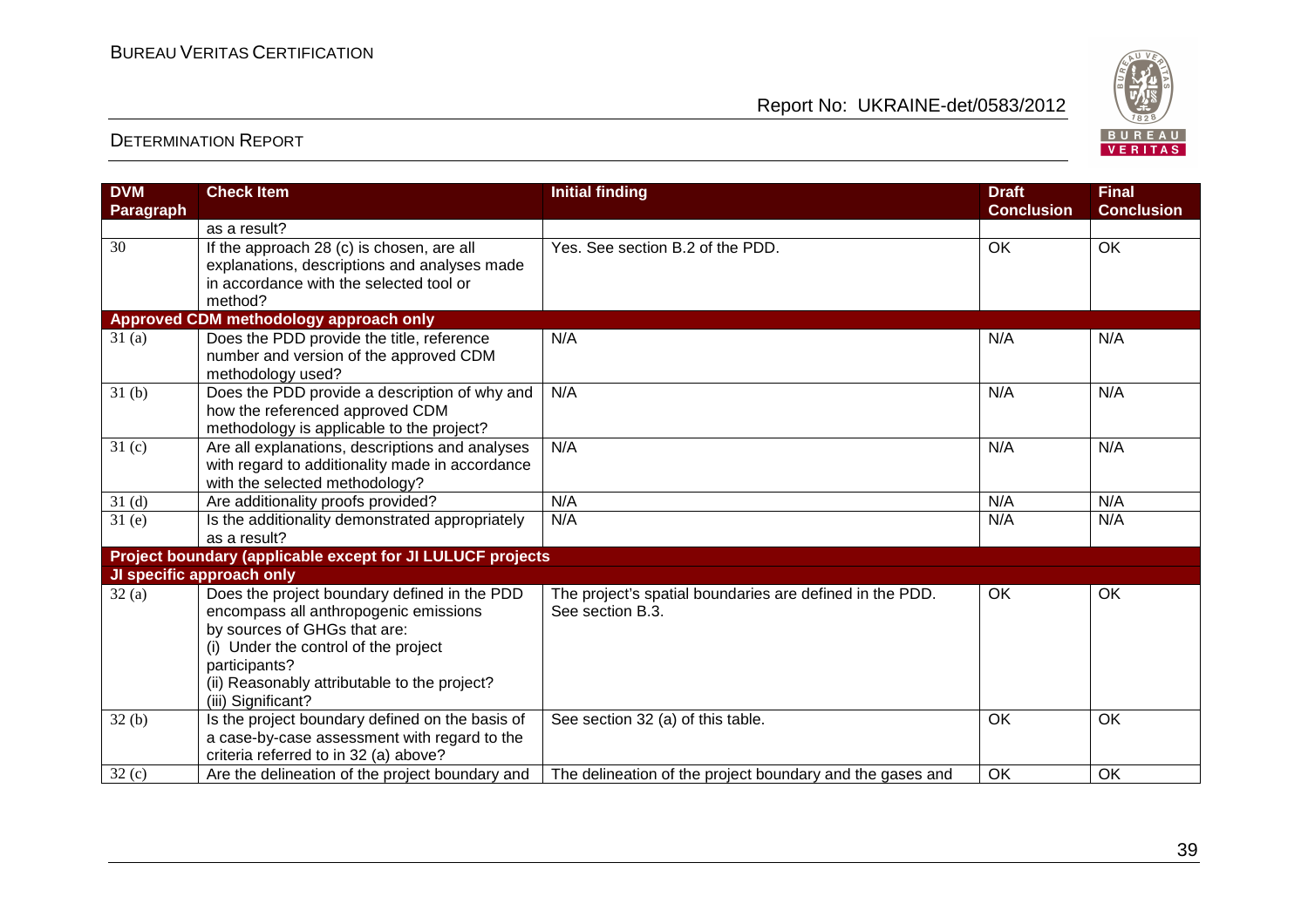

| <b>DVM</b>          | <b>Check Item</b>                                          | <b>Initial finding</b>                                    | <b>Draft</b>      | <b>Final</b>      |
|---------------------|------------------------------------------------------------|-----------------------------------------------------------|-------------------|-------------------|
| Paragraph           |                                                            |                                                           | <b>Conclusion</b> | <b>Conclusion</b> |
|                     | as a result?                                               |                                                           |                   |                   |
| 30                  | If the approach 28 (c) is chosen, are all                  | Yes. See section B.2 of the PDD.                          | OK                | OK                |
|                     | explanations, descriptions and analyses made               |                                                           |                   |                   |
|                     | in accordance with the selected tool or                    |                                                           |                   |                   |
|                     | method?                                                    |                                                           |                   |                   |
|                     | Approved CDM methodology approach only                     |                                                           |                   |                   |
| 31(a)               | Does the PDD provide the title, reference                  | N/A                                                       | N/A               | N/A               |
|                     | number and version of the approved CDM                     |                                                           |                   |                   |
|                     | methodology used?                                          |                                                           |                   |                   |
| 31 <sub>(b)</sub>   | Does the PDD provide a description of why and              | N/A                                                       | N/A               | N/A               |
|                     | how the referenced approved CDM                            |                                                           |                   |                   |
|                     | methodology is applicable to the project?                  |                                                           |                   |                   |
| $\overline{31}$ (c) | Are all explanations, descriptions and analyses            | N/A                                                       | N/A               | N/A               |
|                     | with regard to additionality made in accordance            |                                                           |                   |                   |
|                     | with the selected methodology?                             |                                                           |                   |                   |
| 31 <sub>(d)</sub>   | Are additionality proofs provided?                         | N/A                                                       | N/A               | N/A               |
| 31(e)               | Is the additionality demonstrated appropriately            | N/A                                                       | N/A               | N/A               |
|                     | as a result?                                               |                                                           |                   |                   |
|                     | Project boundary (applicable except for JI LULUCF projects |                                                           |                   |                   |
|                     | JI specific approach only                                  |                                                           |                   |                   |
| 32(a)               | Does the project boundary defined in the PDD               | The project's spatial boundaries are defined in the PDD.  | OK                | OK                |
|                     | encompass all anthropogenic emissions                      | See section B.3.                                          |                   |                   |
|                     | by sources of GHGs that are:                               |                                                           |                   |                   |
|                     | (i) Under the control of the project                       |                                                           |                   |                   |
|                     | participants?                                              |                                                           |                   |                   |
|                     | (ii) Reasonably attributable to the project?               |                                                           |                   |                   |
|                     | (iii) Significant?                                         |                                                           |                   |                   |
| 32(b)               | Is the project boundary defined on the basis of            | See section 32 (a) of this table.                         | <b>OK</b>         | OK                |
|                     | a case-by-case assessment with regard to the               |                                                           |                   |                   |
|                     | criteria referred to in 32 (a) above?                      |                                                           | <b>OK</b>         | OK                |
| 32(c)               | Are the delineation of the project boundary and            | The delineation of the project boundary and the gases and |                   |                   |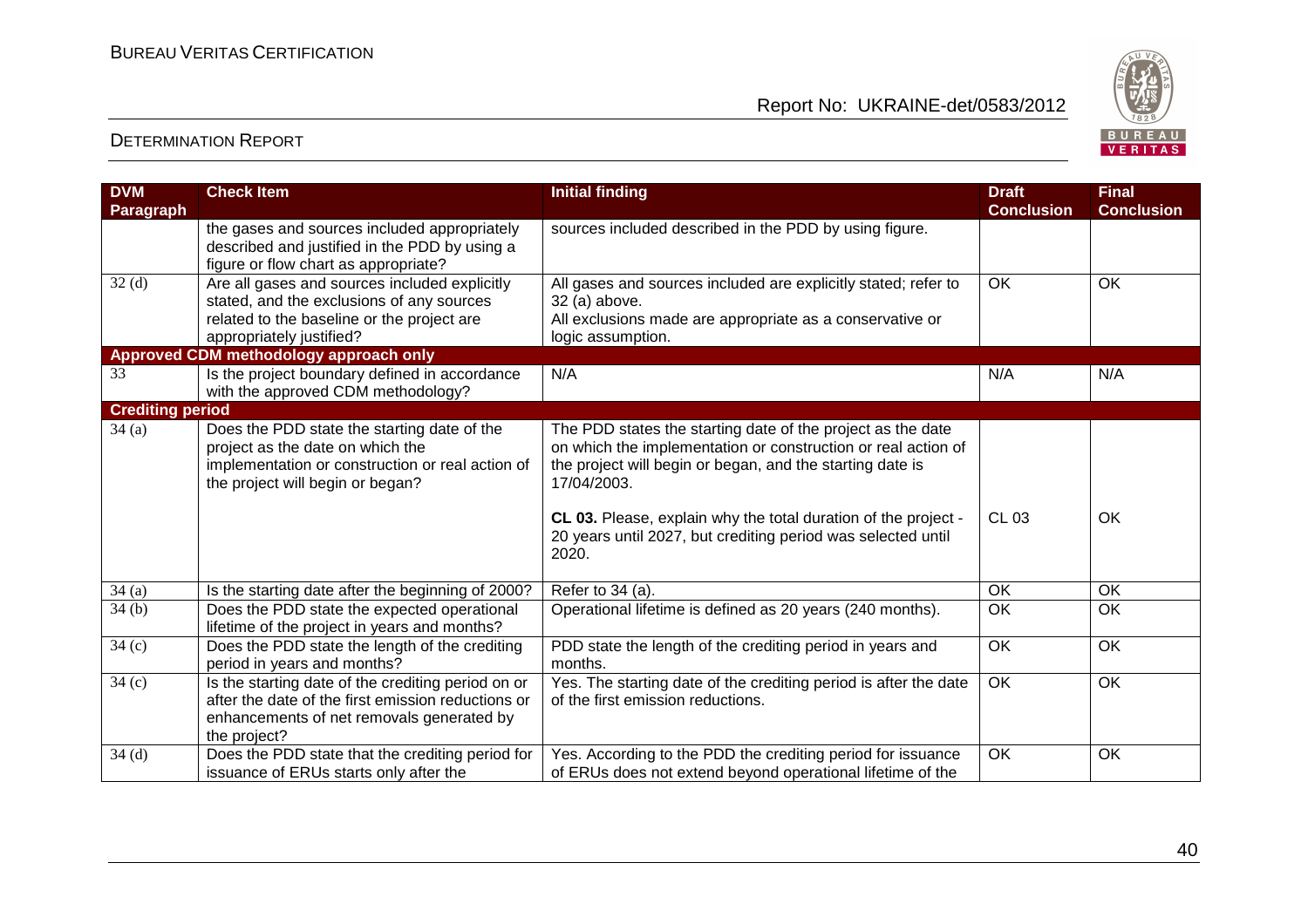

| <b>DVM</b>              | <b>Check Item</b>                                  | <b>Initial finding</b>                                           | <b>Draft</b>      | <b>Final</b>      |
|-------------------------|----------------------------------------------------|------------------------------------------------------------------|-------------------|-------------------|
| Paragraph               |                                                    |                                                                  | <b>Conclusion</b> | <b>Conclusion</b> |
|                         | the gases and sources included appropriately       | sources included described in the PDD by using figure.           |                   |                   |
|                         | described and justified in the PDD by using a      |                                                                  |                   |                   |
|                         | figure or flow chart as appropriate?               |                                                                  |                   |                   |
| 32 <sub>(d)</sub>       | Are all gases and sources included explicitly      | All gases and sources included are explicitly stated; refer to   | <b>OK</b>         | <b>OK</b>         |
|                         | stated, and the exclusions of any sources          | 32 (a) above.                                                    |                   |                   |
|                         | related to the baseline or the project are         | All exclusions made are appropriate as a conservative or         |                   |                   |
|                         | appropriately justified?                           | logic assumption.                                                |                   |                   |
|                         | Approved CDM methodology approach only             |                                                                  |                   |                   |
| 33                      | Is the project boundary defined in accordance      | N/A                                                              | N/A               | N/A               |
|                         | with the approved CDM methodology?                 |                                                                  |                   |                   |
| <b>Crediting period</b> |                                                    |                                                                  |                   |                   |
| 34(a)                   | Does the PDD state the starting date of the        | The PDD states the starting date of the project as the date      |                   |                   |
|                         | project as the date on which the                   | on which the implementation or construction or real action of    |                   |                   |
|                         | implementation or construction or real action of   | the project will begin or began, and the starting date is        |                   |                   |
|                         | the project will begin or began?                   | 17/04/2003.                                                      |                   |                   |
|                         |                                                    |                                                                  |                   |                   |
|                         |                                                    | CL 03. Please, explain why the total duration of the project -   | <b>CL 03</b>      | OK                |
|                         |                                                    | 20 years until 2027, but crediting period was selected until     |                   |                   |
|                         |                                                    | 2020.                                                            |                   |                   |
| 34(a)                   | Is the starting date after the beginning of 2000?  | Refer to 34 (a).                                                 | OK                | OK                |
| 34(b)                   | Does the PDD state the expected operational        | Operational lifetime is defined as 20 years (240 months).        | OK                | <b>OK</b>         |
|                         | lifetime of the project in years and months?       |                                                                  |                   |                   |
| 34 <sub>(c)</sub>       | Does the PDD state the length of the crediting     | PDD state the length of the crediting period in years and        | OK                | OK                |
|                         | period in years and months?                        | months.                                                          |                   |                   |
| 34(c)                   | Is the starting date of the crediting period on or | Yes. The starting date of the crediting period is after the date | OK                | OK                |
|                         | after the date of the first emission reductions or | of the first emission reductions.                                |                   |                   |
|                         | enhancements of net removals generated by          |                                                                  |                   |                   |
|                         | the project?                                       |                                                                  |                   |                   |
| 34(d)                   | Does the PDD state that the crediting period for   | Yes. According to the PDD the crediting period for issuance      | <b>OK</b>         | OK                |
|                         | issuance of ERUs starts only after the             | of ERUs does not extend beyond operational lifetime of the       |                   |                   |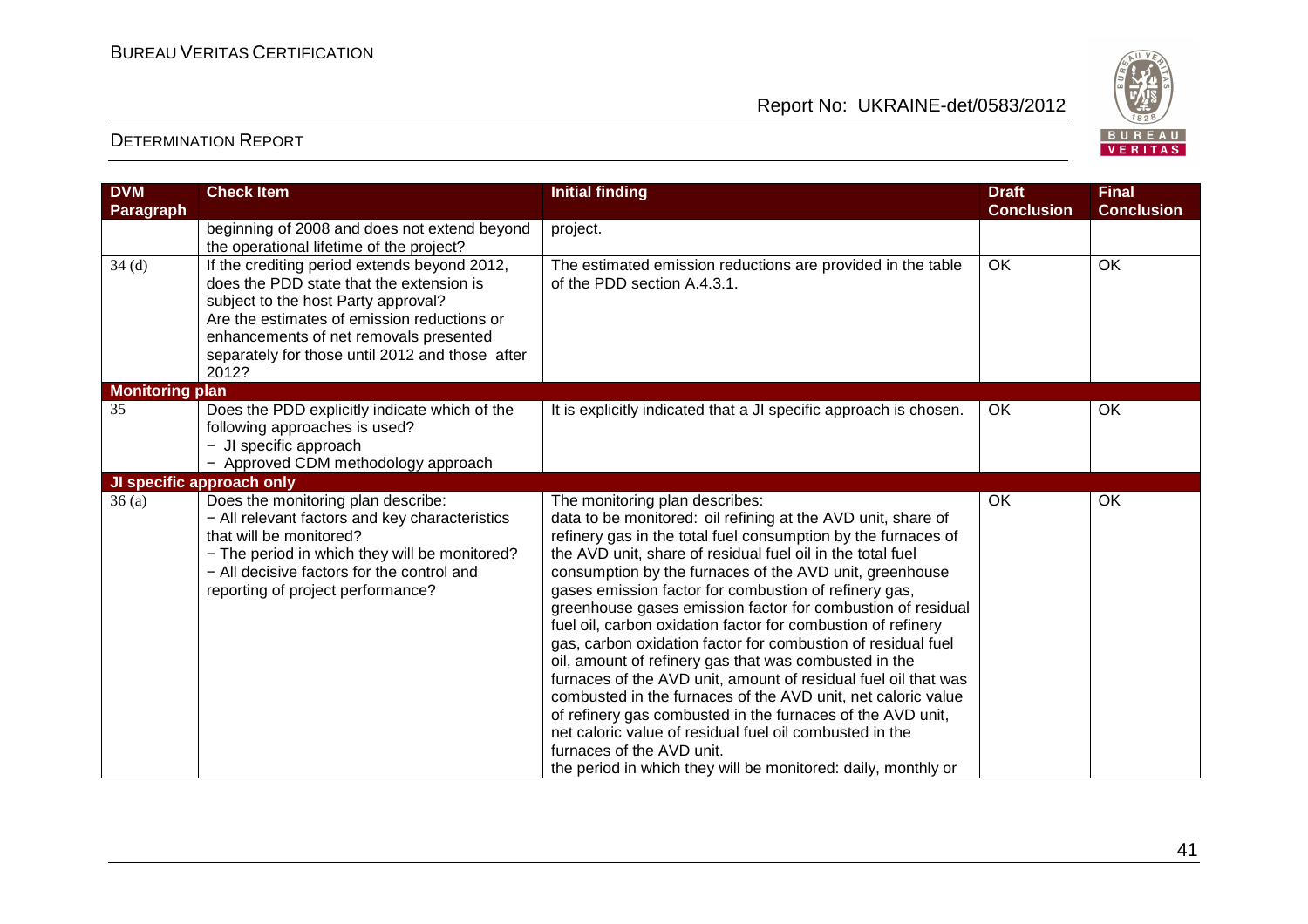

| <b>DVM</b><br>Paragraph | <b>Check Item</b>                                                                                                                                                                                                                                                                    | <b>Initial finding</b>                                                                                                                                                                                                                                                                                                                                                                                                                                                                                                                                                                                                                                                                                                                                                                                                                                                                                                                                             | <b>Draft</b><br><b>Conclusion</b> | <b>Final</b><br><b>Conclusion</b> |
|-------------------------|--------------------------------------------------------------------------------------------------------------------------------------------------------------------------------------------------------------------------------------------------------------------------------------|--------------------------------------------------------------------------------------------------------------------------------------------------------------------------------------------------------------------------------------------------------------------------------------------------------------------------------------------------------------------------------------------------------------------------------------------------------------------------------------------------------------------------------------------------------------------------------------------------------------------------------------------------------------------------------------------------------------------------------------------------------------------------------------------------------------------------------------------------------------------------------------------------------------------------------------------------------------------|-----------------------------------|-----------------------------------|
|                         | beginning of 2008 and does not extend beyond<br>the operational lifetime of the project?                                                                                                                                                                                             | project.                                                                                                                                                                                                                                                                                                                                                                                                                                                                                                                                                                                                                                                                                                                                                                                                                                                                                                                                                           |                                   |                                   |
| 34(d)                   | If the crediting period extends beyond 2012,<br>does the PDD state that the extension is<br>subject to the host Party approval?<br>Are the estimates of emission reductions or<br>enhancements of net removals presented<br>separately for those until 2012 and those after<br>2012? | The estimated emission reductions are provided in the table<br>of the PDD section A.4.3.1.                                                                                                                                                                                                                                                                                                                                                                                                                                                                                                                                                                                                                                                                                                                                                                                                                                                                         | OK                                | OK                                |
| <b>Monitoring plan</b>  |                                                                                                                                                                                                                                                                                      |                                                                                                                                                                                                                                                                                                                                                                                                                                                                                                                                                                                                                                                                                                                                                                                                                                                                                                                                                                    |                                   |                                   |
| 35                      | Does the PDD explicitly indicate which of the<br>following approaches is used?<br>- JI specific approach<br>- Approved CDM methodology approach                                                                                                                                      | It is explicitly indicated that a JI specific approach is chosen.                                                                                                                                                                                                                                                                                                                                                                                                                                                                                                                                                                                                                                                                                                                                                                                                                                                                                                  | <b>OK</b>                         | OK                                |
|                         | JI specific approach only                                                                                                                                                                                                                                                            |                                                                                                                                                                                                                                                                                                                                                                                                                                                                                                                                                                                                                                                                                                                                                                                                                                                                                                                                                                    |                                   |                                   |
| 36(a)                   | Does the monitoring plan describe:<br>- All relevant factors and key characteristics<br>that will be monitored?<br>- The period in which they will be monitored?<br>- All decisive factors for the control and<br>reporting of project performance?                                  | The monitoring plan describes:<br>data to be monitored: oil refining at the AVD unit, share of<br>refinery gas in the total fuel consumption by the furnaces of<br>the AVD unit, share of residual fuel oil in the total fuel<br>consumption by the furnaces of the AVD unit, greenhouse<br>gases emission factor for combustion of refinery gas,<br>greenhouse gases emission factor for combustion of residual<br>fuel oil, carbon oxidation factor for combustion of refinery<br>gas, carbon oxidation factor for combustion of residual fuel<br>oil, amount of refinery gas that was combusted in the<br>furnaces of the AVD unit, amount of residual fuel oil that was<br>combusted in the furnaces of the AVD unit, net caloric value<br>of refinery gas combusted in the furnaces of the AVD unit,<br>net caloric value of residual fuel oil combusted in the<br>furnaces of the AVD unit.<br>the period in which they will be monitored: daily, monthly or | <b>OK</b>                         | <b>OK</b>                         |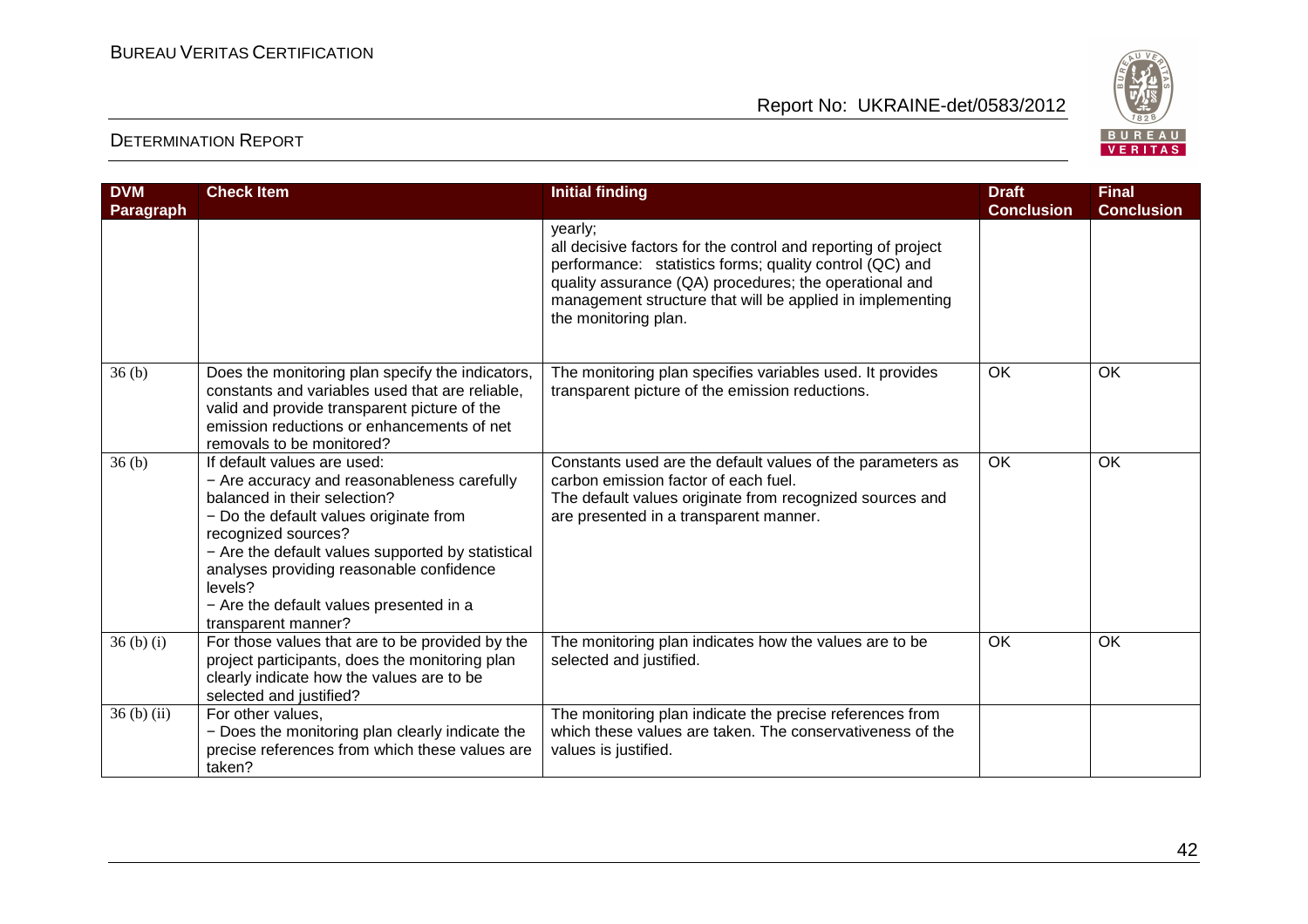

| <b>DVM</b><br>Paragraph | <b>Check Item</b>                                                                                                                                                                                                                                                                                                                                         | <b>Initial finding</b>                                                                                                                                                                                                                                                             | <b>Draft</b><br><b>Conclusion</b> | <b>Final</b><br><b>Conclusion</b> |
|-------------------------|-----------------------------------------------------------------------------------------------------------------------------------------------------------------------------------------------------------------------------------------------------------------------------------------------------------------------------------------------------------|------------------------------------------------------------------------------------------------------------------------------------------------------------------------------------------------------------------------------------------------------------------------------------|-----------------------------------|-----------------------------------|
|                         |                                                                                                                                                                                                                                                                                                                                                           | yearly;<br>all decisive factors for the control and reporting of project<br>performance: statistics forms; quality control (QC) and<br>quality assurance (QA) procedures; the operational and<br>management structure that will be applied in implementing<br>the monitoring plan. |                                   |                                   |
| 36(b)                   | Does the monitoring plan specify the indicators,<br>constants and variables used that are reliable,<br>valid and provide transparent picture of the<br>emission reductions or enhancements of net<br>removals to be monitored?                                                                                                                            | The monitoring plan specifies variables used. It provides<br>transparent picture of the emission reductions.                                                                                                                                                                       | <b>OK</b>                         | <b>OK</b>                         |
| 36 <sub>(b)</sub>       | If default values are used:<br>- Are accuracy and reasonableness carefully<br>balanced in their selection?<br>- Do the default values originate from<br>recognized sources?<br>- Are the default values supported by statistical<br>analyses providing reasonable confidence<br>levels?<br>- Are the default values presented in a<br>transparent manner? | Constants used are the default values of the parameters as<br>carbon emission factor of each fuel.<br>The default values originate from recognized sources and<br>are presented in a transparent manner.                                                                           | <b>OK</b>                         | OK                                |
| $36(b)$ (i)             | For those values that are to be provided by the<br>project participants, does the monitoring plan<br>clearly indicate how the values are to be<br>selected and justified?                                                                                                                                                                                 | The monitoring plan indicates how the values are to be<br>selected and justified.                                                                                                                                                                                                  | <b>OK</b>                         | OK                                |
| $36(b)$ (ii)            | For other values,<br>- Does the monitoring plan clearly indicate the<br>precise references from which these values are<br>taken?                                                                                                                                                                                                                          | The monitoring plan indicate the precise references from<br>which these values are taken. The conservativeness of the<br>values is justified.                                                                                                                                      |                                   |                                   |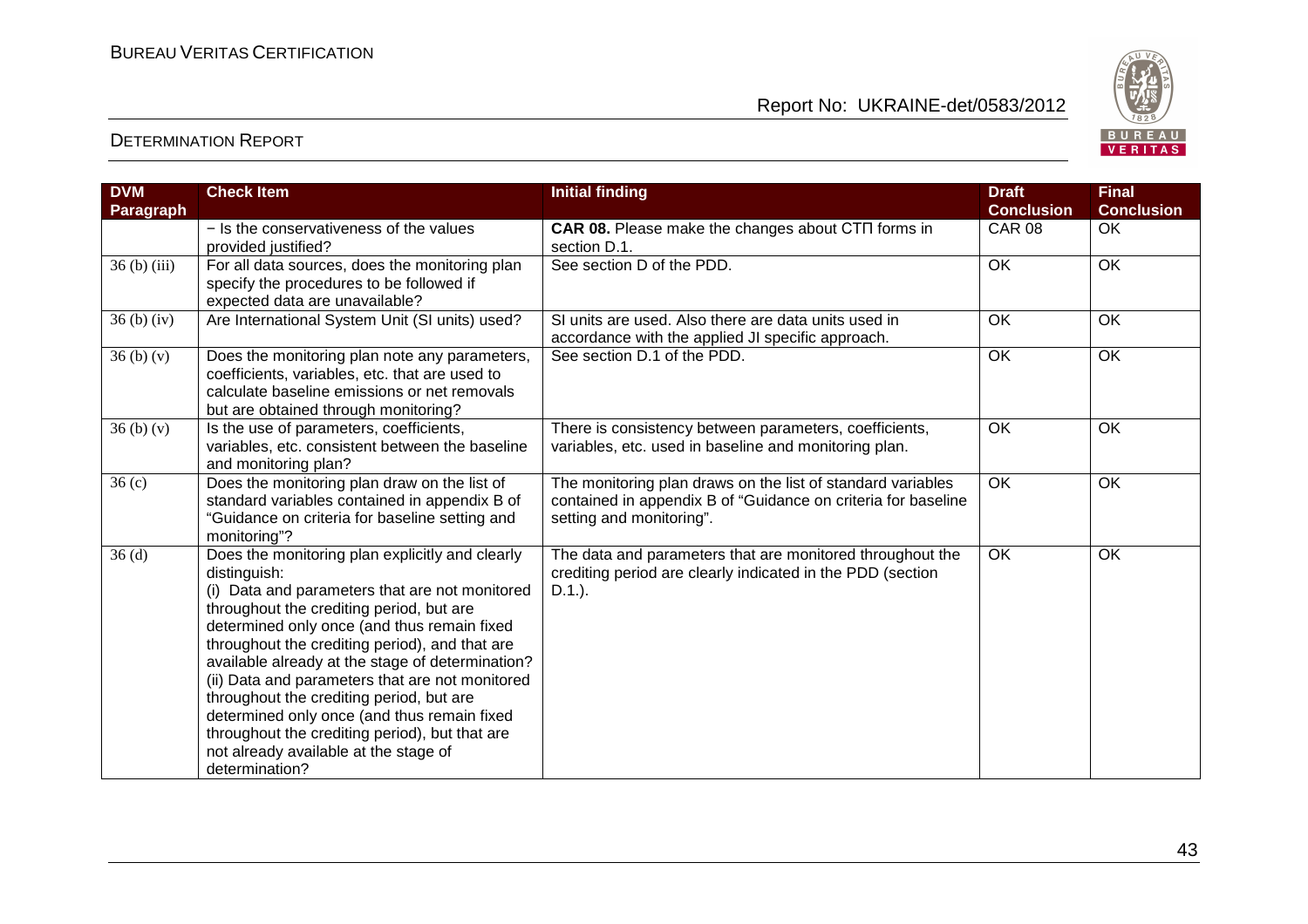

| <b>DVM</b>        | <b>Check Item</b>                                                                                                                                                                                                                                                                                                                                                                                                                                                                                                                                                             | <b>Initial finding</b>                                                                                                                                   | <b>Draft</b>      | <b>Final</b>      |
|-------------------|-------------------------------------------------------------------------------------------------------------------------------------------------------------------------------------------------------------------------------------------------------------------------------------------------------------------------------------------------------------------------------------------------------------------------------------------------------------------------------------------------------------------------------------------------------------------------------|----------------------------------------------------------------------------------------------------------------------------------------------------------|-------------------|-------------------|
| Paragraph         |                                                                                                                                                                                                                                                                                                                                                                                                                                                                                                                                                                               |                                                                                                                                                          | <b>Conclusion</b> | <b>Conclusion</b> |
|                   | - Is the conservativeness of the values<br>provided justified?                                                                                                                                                                                                                                                                                                                                                                                                                                                                                                                | CAR 08. Please make the changes about CTN forms in<br>section D.1.                                                                                       | <b>CAR 08</b>     | OK                |
| $36(b)$ (iii)     | For all data sources, does the monitoring plan<br>specify the procedures to be followed if<br>expected data are unavailable?                                                                                                                                                                                                                                                                                                                                                                                                                                                  | See section D of the PDD.                                                                                                                                | OK                | OK                |
| $36(b)$ (iv)      | Are International System Unit (SI units) used?                                                                                                                                                                                                                                                                                                                                                                                                                                                                                                                                | SI units are used. Also there are data units used in<br>accordance with the applied JI specific approach.                                                | OK                | OK                |
| 36(b)(v)          | Does the monitoring plan note any parameters,<br>coefficients, variables, etc. that are used to<br>calculate baseline emissions or net removals<br>but are obtained through monitoring?                                                                                                                                                                                                                                                                                                                                                                                       | See section D.1 of the PDD.                                                                                                                              | $\overline{OK}$   | OK                |
| 36(b)(v)          | Is the use of parameters, coefficients,<br>variables, etc. consistent between the baseline<br>and monitoring plan?                                                                                                                                                                                                                                                                                                                                                                                                                                                            | There is consistency between parameters, coefficients,<br>variables, etc. used in baseline and monitoring plan.                                          | OK                | OK                |
| 36 <sub>(c)</sub> | Does the monitoring plan draw on the list of<br>standard variables contained in appendix B of<br>"Guidance on criteria for baseline setting and<br>monitoring"?                                                                                                                                                                                                                                                                                                                                                                                                               | The monitoring plan draws on the list of standard variables<br>contained in appendix B of "Guidance on criteria for baseline<br>setting and monitoring". | <b>OK</b>         | OK                |
| 36(d)             | Does the monitoring plan explicitly and clearly<br>distinguish:<br>(i) Data and parameters that are not monitored<br>throughout the crediting period, but are<br>determined only once (and thus remain fixed<br>throughout the crediting period), and that are<br>available already at the stage of determination?<br>(ii) Data and parameters that are not monitored<br>throughout the crediting period, but are<br>determined only once (and thus remain fixed<br>throughout the crediting period), but that are<br>not already available at the stage of<br>determination? | The data and parameters that are monitored throughout the<br>crediting period are clearly indicated in the PDD (section<br>$D.1.$ ).                     | $\overline{OK}$   | $\overline{OK}$   |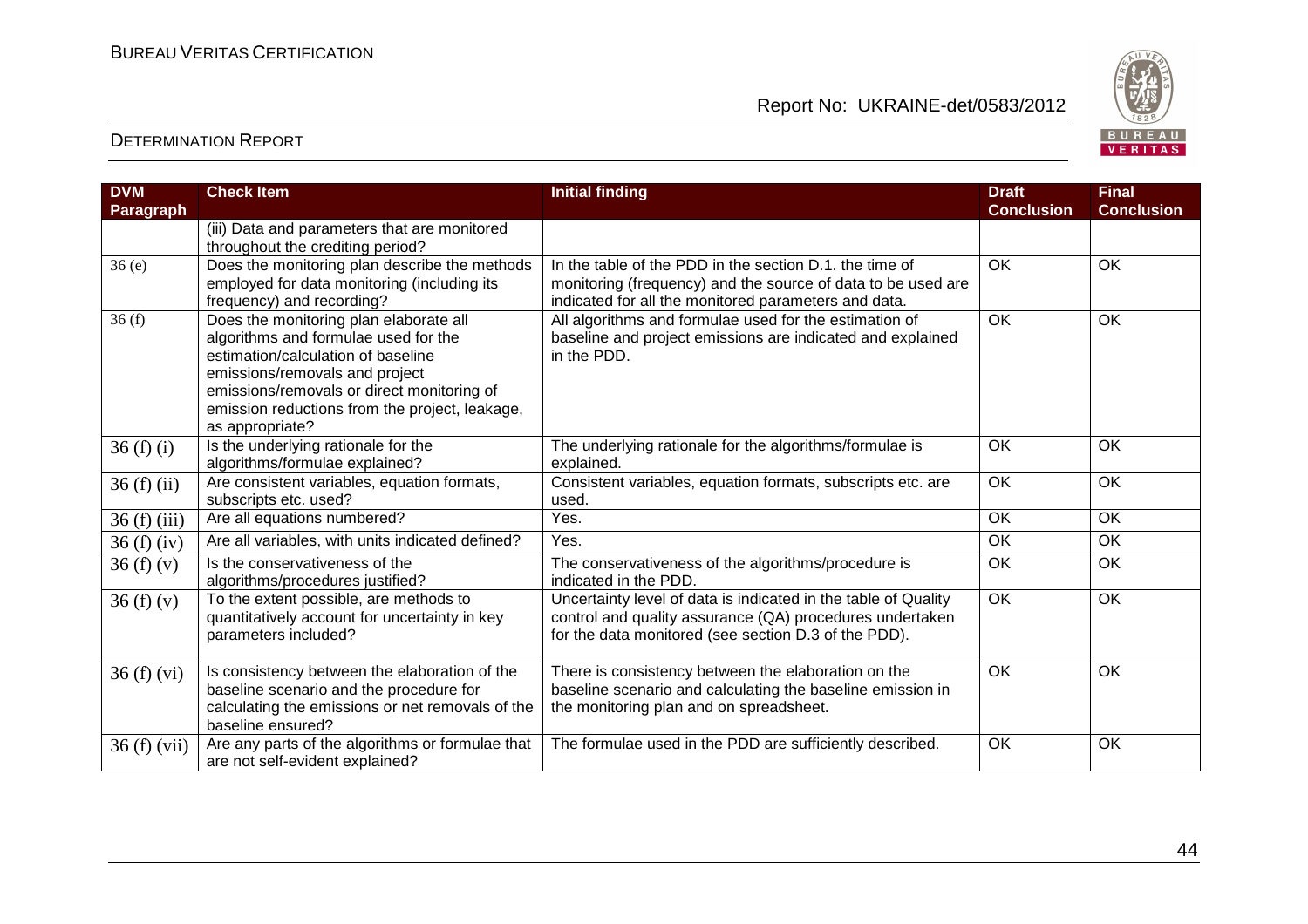

| <b>DVM</b>       | <b>Check Item</b>                                | <b>Initial finding</b>                                         | <b>Draft</b>      | <b>Final</b>      |
|------------------|--------------------------------------------------|----------------------------------------------------------------|-------------------|-------------------|
| <b>Paragraph</b> |                                                  |                                                                | <b>Conclusion</b> | <b>Conclusion</b> |
|                  | (iii) Data and parameters that are monitored     |                                                                |                   |                   |
|                  | throughout the crediting period?                 |                                                                |                   |                   |
| 36(e)            | Does the monitoring plan describe the methods    | In the table of the PDD in the section D.1, the time of        | <b>OK</b>         | OK                |
|                  | employed for data monitoring (including its      | monitoring (frequency) and the source of data to be used are   |                   |                   |
|                  | frequency) and recording?                        | indicated for all the monitored parameters and data.           |                   |                   |
| 36(f)            | Does the monitoring plan elaborate all           | All algorithms and formulae used for the estimation of         | <b>OK</b>         | OK                |
|                  | algorithms and formulae used for the             | baseline and project emissions are indicated and explained     |                   |                   |
|                  | estimation/calculation of baseline               | in the PDD.                                                    |                   |                   |
|                  | emissions/removals and project                   |                                                                |                   |                   |
|                  | emissions/removals or direct monitoring of       |                                                                |                   |                   |
|                  | emission reductions from the project, leakage,   |                                                                |                   |                   |
|                  | as appropriate?                                  |                                                                |                   |                   |
| 36(f)(i)         | Is the underlying rationale for the              | The underlying rationale for the algorithms/formulae is        | <b>OK</b>         | <b>OK</b>         |
|                  | algorithms/formulae explained?                   | explained.                                                     |                   |                   |
| $36(f)$ (ii)     | Are consistent variables, equation formats,      | Consistent variables, equation formats, subscripts etc. are    | OK                | OK                |
|                  | subscripts etc. used?                            | used.                                                          |                   |                   |
| $36(f)$ (iii)    | Are all equations numbered?                      | Yes.                                                           | <b>OK</b>         | OK                |
| 36(f)(iv)        | Are all variables, with units indicated defined? | Yes.                                                           | <b>OK</b>         | OK                |
| 36(f)(v)         | Is the conservativeness of the                   | The conservativeness of the algorithms/procedure is            | OK                | OK                |
|                  | algorithms/procedures justified?                 | indicated in the PDD.                                          |                   |                   |
| 36(f)(v)         | To the extent possible, are methods to           | Uncertainty level of data is indicated in the table of Quality | OK                | OK                |
|                  | quantitatively account for uncertainty in key    | control and quality assurance (QA) procedures undertaken       |                   |                   |
|                  | parameters included?                             | for the data monitored (see section D.3 of the PDD).           |                   |                   |
|                  |                                                  |                                                                |                   |                   |
| 36(f)(vi)        | Is consistency between the elaboration of the    | There is consistency between the elaboration on the            | <b>OK</b>         | OK                |
|                  | baseline scenario and the procedure for          | baseline scenario and calculating the baseline emission in     |                   |                   |
|                  | calculating the emissions or net removals of the | the monitoring plan and on spreadsheet.                        |                   |                   |
|                  | baseline ensured?                                |                                                                |                   |                   |
| 36(f)(vii)       | Are any parts of the algorithms or formulae that | The formulae used in the PDD are sufficiently described.       | OK                | OK                |
|                  | are not self-evident explained?                  |                                                                |                   |                   |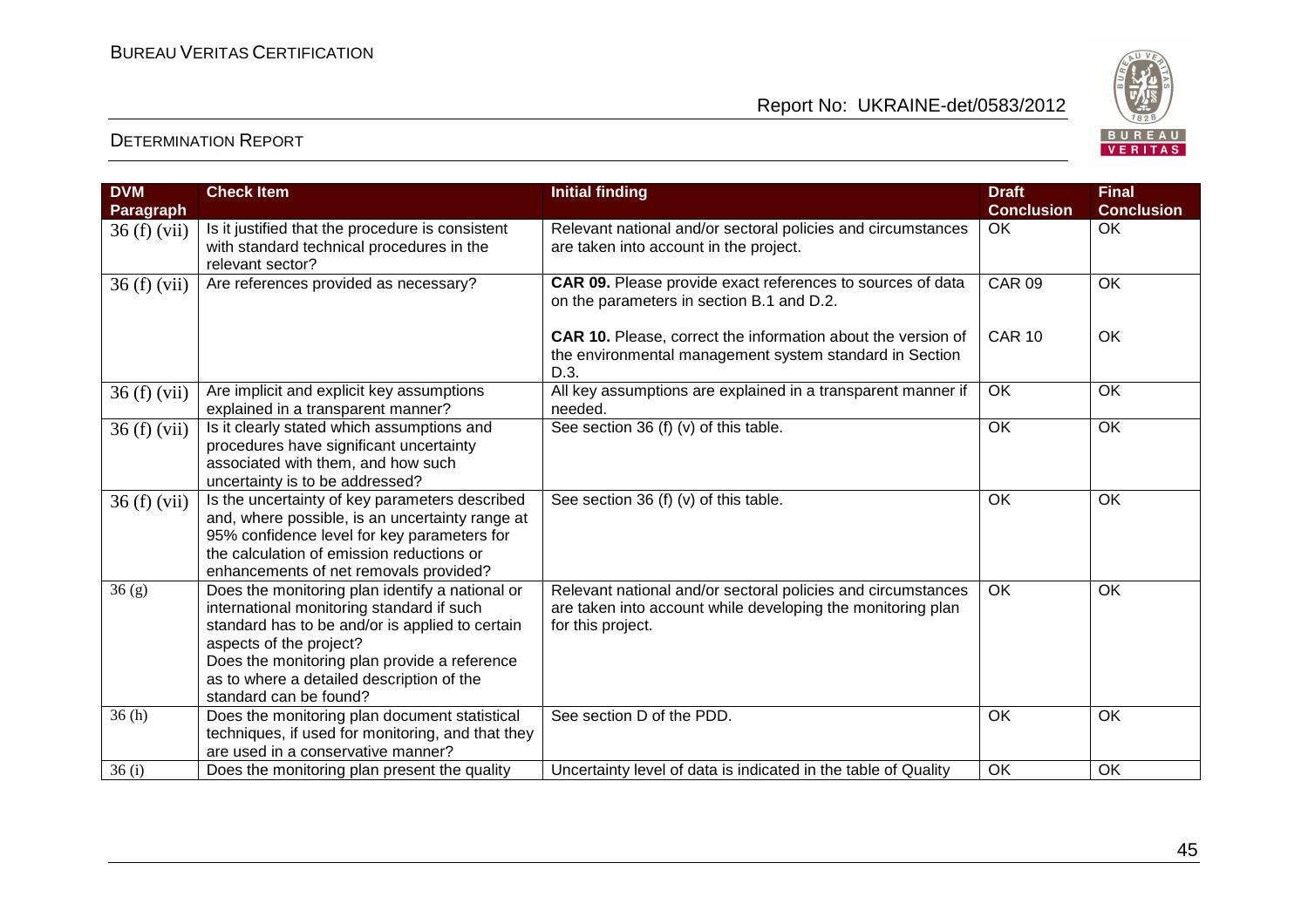

| <b>DVM</b>       | <b>Check Item</b>                                                                                                                                                                                                                                                                                 | <b>Initial finding</b>                                                                                                                           | <b>Draft</b>      | <b>Final</b>      |
|------------------|---------------------------------------------------------------------------------------------------------------------------------------------------------------------------------------------------------------------------------------------------------------------------------------------------|--------------------------------------------------------------------------------------------------------------------------------------------------|-------------------|-------------------|
| <b>Paragraph</b> |                                                                                                                                                                                                                                                                                                   |                                                                                                                                                  | <b>Conclusion</b> | <b>Conclusion</b> |
| 36(f)(vii)       | Is it justified that the procedure is consistent<br>with standard technical procedures in the<br>relevant sector?                                                                                                                                                                                 | Relevant national and/or sectoral policies and circumstances<br>are taken into account in the project.                                           | OK                | OK                |
| 36 (f) (vii)     | Are references provided as necessary?                                                                                                                                                                                                                                                             | CAR 09. Please provide exact references to sources of data<br>on the parameters in section B.1 and D.2.                                          | <b>CAR 09</b>     | <b>OK</b>         |
|                  |                                                                                                                                                                                                                                                                                                   | <b>CAR 10.</b> Please, correct the information about the version of<br>the environmental management system standard in Section<br>D.3.           | <b>CAR 10</b>     | OK                |
| 36(f)(vii)       | Are implicit and explicit key assumptions<br>explained in a transparent manner?                                                                                                                                                                                                                   | All key assumptions are explained in a transparent manner if<br>needed.                                                                          | OK                | OK                |
| 36(f)(vii)       | Is it clearly stated which assumptions and<br>procedures have significant uncertainty<br>associated with them, and how such<br>uncertainty is to be addressed?                                                                                                                                    | See section 36 (f) (v) of this table.                                                                                                            | $\overline{OK}$   | OK                |
| 36 (f) (vii)     | Is the uncertainty of key parameters described<br>and, where possible, is an uncertainty range at<br>95% confidence level for key parameters for<br>the calculation of emission reductions or<br>enhancements of net removals provided?                                                           | See section 36 (f) (v) of this table.                                                                                                            | <b>OK</b>         | OK                |
| 36(g)            | Does the monitoring plan identify a national or<br>international monitoring standard if such<br>standard has to be and/or is applied to certain<br>aspects of the project?<br>Does the monitoring plan provide a reference<br>as to where a detailed description of the<br>standard can be found? | Relevant national and/or sectoral policies and circumstances<br>are taken into account while developing the monitoring plan<br>for this project. | <b>OK</b>         | OK                |
| 36(h)            | Does the monitoring plan document statistical<br>techniques, if used for monitoring, and that they<br>are used in a conservative manner?                                                                                                                                                          | See section D of the PDD.                                                                                                                        | OK                | OK                |
| 36(i)            | Does the monitoring plan present the quality                                                                                                                                                                                                                                                      | Uncertainty level of data is indicated in the table of Quality                                                                                   | OK                | OK                |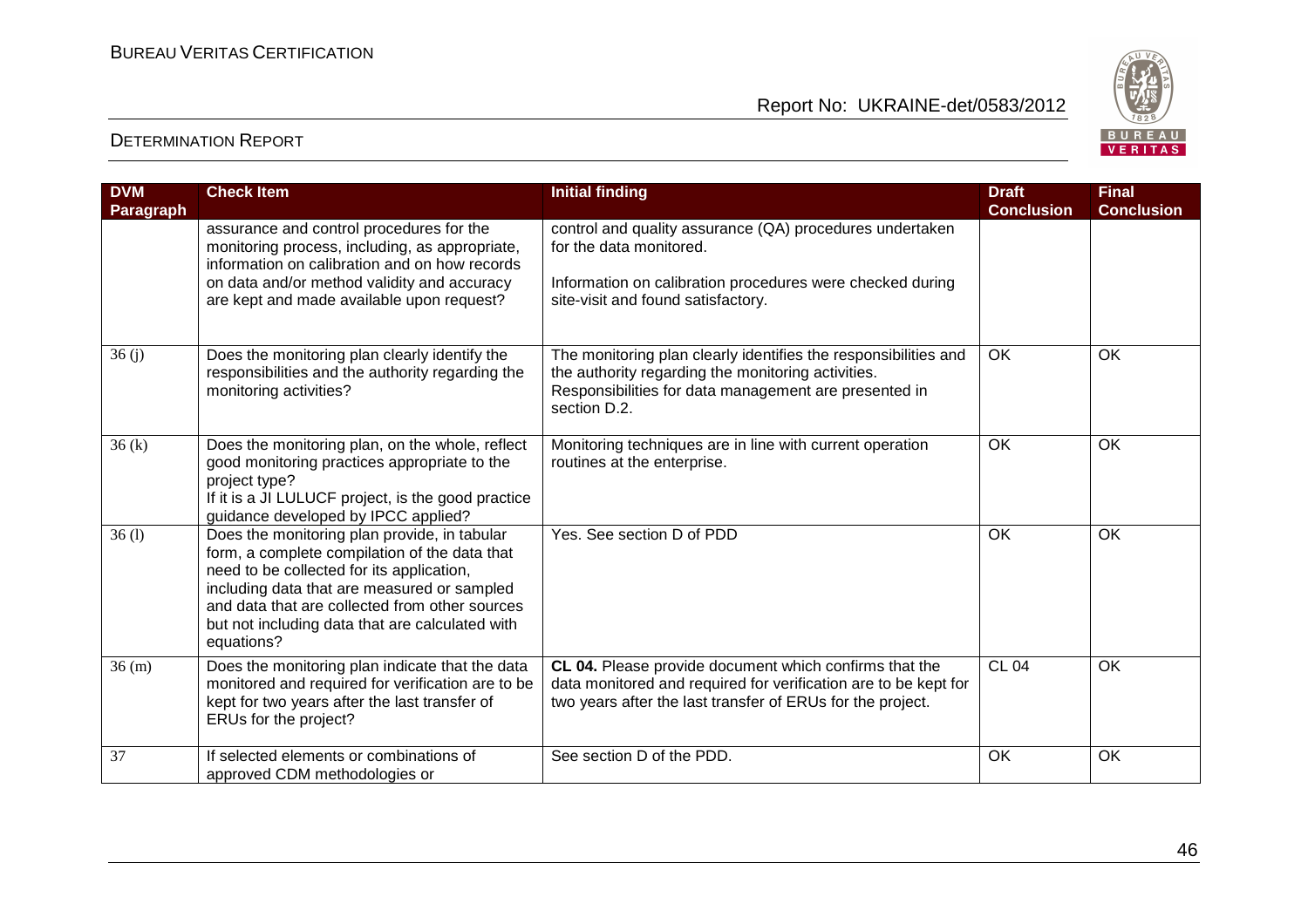

| <b>DVM</b><br>Paragraph | <b>Check Item</b>                                                                                                                                                                                                                                                                                            | <b>Initial finding</b>                                                                                                                                                                         | <b>Draft</b><br><b>Conclusion</b> | <b>Final</b><br><b>Conclusion</b> |
|-------------------------|--------------------------------------------------------------------------------------------------------------------------------------------------------------------------------------------------------------------------------------------------------------------------------------------------------------|------------------------------------------------------------------------------------------------------------------------------------------------------------------------------------------------|-----------------------------------|-----------------------------------|
|                         | assurance and control procedures for the<br>monitoring process, including, as appropriate,<br>information on calibration and on how records<br>on data and/or method validity and accuracy<br>are kept and made available upon request?                                                                      | control and quality assurance (QA) procedures undertaken<br>for the data monitored.<br>Information on calibration procedures were checked during<br>site-visit and found satisfactory.         |                                   |                                   |
| 36(j)                   | Does the monitoring plan clearly identify the<br>responsibilities and the authority regarding the<br>monitoring activities?                                                                                                                                                                                  | The monitoring plan clearly identifies the responsibilities and<br>the authority regarding the monitoring activities.<br>Responsibilities for data management are presented in<br>section D.2. | OK                                | OK                                |
| 36(k)                   | Does the monitoring plan, on the whole, reflect<br>good monitoring practices appropriate to the<br>project type?<br>If it is a JI LULUCF project, is the good practice<br>guidance developed by IPCC applied?                                                                                                | Monitoring techniques are in line with current operation<br>routines at the enterprise.                                                                                                        | OK                                | OK                                |
| 36(1)                   | Does the monitoring plan provide, in tabular<br>form, a complete compilation of the data that<br>need to be collected for its application,<br>including data that are measured or sampled<br>and data that are collected from other sources<br>but not including data that are calculated with<br>equations? | Yes. See section D of PDD                                                                                                                                                                      | OK                                | OK                                |
| 36 (m)                  | Does the monitoring plan indicate that the data<br>monitored and required for verification are to be<br>kept for two years after the last transfer of<br>ERUs for the project?                                                                                                                               | CL 04. Please provide document which confirms that the<br>data monitored and required for verification are to be kept for<br>two years after the last transfer of ERUs for the project.        | <b>CL 04</b>                      | OK                                |
| 37                      | If selected elements or combinations of<br>approved CDM methodologies or                                                                                                                                                                                                                                     | See section D of the PDD.                                                                                                                                                                      | <b>OK</b>                         | OK                                |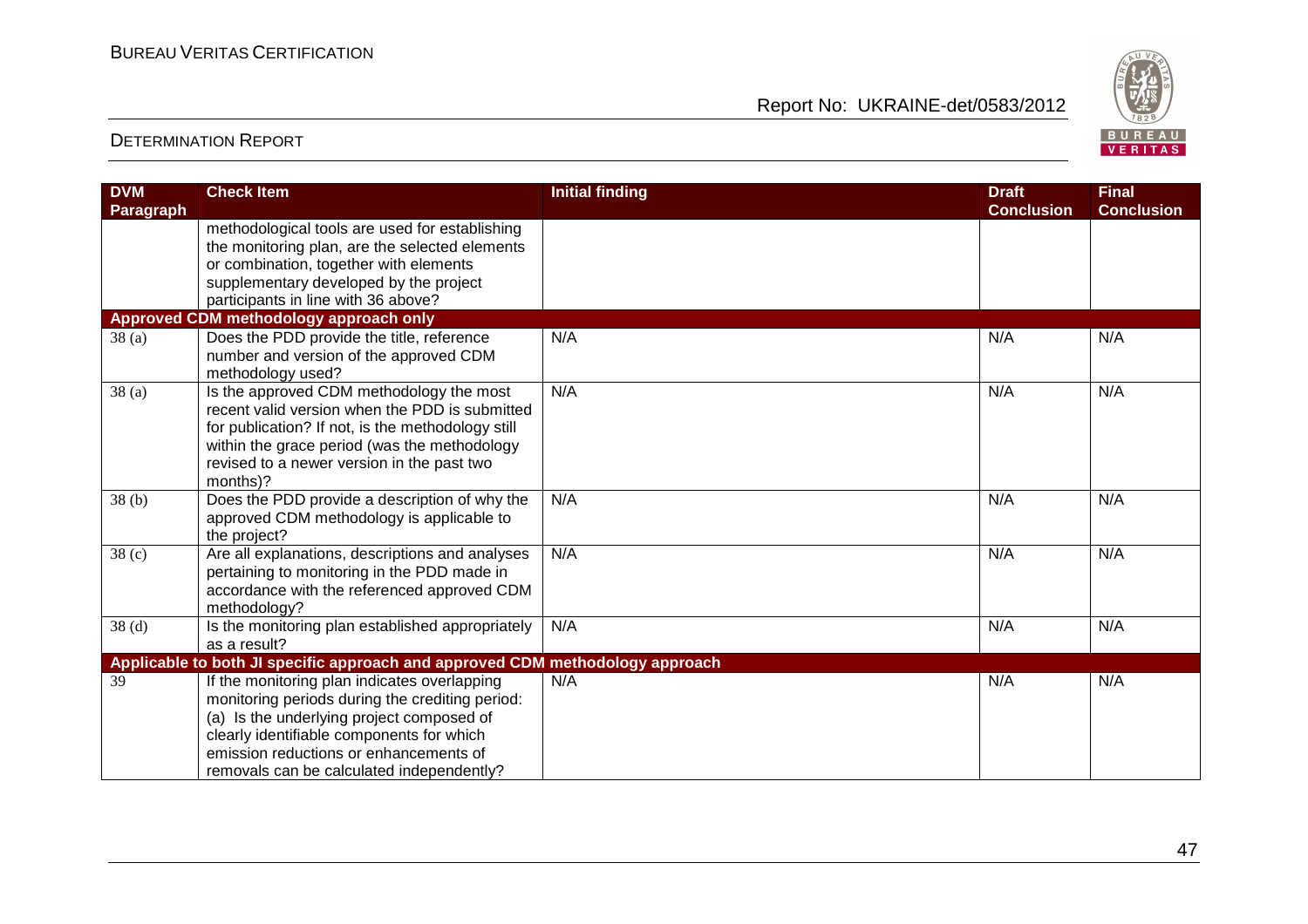

| <b>DVM</b><br><b>Paragraph</b> | <b>Check Item</b>                                                                                                                                                                                                                                                                | <b>Initial finding</b> | <b>Draft</b><br><b>Conclusion</b> | <b>Final</b><br><b>Conclusion</b> |
|--------------------------------|----------------------------------------------------------------------------------------------------------------------------------------------------------------------------------------------------------------------------------------------------------------------------------|------------------------|-----------------------------------|-----------------------------------|
|                                | methodological tools are used for establishing<br>the monitoring plan, are the selected elements<br>or combination, together with elements<br>supplementary developed by the project<br>participants in line with 36 above?                                                      |                        |                                   |                                   |
|                                | Approved CDM methodology approach only                                                                                                                                                                                                                                           |                        |                                   |                                   |
| 38(a)                          | Does the PDD provide the title, reference<br>number and version of the approved CDM<br>methodology used?                                                                                                                                                                         | N/A                    | N/A                               | N/A                               |
| 38(a)                          | Is the approved CDM methodology the most<br>recent valid version when the PDD is submitted<br>for publication? If not, is the methodology still<br>within the grace period (was the methodology<br>revised to a newer version in the past two<br>months)?                        | N/A                    | N/A                               | N/A                               |
| 38 <sub>(b)</sub>              | Does the PDD provide a description of why the<br>approved CDM methodology is applicable to<br>the project?                                                                                                                                                                       | N/A                    | N/A                               | N/A                               |
| 38 <sub>(c)</sub>              | Are all explanations, descriptions and analyses<br>pertaining to monitoring in the PDD made in<br>accordance with the referenced approved CDM<br>methodology?                                                                                                                    | N/A                    | N/A                               | N/A                               |
| 38 <sub>(d)</sub>              | Is the monitoring plan established appropriately<br>as a result?                                                                                                                                                                                                                 | N/A                    | N/A                               | N/A                               |
|                                | Applicable to both JI specific approach and approved CDM methodology approach                                                                                                                                                                                                    |                        |                                   |                                   |
| 39                             | If the monitoring plan indicates overlapping<br>monitoring periods during the crediting period:<br>(a) Is the underlying project composed of<br>clearly identifiable components for which<br>emission reductions or enhancements of<br>removals can be calculated independently? | N/A                    | N/A                               | N/A                               |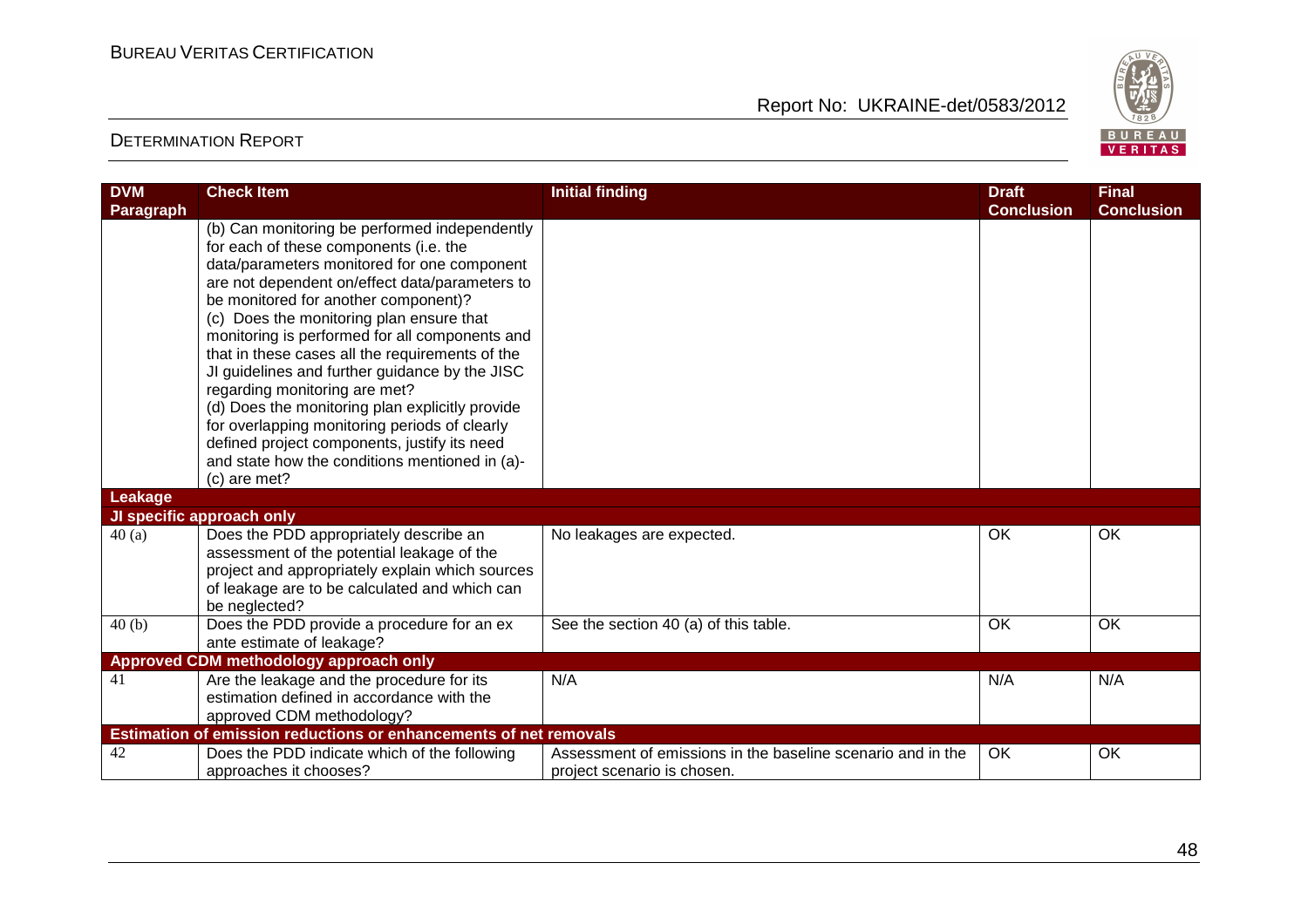

| <b>DVM</b>       | <b>Check Item</b>                                                                                                                                                                                                                                                                                                                                                                                                                                                                                                                                                                                                                                                          | <b>Initial finding</b>                                                                     | <b>Draft</b>      | <b>Final</b>      |
|------------------|----------------------------------------------------------------------------------------------------------------------------------------------------------------------------------------------------------------------------------------------------------------------------------------------------------------------------------------------------------------------------------------------------------------------------------------------------------------------------------------------------------------------------------------------------------------------------------------------------------------------------------------------------------------------------|--------------------------------------------------------------------------------------------|-------------------|-------------------|
| <b>Paragraph</b> |                                                                                                                                                                                                                                                                                                                                                                                                                                                                                                                                                                                                                                                                            |                                                                                            | <b>Conclusion</b> | <b>Conclusion</b> |
|                  | (b) Can monitoring be performed independently<br>for each of these components (i.e. the<br>data/parameters monitored for one component<br>are not dependent on/effect data/parameters to<br>be monitored for another component)?<br>(c) Does the monitoring plan ensure that<br>monitoring is performed for all components and<br>that in these cases all the requirements of the<br>JI guidelines and further guidance by the JISC<br>regarding monitoring are met?<br>(d) Does the monitoring plan explicitly provide<br>for overlapping monitoring periods of clearly<br>defined project components, justify its need<br>and state how the conditions mentioned in (a)- |                                                                                            |                   |                   |
|                  | (c) are met?                                                                                                                                                                                                                                                                                                                                                                                                                                                                                                                                                                                                                                                               |                                                                                            |                   |                   |
| Leakage          |                                                                                                                                                                                                                                                                                                                                                                                                                                                                                                                                                                                                                                                                            |                                                                                            |                   |                   |
|                  | JI specific approach only                                                                                                                                                                                                                                                                                                                                                                                                                                                                                                                                                                                                                                                  |                                                                                            |                   |                   |
| 40(a)            | Does the PDD appropriately describe an<br>assessment of the potential leakage of the<br>project and appropriately explain which sources<br>of leakage are to be calculated and which can<br>be neglected?                                                                                                                                                                                                                                                                                                                                                                                                                                                                  | No leakages are expected.                                                                  | OK                | OK                |
| 40(b)            | Does the PDD provide a procedure for an ex                                                                                                                                                                                                                                                                                                                                                                                                                                                                                                                                                                                                                                 | See the section 40 (a) of this table.                                                      | OK                | OK                |
|                  | ante estimate of leakage?                                                                                                                                                                                                                                                                                                                                                                                                                                                                                                                                                                                                                                                  |                                                                                            |                   |                   |
|                  | Approved CDM methodology approach only                                                                                                                                                                                                                                                                                                                                                                                                                                                                                                                                                                                                                                     |                                                                                            |                   |                   |
| 41               | Are the leakage and the procedure for its<br>estimation defined in accordance with the<br>approved CDM methodology?                                                                                                                                                                                                                                                                                                                                                                                                                                                                                                                                                        | N/A                                                                                        | N/A               | N/A               |
|                  | Estimation of emission reductions or enhancements of net removals                                                                                                                                                                                                                                                                                                                                                                                                                                                                                                                                                                                                          |                                                                                            |                   |                   |
| 42               | Does the PDD indicate which of the following<br>approaches it chooses?                                                                                                                                                                                                                                                                                                                                                                                                                                                                                                                                                                                                     | Assessment of emissions in the baseline scenario and in the<br>project scenario is chosen. | 0K                | OK                |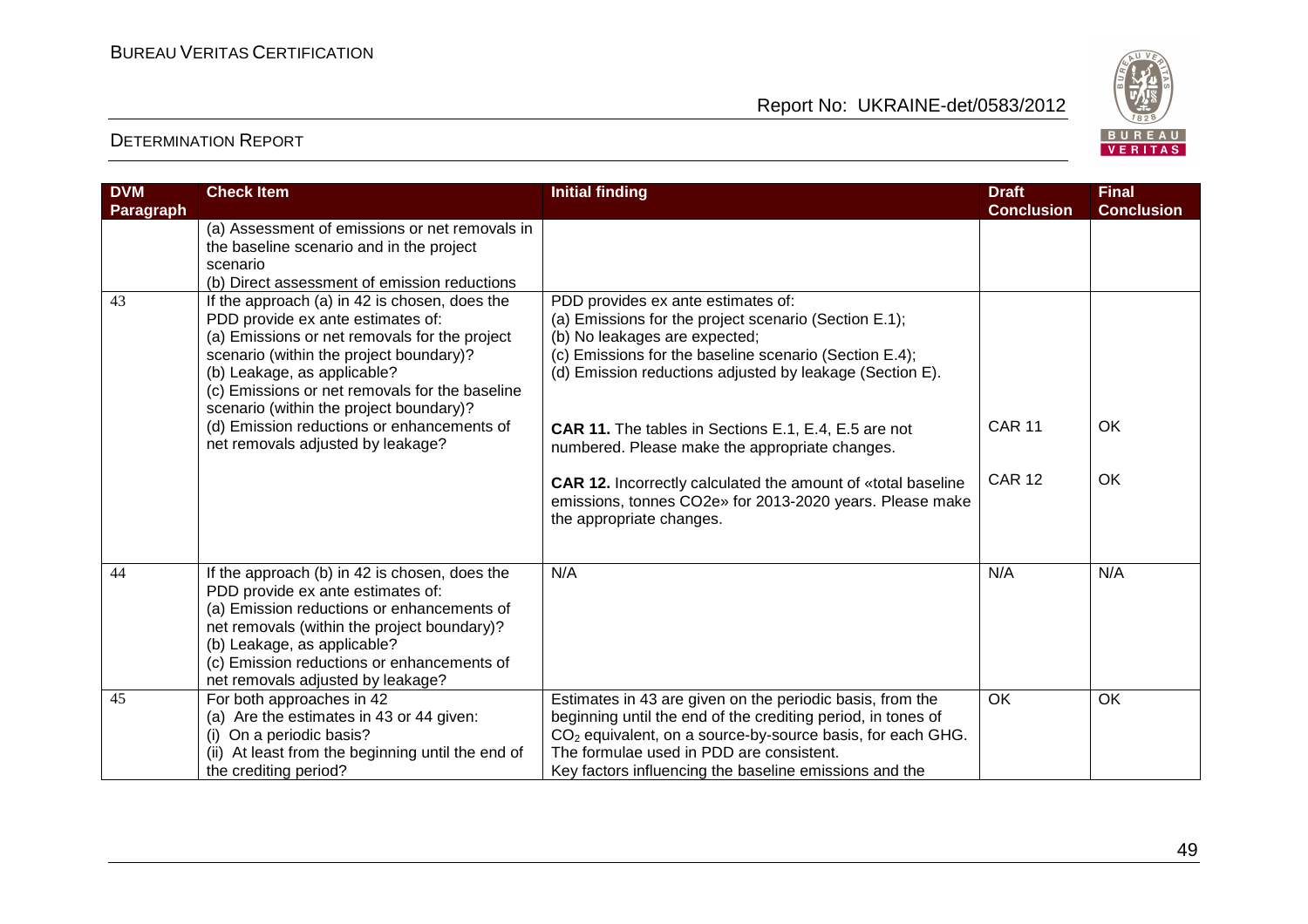

| <b>DVM</b> | <b>Check Item</b>                                                                                                                                                                                                                                                                                          | <b>Initial finding</b>                                                                                                                                                                                                                                                                                    | <b>Draft</b>      | <b>Final</b>      |
|------------|------------------------------------------------------------------------------------------------------------------------------------------------------------------------------------------------------------------------------------------------------------------------------------------------------------|-----------------------------------------------------------------------------------------------------------------------------------------------------------------------------------------------------------------------------------------------------------------------------------------------------------|-------------------|-------------------|
| Paragraph  | (a) Assessment of emissions or net removals in<br>the baseline scenario and in the project<br>scenario<br>(b) Direct assessment of emission reductions                                                                                                                                                     |                                                                                                                                                                                                                                                                                                           | <b>Conclusion</b> | <b>Conclusion</b> |
| 43         | If the approach (a) in 42 is chosen, does the<br>PDD provide ex ante estimates of:<br>(a) Emissions or net removals for the project<br>scenario (within the project boundary)?<br>(b) Leakage, as applicable?<br>(c) Emissions or net removals for the baseline<br>scenario (within the project boundary)? | PDD provides ex ante estimates of:<br>(a) Emissions for the project scenario (Section E.1);<br>(b) No leakages are expected;<br>(c) Emissions for the baseline scenario (Section E.4);<br>(d) Emission reductions adjusted by leakage (Section E).                                                        |                   |                   |
|            | (d) Emission reductions or enhancements of<br>net removals adjusted by leakage?                                                                                                                                                                                                                            | <b>CAR 11.</b> The tables in Sections E.1, E.4, E.5 are not<br>numbered. Please make the appropriate changes.                                                                                                                                                                                             | <b>CAR 11</b>     | OK                |
|            |                                                                                                                                                                                                                                                                                                            | <b>CAR 12.</b> Incorrectly calculated the amount of «total baseline<br>emissions, tonnes CO2e» for 2013-2020 years. Please make<br>the appropriate changes.                                                                                                                                               | <b>CAR 12</b>     | OK                |
| 44         | If the approach (b) in 42 is chosen, does the<br>PDD provide ex ante estimates of:<br>(a) Emission reductions or enhancements of<br>net removals (within the project boundary)?<br>(b) Leakage, as applicable?<br>(c) Emission reductions or enhancements of<br>net removals adjusted by leakage?          | N/A                                                                                                                                                                                                                                                                                                       | N/A               | N/A               |
| 45         | For both approaches in 42<br>(a) Are the estimates in 43 or 44 given:<br>(i) On a periodic basis?<br>(ii) At least from the beginning until the end of<br>the crediting period?                                                                                                                            | Estimates in 43 are given on the periodic basis, from the<br>beginning until the end of the crediting period, in tones of<br>CO <sub>2</sub> equivalent, on a source-by-source basis, for each GHG.<br>The formulae used in PDD are consistent.<br>Key factors influencing the baseline emissions and the | <b>OK</b>         | OK                |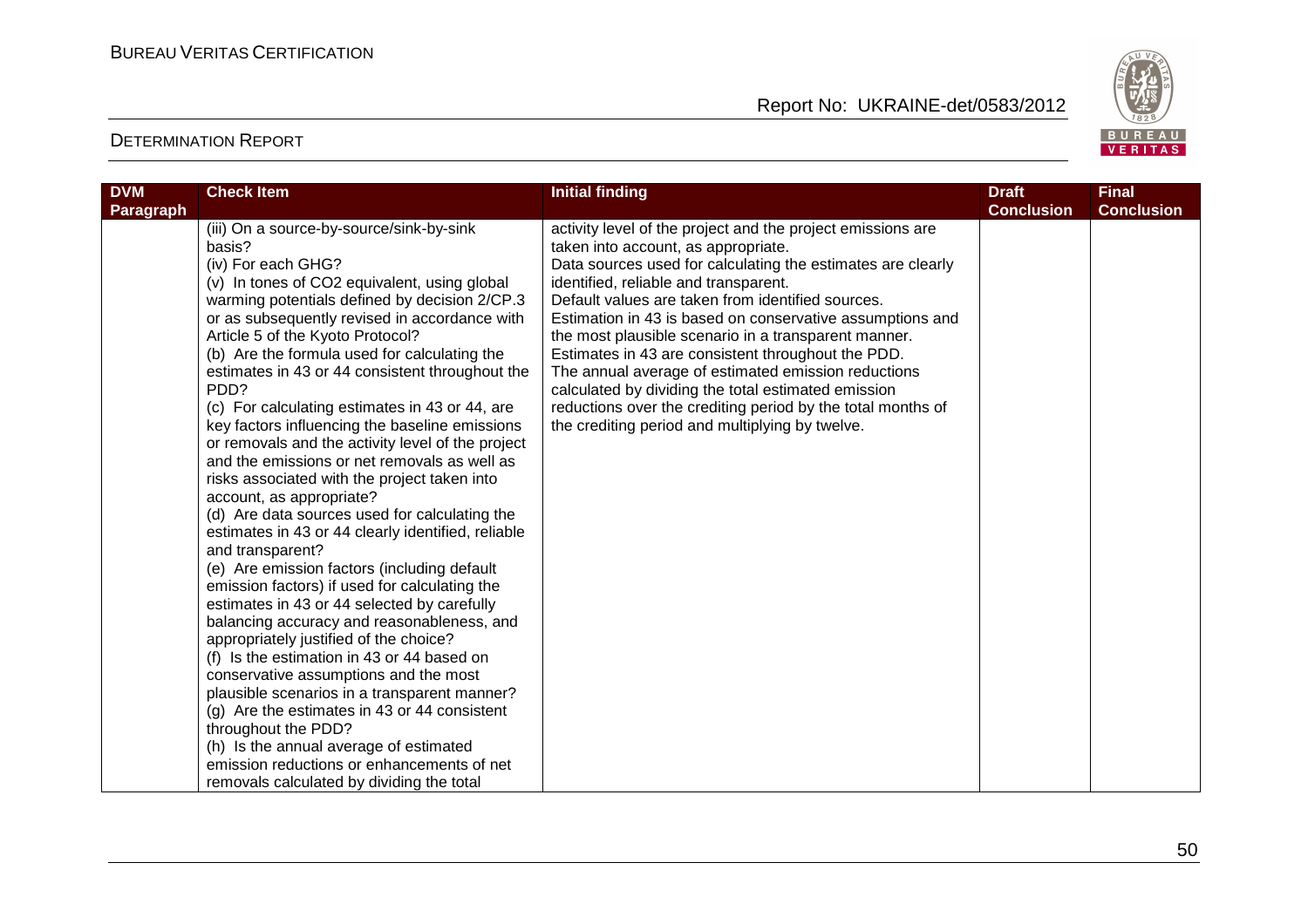

| <b>DVM</b><br><b>Paragraph</b> | <b>Check Item</b>                                                                                                                                                                                                                                                                                                                                                                                                                                                                                                                                                                                                                                                                                                                                                                                                                                                                                                                                                                                                                                                                                                                                                                                                                                                                                                                                                                   | <b>Initial finding</b>                                                                                                                                                                                                                                                                                                                                                                                                                                                                                                                                                                                                                                                     | <b>Draft</b><br><b>Conclusion</b> | <b>Final</b><br><b>Conclusion</b> |
|--------------------------------|-------------------------------------------------------------------------------------------------------------------------------------------------------------------------------------------------------------------------------------------------------------------------------------------------------------------------------------------------------------------------------------------------------------------------------------------------------------------------------------------------------------------------------------------------------------------------------------------------------------------------------------------------------------------------------------------------------------------------------------------------------------------------------------------------------------------------------------------------------------------------------------------------------------------------------------------------------------------------------------------------------------------------------------------------------------------------------------------------------------------------------------------------------------------------------------------------------------------------------------------------------------------------------------------------------------------------------------------------------------------------------------|----------------------------------------------------------------------------------------------------------------------------------------------------------------------------------------------------------------------------------------------------------------------------------------------------------------------------------------------------------------------------------------------------------------------------------------------------------------------------------------------------------------------------------------------------------------------------------------------------------------------------------------------------------------------------|-----------------------------------|-----------------------------------|
|                                | (iii) On a source-by-source/sink-by-sink<br>basis?<br>(iv) For each GHG?<br>(v) In tones of CO2 equivalent, using global<br>warming potentials defined by decision 2/CP.3<br>or as subsequently revised in accordance with<br>Article 5 of the Kyoto Protocol?<br>(b) Are the formula used for calculating the<br>estimates in 43 or 44 consistent throughout the<br>PDD?<br>(c) For calculating estimates in 43 or 44, are<br>key factors influencing the baseline emissions<br>or removals and the activity level of the project<br>and the emissions or net removals as well as<br>risks associated with the project taken into<br>account, as appropriate?<br>(d) Are data sources used for calculating the<br>estimates in 43 or 44 clearly identified, reliable<br>and transparent?<br>(e) Are emission factors (including default<br>emission factors) if used for calculating the<br>estimates in 43 or 44 selected by carefully<br>balancing accuracy and reasonableness, and<br>appropriately justified of the choice?<br>(f) Is the estimation in 43 or 44 based on<br>conservative assumptions and the most<br>plausible scenarios in a transparent manner?<br>(g) Are the estimates in 43 or 44 consistent<br>throughout the PDD?<br>(h) Is the annual average of estimated<br>emission reductions or enhancements of net<br>removals calculated by dividing the total | activity level of the project and the project emissions are<br>taken into account, as appropriate.<br>Data sources used for calculating the estimates are clearly<br>identified, reliable and transparent.<br>Default values are taken from identified sources.<br>Estimation in 43 is based on conservative assumptions and<br>the most plausible scenario in a transparent manner.<br>Estimates in 43 are consistent throughout the PDD.<br>The annual average of estimated emission reductions<br>calculated by dividing the total estimated emission<br>reductions over the crediting period by the total months of<br>the crediting period and multiplying by twelve. |                                   |                                   |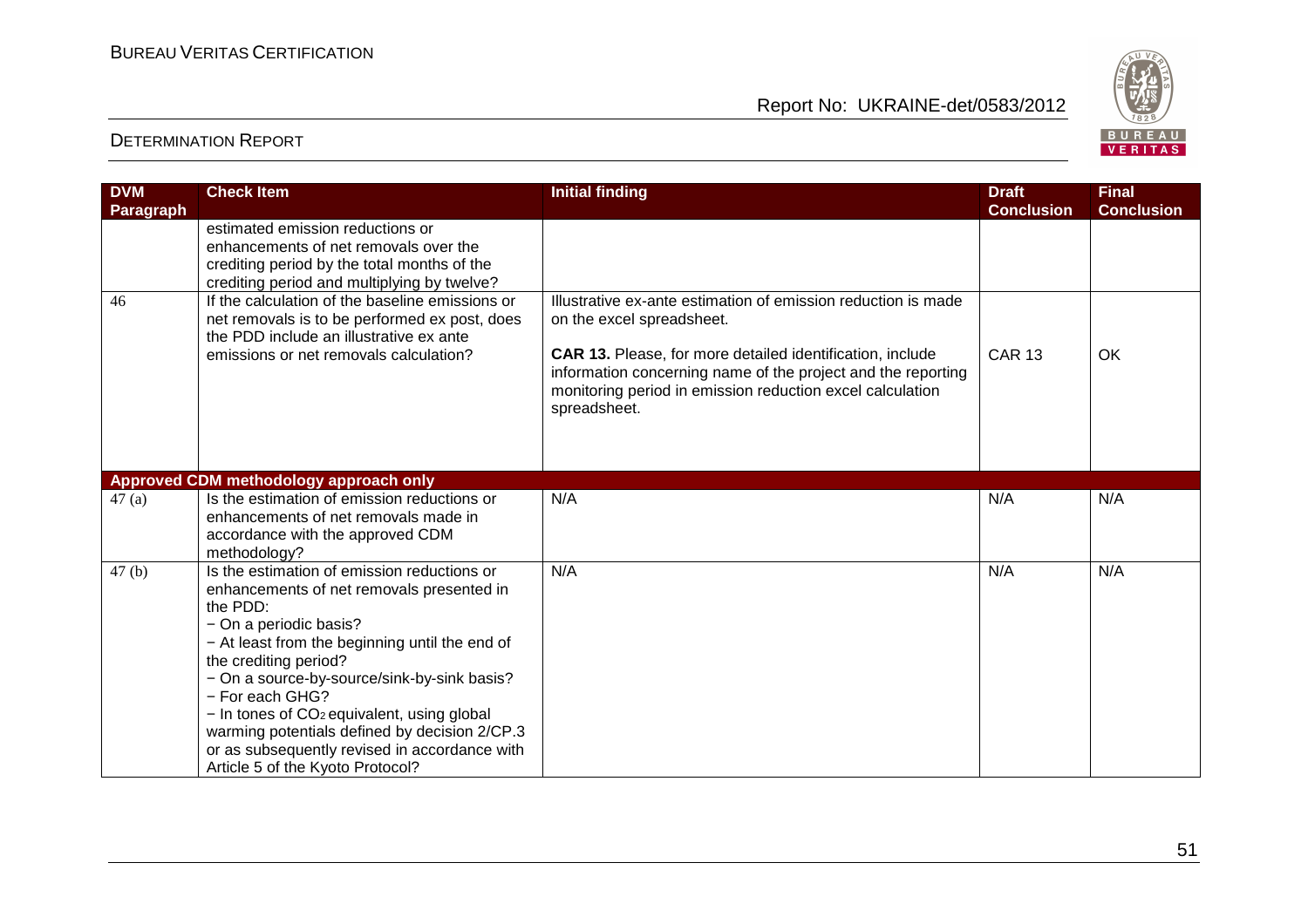

| <b>DVM</b>       | <b>Check Item</b>                                                                                                                                                                                                                                                                                                                                                                                                                                                           | <b>Initial finding</b>                                                                                                                                                                                                                                                                               | <b>Draft</b>      | <b>Final</b>      |
|------------------|-----------------------------------------------------------------------------------------------------------------------------------------------------------------------------------------------------------------------------------------------------------------------------------------------------------------------------------------------------------------------------------------------------------------------------------------------------------------------------|------------------------------------------------------------------------------------------------------------------------------------------------------------------------------------------------------------------------------------------------------------------------------------------------------|-------------------|-------------------|
| <b>Paragraph</b> |                                                                                                                                                                                                                                                                                                                                                                                                                                                                             |                                                                                                                                                                                                                                                                                                      | <b>Conclusion</b> | <b>Conclusion</b> |
|                  | estimated emission reductions or<br>enhancements of net removals over the<br>crediting period by the total months of the<br>crediting period and multiplying by twelve?                                                                                                                                                                                                                                                                                                     |                                                                                                                                                                                                                                                                                                      |                   |                   |
| 46               | If the calculation of the baseline emissions or<br>net removals is to be performed ex post, does<br>the PDD include an illustrative ex ante<br>emissions or net removals calculation?                                                                                                                                                                                                                                                                                       | Illustrative ex-ante estimation of emission reduction is made<br>on the excel spreadsheet.<br>CAR 13. Please, for more detailed identification, include<br>information concerning name of the project and the reporting<br>monitoring period in emission reduction excel calculation<br>spreadsheet. | <b>CAR 13</b>     | OK                |
|                  | Approved CDM methodology approach only                                                                                                                                                                                                                                                                                                                                                                                                                                      |                                                                                                                                                                                                                                                                                                      |                   |                   |
| 47(a)            | Is the estimation of emission reductions or<br>enhancements of net removals made in<br>accordance with the approved CDM<br>methodology?                                                                                                                                                                                                                                                                                                                                     | N/A                                                                                                                                                                                                                                                                                                  | N/A               | N/A               |
| 47(b)            | Is the estimation of emission reductions or<br>enhancements of net removals presented in<br>the PDD:<br>- On a periodic basis?<br>- At least from the beginning until the end of<br>the crediting period?<br>- On a source-by-source/sink-by-sink basis?<br>- For each GHG?<br>- In tones of CO <sub>2</sub> equivalent, using global<br>warming potentials defined by decision 2/CP.3<br>or as subsequently revised in accordance with<br>Article 5 of the Kyoto Protocol? | N/A                                                                                                                                                                                                                                                                                                  | N/A               | N/A               |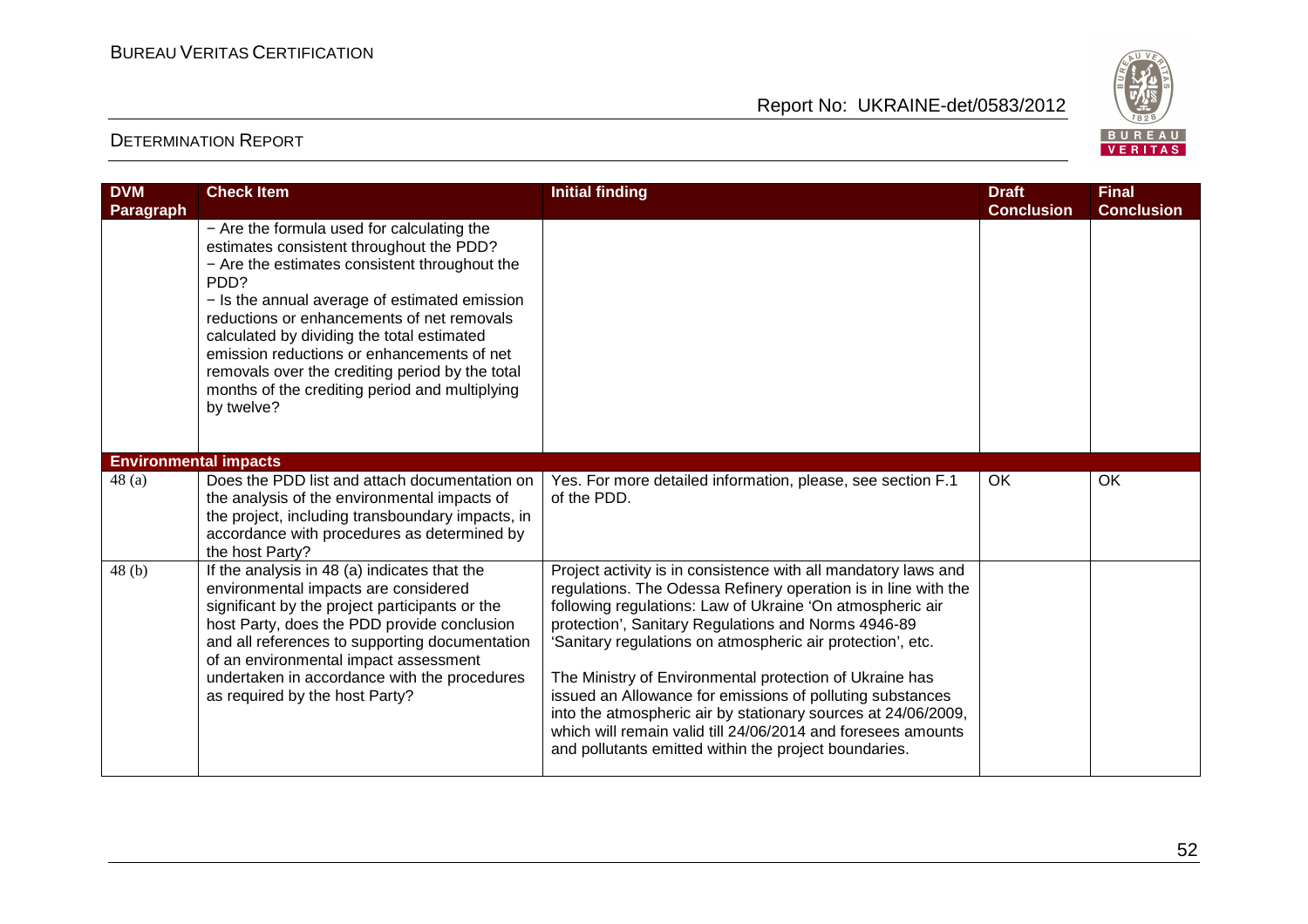

| <b>DVM</b><br>Paragraph      | <b>Check Item</b>                                                                                                                                                                                                                                                                                                                                                                                                                                                          | <b>Initial finding</b>                                                                                                                                                                                                                                                                                                                                                                                                                                                                                                                                                                                                               | <b>Draft</b><br><b>Conclusion</b> | <b>Final</b><br><b>Conclusion</b> |
|------------------------------|----------------------------------------------------------------------------------------------------------------------------------------------------------------------------------------------------------------------------------------------------------------------------------------------------------------------------------------------------------------------------------------------------------------------------------------------------------------------------|--------------------------------------------------------------------------------------------------------------------------------------------------------------------------------------------------------------------------------------------------------------------------------------------------------------------------------------------------------------------------------------------------------------------------------------------------------------------------------------------------------------------------------------------------------------------------------------------------------------------------------------|-----------------------------------|-----------------------------------|
|                              | - Are the formula used for calculating the<br>estimates consistent throughout the PDD?<br>- Are the estimates consistent throughout the<br>PD <sub>D</sub> ?<br>- Is the annual average of estimated emission<br>reductions or enhancements of net removals<br>calculated by dividing the total estimated<br>emission reductions or enhancements of net<br>removals over the crediting period by the total<br>months of the crediting period and multiplying<br>by twelve? |                                                                                                                                                                                                                                                                                                                                                                                                                                                                                                                                                                                                                                      |                                   |                                   |
| <b>Environmental impacts</b> |                                                                                                                                                                                                                                                                                                                                                                                                                                                                            |                                                                                                                                                                                                                                                                                                                                                                                                                                                                                                                                                                                                                                      |                                   |                                   |
| 48(a)                        | Does the PDD list and attach documentation on<br>the analysis of the environmental impacts of<br>the project, including transboundary impacts, in<br>accordance with procedures as determined by<br>the host Party?                                                                                                                                                                                                                                                        | Yes. For more detailed information, please, see section F.1<br>of the PDD.                                                                                                                                                                                                                                                                                                                                                                                                                                                                                                                                                           | OK                                | OK                                |
| 48(b)                        | If the analysis in 48 (a) indicates that the<br>environmental impacts are considered<br>significant by the project participants or the<br>host Party, does the PDD provide conclusion<br>and all references to supporting documentation<br>of an environmental impact assessment<br>undertaken in accordance with the procedures<br>as required by the host Party?                                                                                                         | Project activity is in consistence with all mandatory laws and<br>regulations. The Odessa Refinery operation is in line with the<br>following regulations: Law of Ukraine 'On atmospheric air<br>protection', Sanitary Regulations and Norms 4946-89<br>'Sanitary regulations on atmospheric air protection', etc.<br>The Ministry of Environmental protection of Ukraine has<br>issued an Allowance for emissions of polluting substances<br>into the atmospheric air by stationary sources at 24/06/2009,<br>which will remain valid till 24/06/2014 and foresees amounts<br>and pollutants emitted within the project boundaries. |                                   |                                   |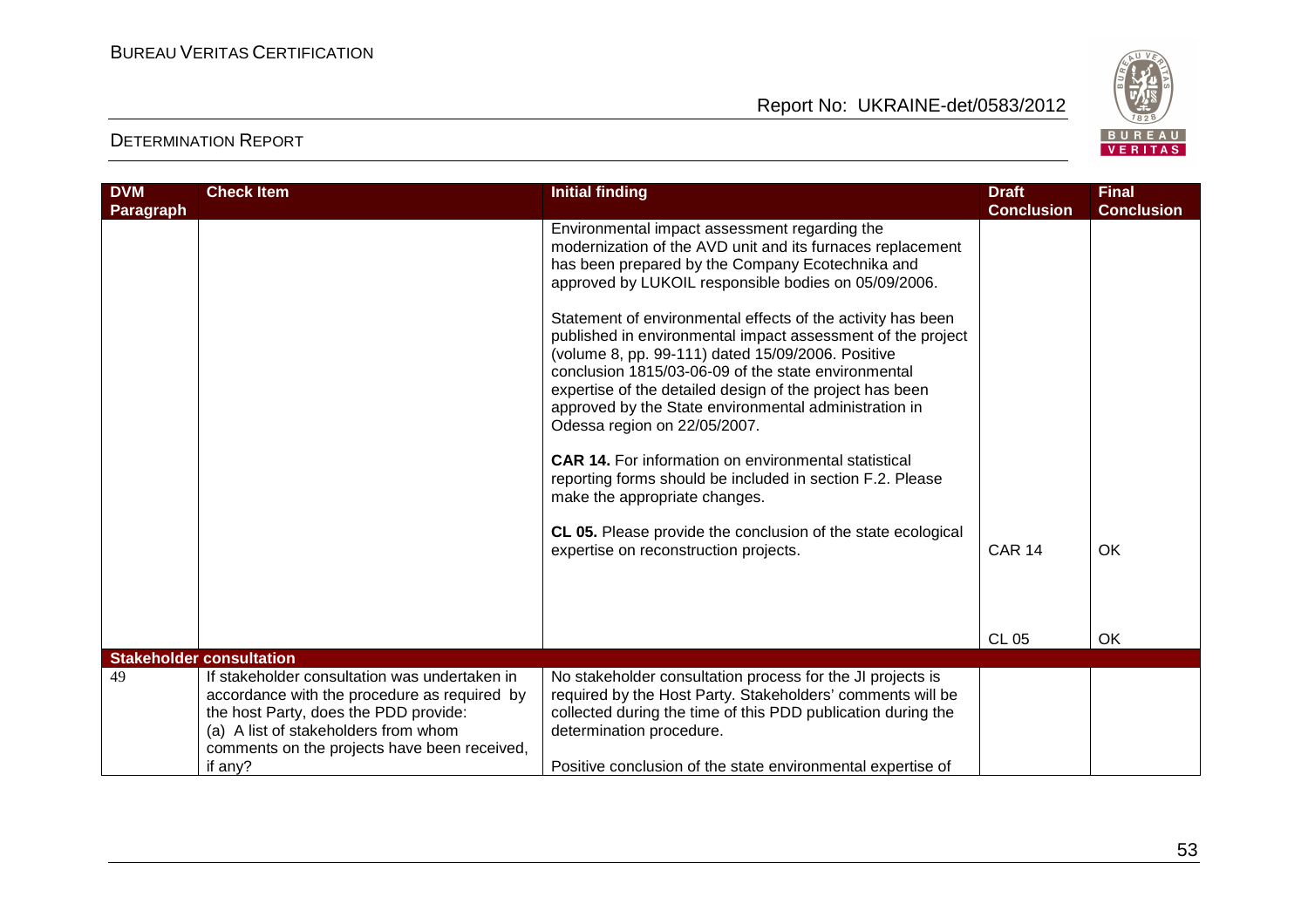

| <b>DVM</b><br>Paragraph | <b>Check Item</b>                                                                                                                                                                                                              | <b>Initial finding</b>                                                                                                                                                                                                                                                                                                                                                                      | <b>Draft</b><br><b>Conclusion</b> | <b>Final</b><br><b>Conclusion</b> |
|-------------------------|--------------------------------------------------------------------------------------------------------------------------------------------------------------------------------------------------------------------------------|---------------------------------------------------------------------------------------------------------------------------------------------------------------------------------------------------------------------------------------------------------------------------------------------------------------------------------------------------------------------------------------------|-----------------------------------|-----------------------------------|
|                         |                                                                                                                                                                                                                                | Environmental impact assessment regarding the<br>modernization of the AVD unit and its furnaces replacement<br>has been prepared by the Company Ecotechnika and<br>approved by LUKOIL responsible bodies on 05/09/2006.                                                                                                                                                                     |                                   |                                   |
|                         |                                                                                                                                                                                                                                | Statement of environmental effects of the activity has been<br>published in environmental impact assessment of the project<br>(volume 8, pp. 99-111) dated 15/09/2006. Positive<br>conclusion 1815/03-06-09 of the state environmental<br>expertise of the detailed design of the project has been<br>approved by the State environmental administration in<br>Odessa region on 22/05/2007. |                                   |                                   |
|                         |                                                                                                                                                                                                                                | <b>CAR 14.</b> For information on environmental statistical<br>reporting forms should be included in section F.2. Please<br>make the appropriate changes.                                                                                                                                                                                                                                   |                                   |                                   |
|                         |                                                                                                                                                                                                                                | CL 05. Please provide the conclusion of the state ecological<br>expertise on reconstruction projects.                                                                                                                                                                                                                                                                                       | <b>CAR 14</b>                     | OK                                |
|                         |                                                                                                                                                                                                                                |                                                                                                                                                                                                                                                                                                                                                                                             |                                   |                                   |
|                         |                                                                                                                                                                                                                                |                                                                                                                                                                                                                                                                                                                                                                                             | <b>CL 05</b>                      | OK                                |
|                         | <b>Stakeholder consultation</b>                                                                                                                                                                                                |                                                                                                                                                                                                                                                                                                                                                                                             |                                   |                                   |
| 49                      | If stakeholder consultation was undertaken in<br>accordance with the procedure as required by<br>the host Party, does the PDD provide:<br>(a) A list of stakeholders from whom<br>comments on the projects have been received, | No stakeholder consultation process for the JI projects is<br>required by the Host Party. Stakeholders' comments will be<br>collected during the time of this PDD publication during the<br>determination procedure.                                                                                                                                                                        |                                   |                                   |
|                         | if any?                                                                                                                                                                                                                        | Positive conclusion of the state environmental expertise of                                                                                                                                                                                                                                                                                                                                 |                                   |                                   |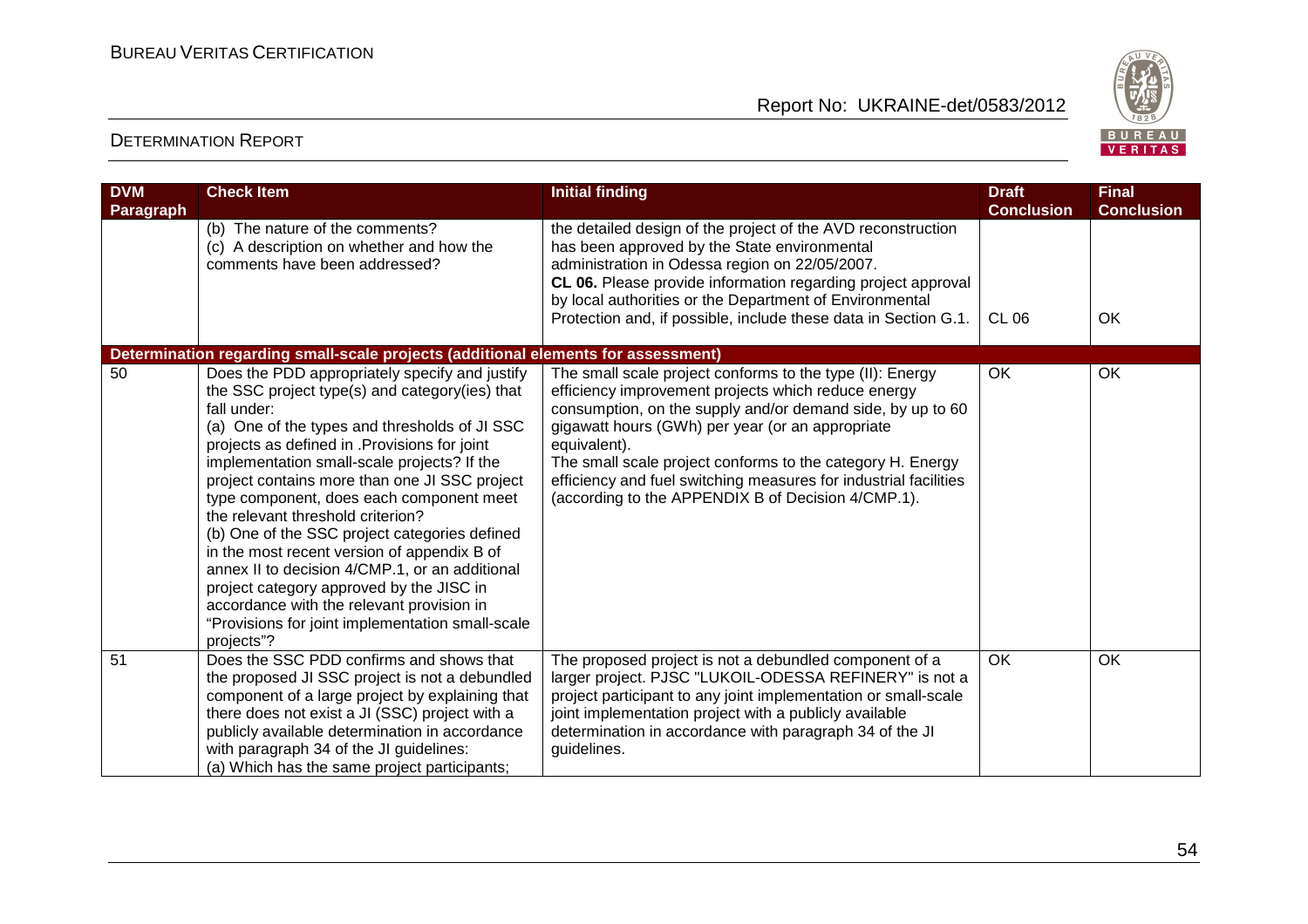

| <b>DVM</b>       | <b>Check Item</b>                                                                                                                                                                                                                                                                                                                                                                                                                                                                                                                                                                                                                                                                                                                                                                                    | <b>Initial finding</b>                                                                                                                                                                                                                                                                                                                                                                                                                     | <b>Draft</b>                      | <b>Final</b>            |
|------------------|------------------------------------------------------------------------------------------------------------------------------------------------------------------------------------------------------------------------------------------------------------------------------------------------------------------------------------------------------------------------------------------------------------------------------------------------------------------------------------------------------------------------------------------------------------------------------------------------------------------------------------------------------------------------------------------------------------------------------------------------------------------------------------------------------|--------------------------------------------------------------------------------------------------------------------------------------------------------------------------------------------------------------------------------------------------------------------------------------------------------------------------------------------------------------------------------------------------------------------------------------------|-----------------------------------|-------------------------|
| <b>Paragraph</b> | (b) The nature of the comments?<br>(c) A description on whether and how the<br>comments have been addressed?                                                                                                                                                                                                                                                                                                                                                                                                                                                                                                                                                                                                                                                                                         | the detailed design of the project of the AVD reconstruction<br>has been approved by the State environmental<br>administration in Odessa region on 22/05/2007.<br>CL 06. Please provide information regarding project approval<br>by local authorities or the Department of Environmental<br>Protection and, if possible, include these data in Section G.1.                                                                               | <b>Conclusion</b><br><b>CL 06</b> | <b>Conclusion</b><br>OK |
| 50               | Determination regarding small-scale projects (additional elements for assessment)<br>Does the PDD appropriately specify and justify<br>the SSC project type(s) and category(ies) that<br>fall under:<br>(a) One of the types and thresholds of JI SSC<br>projects as defined in . Provisions for joint<br>implementation small-scale projects? If the<br>project contains more than one JI SSC project<br>type component, does each component meet<br>the relevant threshold criterion?<br>(b) One of the SSC project categories defined<br>in the most recent version of appendix B of<br>annex II to decision 4/CMP.1, or an additional<br>project category approved by the JISC in<br>accordance with the relevant provision in<br>"Provisions for joint implementation small-scale<br>projects"? | The small scale project conforms to the type (II): Energy<br>efficiency improvement projects which reduce energy<br>consumption, on the supply and/or demand side, by up to 60<br>gigawatt hours (GWh) per year (or an appropriate<br>equivalent).<br>The small scale project conforms to the category H. Energy<br>efficiency and fuel switching measures for industrial facilities<br>(according to the APPENDIX B of Decision 4/CMP.1). | OK                                | OK                      |
| 51               | Does the SSC PDD confirms and shows that<br>the proposed JI SSC project is not a debundled<br>component of a large project by explaining that<br>there does not exist a JI (SSC) project with a<br>publicly available determination in accordance<br>with paragraph 34 of the JI guidelines:<br>(a) Which has the same project participants;                                                                                                                                                                                                                                                                                                                                                                                                                                                         | The proposed project is not a debundled component of a<br>larger project. PJSC "LUKOIL-ODESSA REFINERY" is not a<br>project participant to any joint implementation or small-scale<br>joint implementation project with a publicly available<br>determination in accordance with paragraph 34 of the JI<br>guidelines.                                                                                                                     | OK                                | OK                      |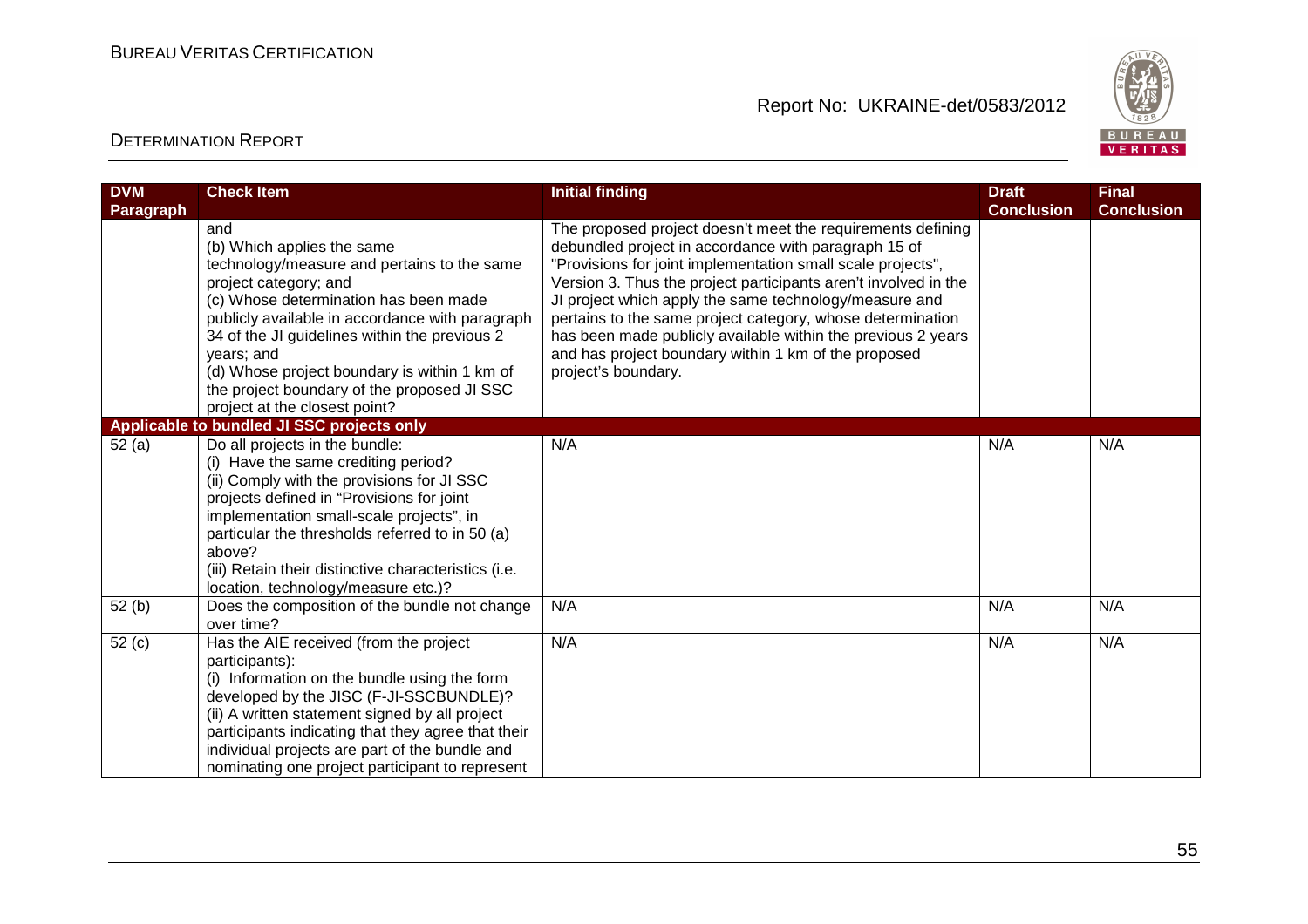

| <b>DVM</b><br>Paragraph | <b>Check Item</b>                                                                                                                                                                                                                                                                                                                                                                                                                                  | <b>Initial finding</b>                                                                                                                                                                                                                                                                                                                                                                                                                                                                                                       | <b>Draft</b><br><b>Conclusion</b> | <b>Final</b><br><b>Conclusion</b> |
|-------------------------|----------------------------------------------------------------------------------------------------------------------------------------------------------------------------------------------------------------------------------------------------------------------------------------------------------------------------------------------------------------------------------------------------------------------------------------------------|------------------------------------------------------------------------------------------------------------------------------------------------------------------------------------------------------------------------------------------------------------------------------------------------------------------------------------------------------------------------------------------------------------------------------------------------------------------------------------------------------------------------------|-----------------------------------|-----------------------------------|
|                         | and<br>(b) Which applies the same<br>technology/measure and pertains to the same<br>project category; and<br>(c) Whose determination has been made<br>publicly available in accordance with paragraph<br>34 of the JI guidelines within the previous 2<br>years; and<br>(d) Whose project boundary is within 1 km of<br>the project boundary of the proposed JI SSC<br>project at the closest point?<br>Applicable to bundled JI SSC projects only | The proposed project doesn't meet the requirements defining<br>debundled project in accordance with paragraph 15 of<br>"Provisions for joint implementation small scale projects",<br>Version 3. Thus the project participants aren't involved in the<br>JI project which apply the same technology/measure and<br>pertains to the same project category, whose determination<br>has been made publicly available within the previous 2 years<br>and has project boundary within 1 km of the proposed<br>project's boundary. |                                   |                                   |
| 52(a)                   | Do all projects in the bundle:<br>(i) Have the same crediting period?<br>(ii) Comply with the provisions for JI SSC<br>projects defined in "Provisions for joint<br>implementation small-scale projects", in<br>particular the thresholds referred to in 50 (a)<br>above?<br>(iii) Retain their distinctive characteristics (i.e.<br>location, technology/measure etc.)?                                                                           | N/A                                                                                                                                                                                                                                                                                                                                                                                                                                                                                                                          | N/A                               | N/A                               |
| 52(b)                   | Does the composition of the bundle not change<br>over time?                                                                                                                                                                                                                                                                                                                                                                                        | N/A                                                                                                                                                                                                                                                                                                                                                                                                                                                                                                                          | N/A                               | N/A                               |
| 52(c)                   | Has the AIE received (from the project<br>participants):<br>(i) Information on the bundle using the form<br>developed by the JISC (F-JI-SSCBUNDLE)?<br>(ii) A written statement signed by all project<br>participants indicating that they agree that their<br>individual projects are part of the bundle and<br>nominating one project participant to represent                                                                                   | N/A                                                                                                                                                                                                                                                                                                                                                                                                                                                                                                                          | N/A                               | N/A                               |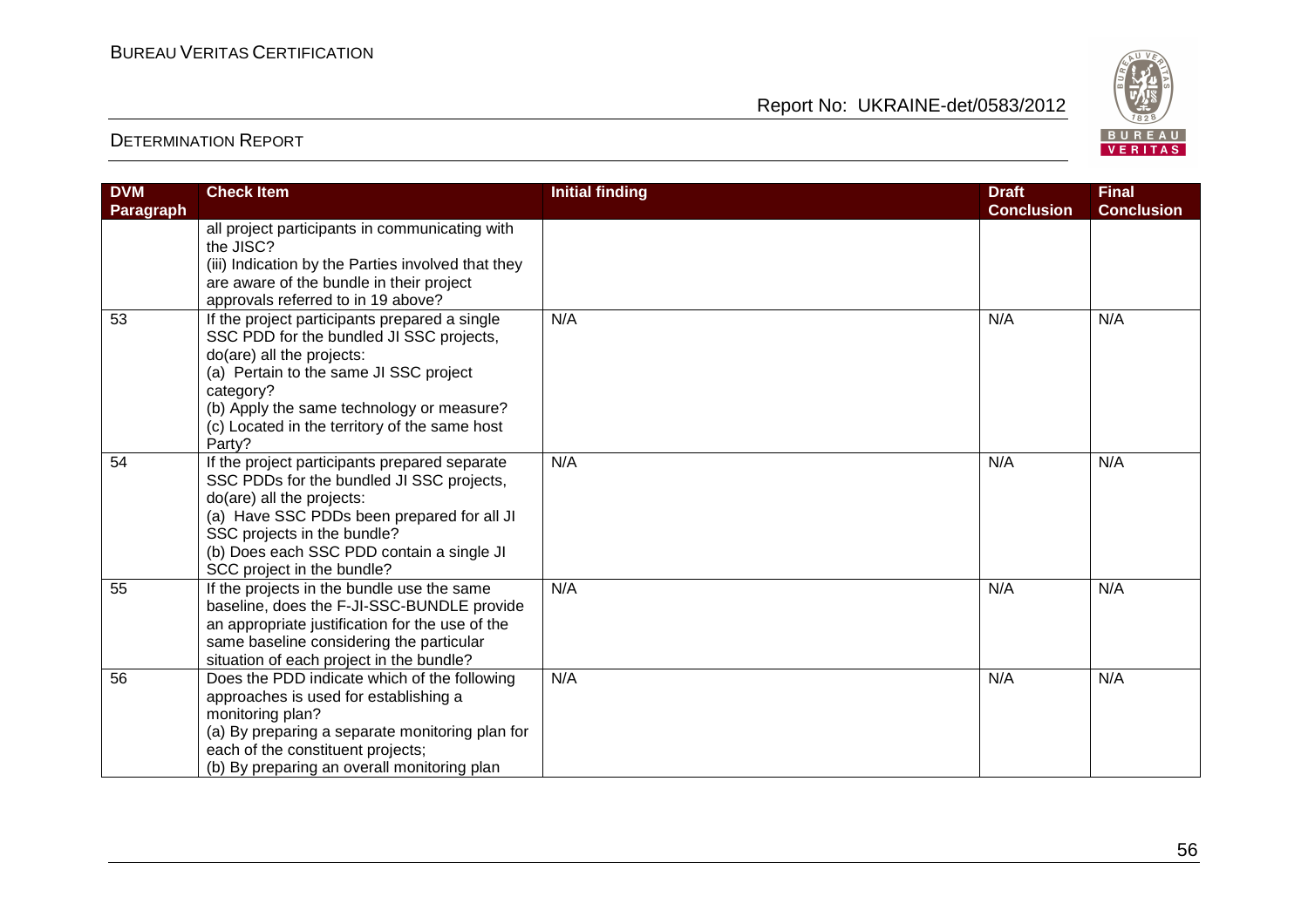

| <b>DVM</b> | <b>Check Item</b>                                  | <b>Initial finding</b> | <b>Draft</b><br><b>Conclusion</b> | <b>Final</b>      |
|------------|----------------------------------------------------|------------------------|-----------------------------------|-------------------|
| Paragraph  |                                                    |                        |                                   | <b>Conclusion</b> |
|            | all project participants in communicating with     |                        |                                   |                   |
|            | the JISC?                                          |                        |                                   |                   |
|            | (iii) Indication by the Parties involved that they |                        |                                   |                   |
|            | are aware of the bundle in their project           |                        |                                   |                   |
|            | approvals referred to in 19 above?                 |                        |                                   |                   |
| 53         | If the project participants prepared a single      | N/A                    | N/A                               | N/A               |
|            | SSC PDD for the bundled JI SSC projects,           |                        |                                   |                   |
|            | do(are) all the projects:                          |                        |                                   |                   |
|            | (a) Pertain to the same JI SSC project             |                        |                                   |                   |
|            | category?                                          |                        |                                   |                   |
|            | (b) Apply the same technology or measure?          |                        |                                   |                   |
|            | (c) Located in the territory of the same host      |                        |                                   |                   |
|            | Party?                                             |                        |                                   |                   |
| 54         | If the project participants prepared separate      | N/A                    | N/A                               | N/A               |
|            | SSC PDDs for the bundled JI SSC projects,          |                        |                                   |                   |
|            | do(are) all the projects:                          |                        |                                   |                   |
|            | (a) Have SSC PDDs been prepared for all JI         |                        |                                   |                   |
|            | SSC projects in the bundle?                        |                        |                                   |                   |
|            | (b) Does each SSC PDD contain a single JI          |                        |                                   |                   |
|            | SCC project in the bundle?                         |                        |                                   |                   |
| 55         | If the projects in the bundle use the same         | N/A                    | N/A                               | N/A               |
|            | baseline, does the F-JI-SSC-BUNDLE provide         |                        |                                   |                   |
|            | an appropriate justification for the use of the    |                        |                                   |                   |
|            | same baseline considering the particular           |                        |                                   |                   |
|            | situation of each project in the bundle?           |                        |                                   |                   |
| 56         | Does the PDD indicate which of the following       | N/A                    | N/A                               | N/A               |
|            | approaches is used for establishing a              |                        |                                   |                   |
|            | monitoring plan?                                   |                        |                                   |                   |
|            | (a) By preparing a separate monitoring plan for    |                        |                                   |                   |
|            | each of the constituent projects;                  |                        |                                   |                   |
|            | (b) By preparing an overall monitoring plan        |                        |                                   |                   |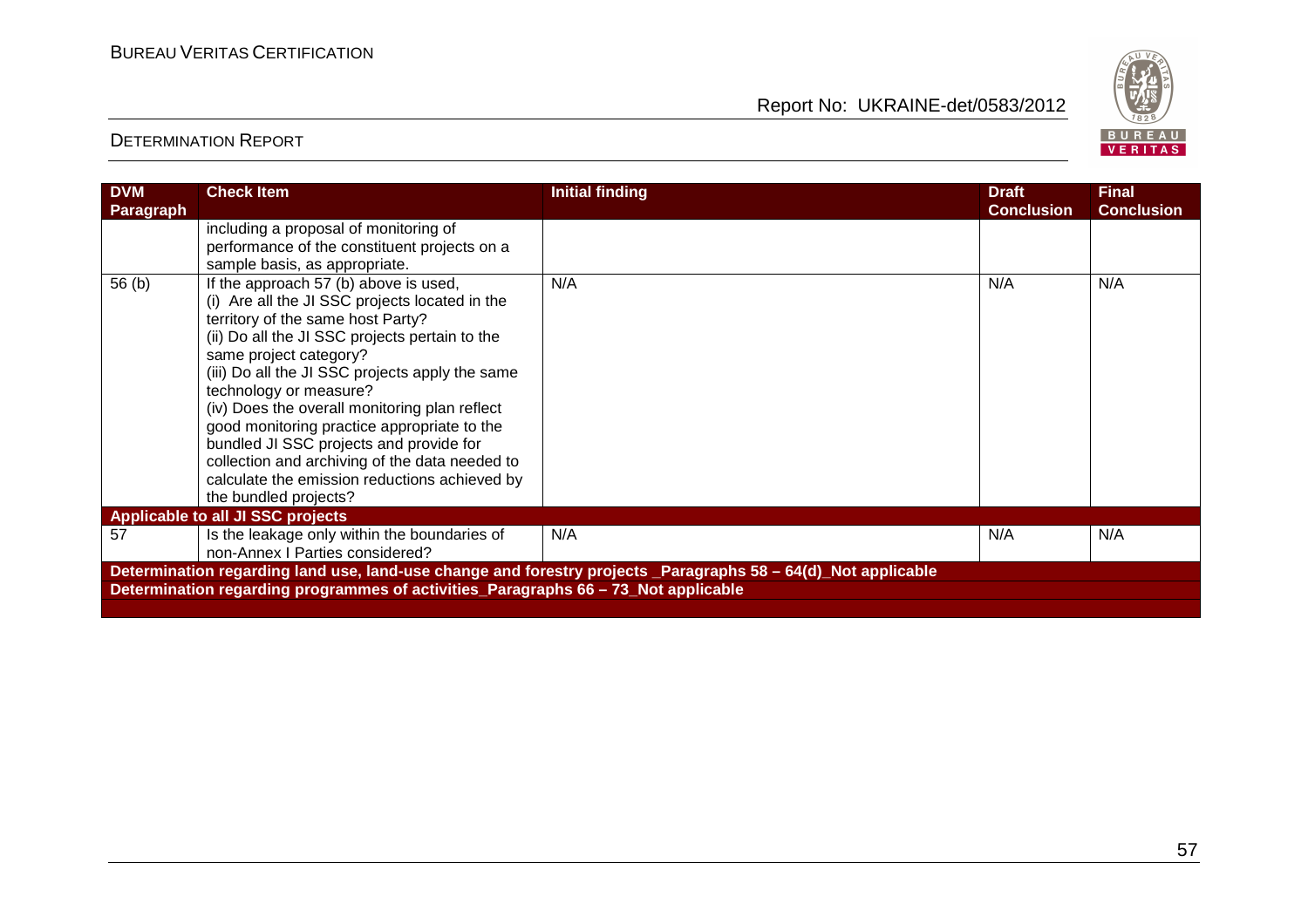

| <b>DVM</b><br><b>Paragraph</b>                                                                                | <b>Check Item</b>                                                                                                                                                                                                                                                                                                                                                                                                                                                                                                                                            | <b>Initial finding</b> | <b>Draft</b><br><b>Conclusion</b> | <b>Final</b><br><b>Conclusion</b> |  |  |
|---------------------------------------------------------------------------------------------------------------|--------------------------------------------------------------------------------------------------------------------------------------------------------------------------------------------------------------------------------------------------------------------------------------------------------------------------------------------------------------------------------------------------------------------------------------------------------------------------------------------------------------------------------------------------------------|------------------------|-----------------------------------|-----------------------------------|--|--|
|                                                                                                               | including a proposal of monitoring of                                                                                                                                                                                                                                                                                                                                                                                                                                                                                                                        |                        |                                   |                                   |  |  |
|                                                                                                               | performance of the constituent projects on a<br>sample basis, as appropriate.                                                                                                                                                                                                                                                                                                                                                                                                                                                                                |                        |                                   |                                   |  |  |
| 56 <sub>(b)</sub>                                                                                             | If the approach 57 (b) above is used,<br>(i) Are all the JI SSC projects located in the<br>territory of the same host Party?<br>(ii) Do all the JI SSC projects pertain to the<br>same project category?<br>(iii) Do all the JI SSC projects apply the same<br>technology or measure?<br>(iv) Does the overall monitoring plan reflect<br>good monitoring practice appropriate to the<br>bundled JI SSC projects and provide for<br>collection and archiving of the data needed to<br>calculate the emission reductions achieved by<br>the bundled projects? | N/A                    | N/A                               | N/A                               |  |  |
| <b>Applicable to all JI SSC projects</b>                                                                      |                                                                                                                                                                                                                                                                                                                                                                                                                                                                                                                                                              |                        |                                   |                                   |  |  |
| 57                                                                                                            | Is the leakage only within the boundaries of<br>non-Annex I Parties considered?                                                                                                                                                                                                                                                                                                                                                                                                                                                                              | N/A                    | N/A                               | N/A                               |  |  |
| Determination regarding land use, land-use change and forestry projects _Paragraphs 58 - 64(d)_Not applicable |                                                                                                                                                                                                                                                                                                                                                                                                                                                                                                                                                              |                        |                                   |                                   |  |  |
| Determination regarding programmes of activities_Paragraphs 66 - 73_Not applicable                            |                                                                                                                                                                                                                                                                                                                                                                                                                                                                                                                                                              |                        |                                   |                                   |  |  |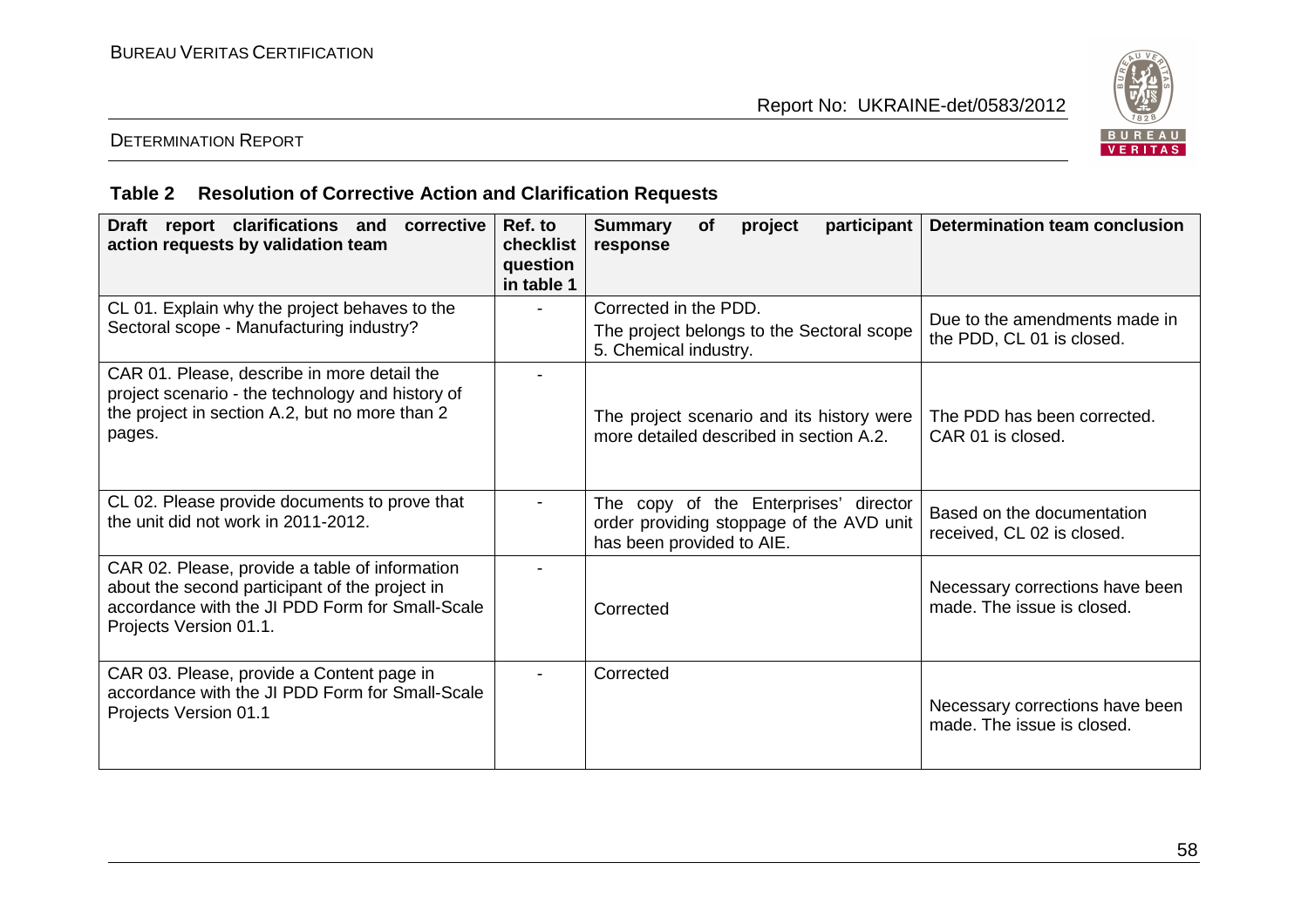

# DETERMINATION REPORT

# **Table 2 Resolution of Corrective Action and Clarification Requests**

| Draft report clarifications and<br>corrective<br>action requests by validation team                                                                                           | Ref. to<br>checklist<br>question<br>in table 1 | <b>Summary</b><br>participant<br><b>of</b><br>project<br>response                                              | <b>Determination team conclusion</b>                          |
|-------------------------------------------------------------------------------------------------------------------------------------------------------------------------------|------------------------------------------------|----------------------------------------------------------------------------------------------------------------|---------------------------------------------------------------|
| CL 01. Explain why the project behaves to the<br>Sectoral scope - Manufacturing industry?                                                                                     |                                                | Corrected in the PDD.<br>The project belongs to the Sectoral scope<br>5. Chemical industry.                    | Due to the amendments made in<br>the PDD, CL 01 is closed.    |
| CAR 01. Please, describe in more detail the<br>project scenario - the technology and history of<br>the project in section A.2, but no more than 2<br>pages.                   |                                                | The project scenario and its history were<br>more detailed described in section A.2.                           | The PDD has been corrected.<br>CAR 01 is closed.              |
| CL 02. Please provide documents to prove that<br>the unit did not work in 2011-2012.                                                                                          |                                                | The copy of the Enterprises' director<br>order providing stoppage of the AVD unit<br>has been provided to AIE. | Based on the documentation<br>received, CL 02 is closed.      |
| CAR 02. Please, provide a table of information<br>about the second participant of the project in<br>accordance with the JI PDD Form for Small-Scale<br>Projects Version 01.1. |                                                | Corrected                                                                                                      | Necessary corrections have been<br>made. The issue is closed. |
| CAR 03. Please, provide a Content page in<br>accordance with the JI PDD Form for Small-Scale<br>Projects Version 01.1                                                         |                                                | Corrected                                                                                                      | Necessary corrections have been<br>made. The issue is closed. |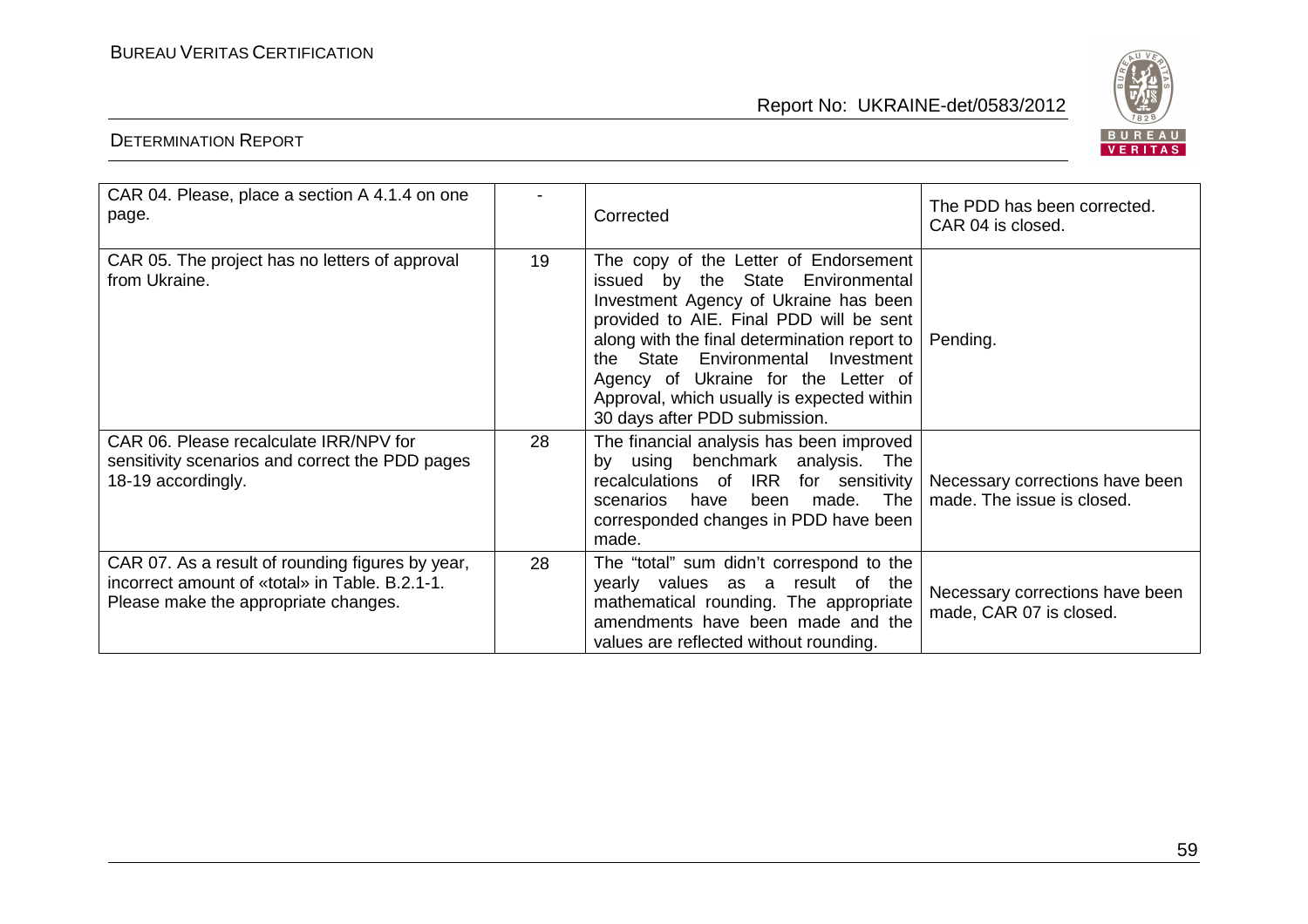

| CAR 04. Please, place a section A 4.1.4 on one<br>page.                                                                                    |    | Corrected                                                                                                                                                                                                                                                                                                                                                                             | The PDD has been corrected.<br>CAR 04 is closed.              |
|--------------------------------------------------------------------------------------------------------------------------------------------|----|---------------------------------------------------------------------------------------------------------------------------------------------------------------------------------------------------------------------------------------------------------------------------------------------------------------------------------------------------------------------------------------|---------------------------------------------------------------|
| CAR 05. The project has no letters of approval<br>from Ukraine.                                                                            | 19 | The copy of the Letter of Endorsement<br>issued by the State Environmental<br>Investment Agency of Ukraine has been<br>provided to AIE. Final PDD will be sent<br>along with the final determination report to   Pending.<br>the State Environmental Investment<br>Agency of Ukraine for the Letter of<br>Approval, which usually is expected within<br>30 days after PDD submission. |                                                               |
| CAR 06. Please recalculate IRR/NPV for<br>sensitivity scenarios and correct the PDD pages<br>18-19 accordingly.                            | 28 | The financial analysis has been improved<br>by using benchmark analysis. The<br>recalculations of IRR for sensitivity<br>made. The<br>been<br>scenarios<br>have<br>corresponded changes in PDD have been<br>made.                                                                                                                                                                     | Necessary corrections have been<br>made. The issue is closed. |
| CAR 07. As a result of rounding figures by year,<br>incorrect amount of «total» in Table, B.2.1-1.<br>Please make the appropriate changes. | 28 | The "total" sum didn't correspond to the<br>yearly values as a result of the<br>mathematical rounding. The appropriate<br>amendments have been made and the<br>values are reflected without rounding.                                                                                                                                                                                 | Necessary corrections have been<br>made, CAR 07 is closed.    |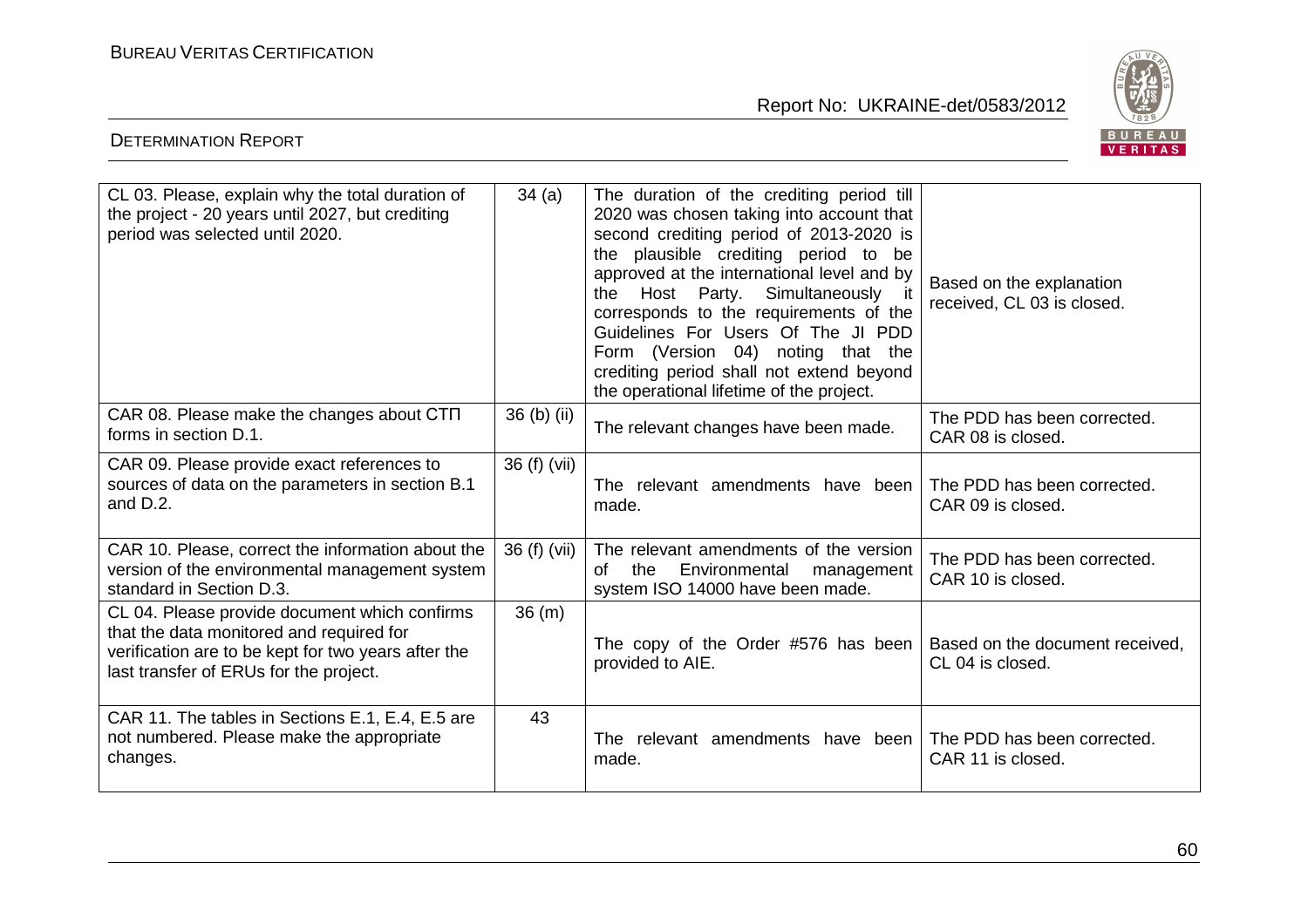

| CL 03. Please, explain why the total duration of<br>the project - 20 years until 2027, but crediting<br>period was selected until 2020.                                                    | 34(a)        | The duration of the crediting period till<br>2020 was chosen taking into account that<br>second crediting period of 2013-2020 is<br>the plausible crediting period to be<br>approved at the international level and by<br>the Host Party. Simultaneously it<br>corresponds to the requirements of the<br>Guidelines For Users Of The JI PDD<br>Form (Version 04) noting that the<br>crediting period shall not extend beyond<br>the operational lifetime of the project. | Based on the explanation<br>received, CL 03 is closed. |
|--------------------------------------------------------------------------------------------------------------------------------------------------------------------------------------------|--------------|--------------------------------------------------------------------------------------------------------------------------------------------------------------------------------------------------------------------------------------------------------------------------------------------------------------------------------------------------------------------------------------------------------------------------------------------------------------------------|--------------------------------------------------------|
| CAR 08. Please make the changes about CTN<br>forms in section D.1.                                                                                                                         | 36 (b) (ii)  | The relevant changes have been made.                                                                                                                                                                                                                                                                                                                                                                                                                                     | The PDD has been corrected.<br>CAR 08 is closed.       |
| CAR 09. Please provide exact references to<br>sources of data on the parameters in section B.1<br>and D.2.                                                                                 | 36 (f) (vii) | The relevant amendments have been<br>made.                                                                                                                                                                                                                                                                                                                                                                                                                               | The PDD has been corrected.<br>CAR 09 is closed.       |
| CAR 10. Please, correct the information about the<br>version of the environmental management system<br>standard in Section D.3.                                                            | 36 (f) (vii) | The relevant amendments of the version<br>the<br>Environmental<br>of<br>management<br>system ISO 14000 have been made.                                                                                                                                                                                                                                                                                                                                                   | The PDD has been corrected.<br>CAR 10 is closed.       |
| CL 04. Please provide document which confirms<br>that the data monitored and required for<br>verification are to be kept for two years after the<br>last transfer of ERUs for the project. | 36 (m)       | The copy of the Order #576 has been<br>provided to AIE.                                                                                                                                                                                                                                                                                                                                                                                                                  | Based on the document received,<br>CL 04 is closed.    |
| CAR 11. The tables in Sections E.1, E.4, E.5 are<br>not numbered. Please make the appropriate<br>changes.                                                                                  | 43           | The relevant amendments have been<br>made.                                                                                                                                                                                                                                                                                                                                                                                                                               | The PDD has been corrected.<br>CAR 11 is closed.       |